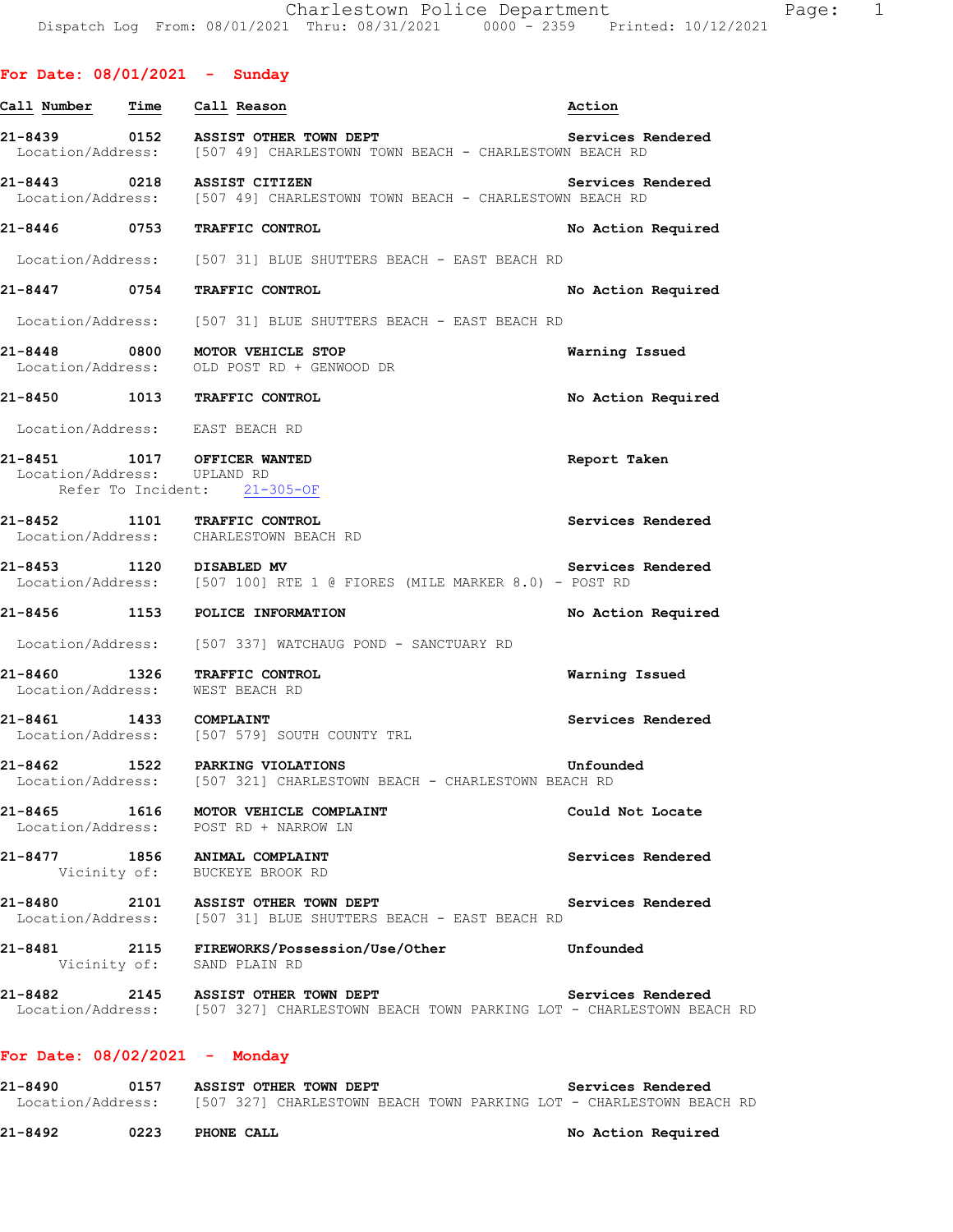| For Date: $08/01/2021$ - Sunday |                                                                                                                              |                    |
|---------------------------------|------------------------------------------------------------------------------------------------------------------------------|--------------------|
| Call Number                     | Time Call Reason                                                                                                             | Action             |
|                                 | 21-8439 0152 ASSIST OTHER TOWN DEPT<br>Location/Address: [507 49] CHARLESTOWN TOWN BEACH - CHARLESTOWN BEACH RD              | Services Rendered  |
|                                 | 21-8443 0218 ASSIST CITIZEN<br>Location/Address: [507 49] CHARLESTOWN TOWN BEACH - CHARLESTOWN BEACH RD                      | Services Rendered  |
|                                 | 21-8446 0753 TRAFFIC CONTROL                                                                                                 | No Action Required |
|                                 | Location/Address: [507 31] BLUE SHUTTERS BEACH - EAST BEACH RD                                                               |                    |
|                                 | 21-8447 0754 TRAFFIC CONTROL                                                                                                 | No Action Required |
|                                 | Location/Address: [507 31] BLUE SHUTTERS BEACH - EAST BEACH RD                                                               |                    |
|                                 | 21-8448 0800 MOTOR VEHICLE STOP<br>Location/Address: OLD POST RD + GENWOOD DR                                                | Warning Issued     |
|                                 | 21-8450 1013 TRAFFIC CONTROL                                                                                                 | No Action Required |
|                                 | Location/Address: EAST BEACH RD                                                                                              |                    |
|                                 | 21-8451 1017 OFFICER WANTED<br>Location/Address: UPLAND RD<br>Refer To Incident: 21-305-OF                                   | Report Taken       |
|                                 | 21-8452 1101 TRAFFIC CONTROL<br>Location/Address: CHARLESTOWN BEACH RD                                                       | Services Rendered  |
| 21-8453 1120 DISABLED MV        | Location/Address: [507 100] RTE 1 @ FIORES (MILE MARKER 8.0) - POST RD                                                       | Services Rendered  |
|                                 | 21-8456 1153 POLICE INFORMATION                                                                                              | No Action Required |
|                                 | Location/Address: [507 337] WATCHAUG POND - SANCTUARY RD                                                                     |                    |
|                                 | 21-8460 1326 TRAFFIC CONTROL<br>Location/Address: WEST BEACH RD                                                              | Warning Issued     |
|                                 | 21-8461 1433 COMPLAINT<br>Location/Address: [507 579] SOUTH COUNTY TRL                                                       | Services Rendered  |
|                                 | 21-8462 1522 PARKING VIOLATIONS<br>Location/Address: [507 321] CHARLESTOWN BEACH - CHARLESTOWN BEACH RD                      | Unfounded          |
|                                 | 21-8465 1616 MOTOR VEHICLE COMPLAINT<br>Location/Address: POST RD + NARROW LN                                                | Could Not Locate   |
|                                 | 21-8477 1856 ANIMAL COMPLAINT<br>Vicinity of: BUCKEYE BROOK RD                                                               | Services Rendered  |
|                                 | 21-8480 2101 ASSIST OTHER TOWN DEPT<br>Location/Address: [507 31] BLUE SHUTTERS BEACH - EAST BEACH RD                        | Services Rendered  |
|                                 | 21-8481 2115 FIREWORKS/Possession/Use/Other<br><b>Example 1</b> Unfounded<br>Vicinity of: SAND PLAIN RD                      |                    |
|                                 | 21-8482 2145 ASSIST OTHER TOWN DEPT<br>Location/Address: [507 327] CHARLESTOWN BEACH TOWN PARKING LOT - CHARLESTOWN BEACH RD | Services Rendered  |
|                                 |                                                                                                                              |                    |

## **For Date: 08/02/2021 - Monday**

**21-8490 0157 ASSIST OTHER TOWN DEPT Services Rendered**  Location/Address: [507 327] CHARLESTOWN BEACH TOWN PARKING LOT - CHARLESTOWN BEACH RD

**21-8492 0223 PHONE CALL No Action Required**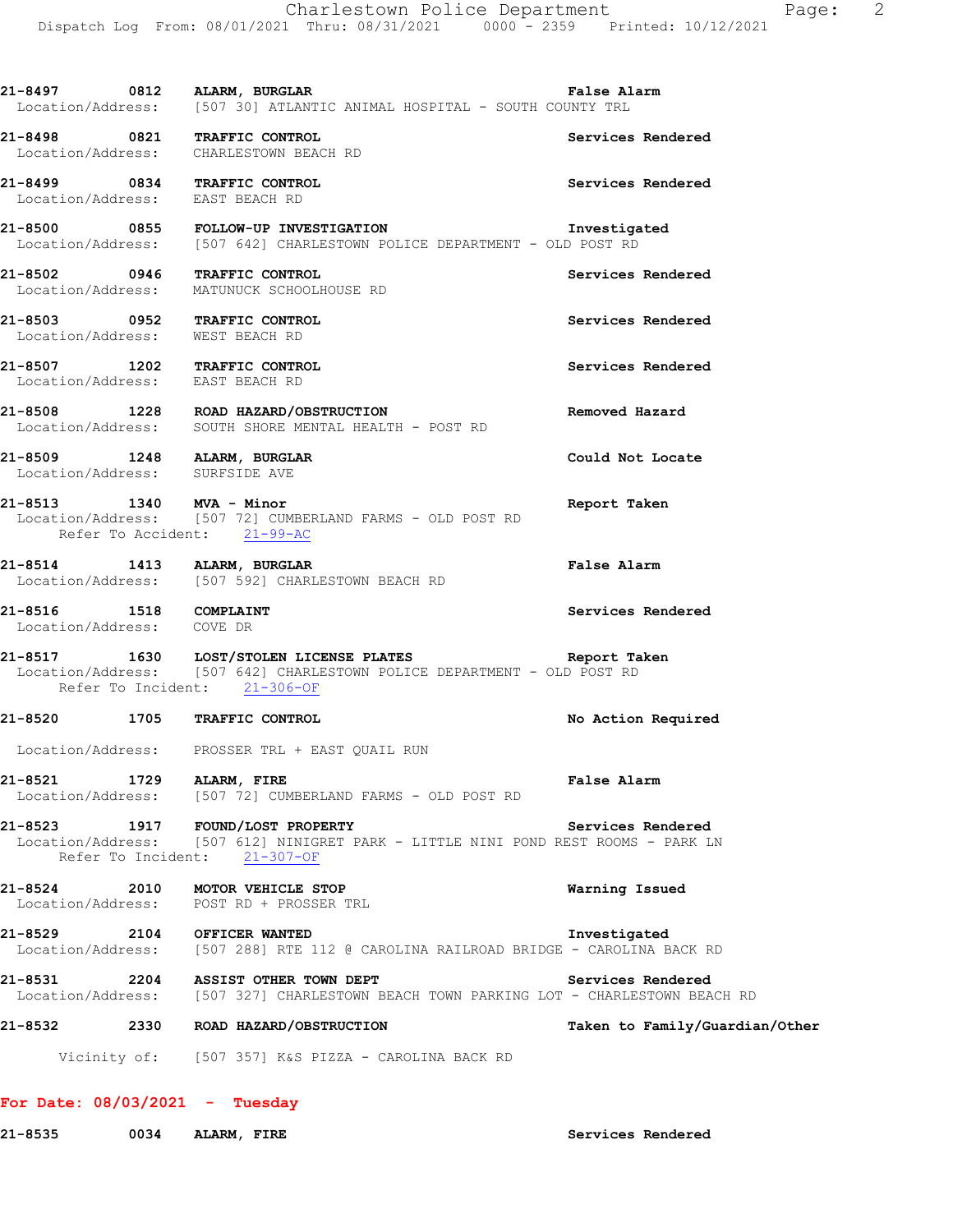| 21-8497 0812 ALARM, BURGLAR                                            | Location/Address: [507 30] ATLANTIC ANIMAL HOSPITAL - SOUTH COUNTY TRL                                                          | <b>False Alarm</b>             |
|------------------------------------------------------------------------|---------------------------------------------------------------------------------------------------------------------------------|--------------------------------|
| 21-8498 0821 TRAFFIC CONTROL<br>Location/Address: CHARLESTOWN BEACH RD |                                                                                                                                 | Services Rendered              |
| 21-8499 0834 TRAFFIC CONTROL<br>Location/Address: EAST BEACH RD        |                                                                                                                                 | Services Rendered              |
|                                                                        | 21-8500 0855 FOLLOW-UP INVESTIGATION Investigated<br>Location/Address: [507 642] CHARLESTOWN POLICE DEPARTMENT - OLD POST RD    |                                |
|                                                                        | 21-8502 0946 TRAFFIC CONTROL<br>Location/Address: MATUNUCK SCHOOLHOUSE RD                                                       | Services Rendered              |
| 21-8503 0952 TRAFFIC CONTROL<br>Location/Address: WEST BEACH RD        |                                                                                                                                 | Services Rendered              |
| 21-8507 1202 TRAFFIC CONTROL<br>Location/Address: EAST BEACH RD        |                                                                                                                                 | Services Rendered              |
|                                                                        | 21-8508 1228 ROAD HAZARD/OBSTRUCTION<br>Location/Address: SOUTH SHORE MENTAL HEALTH - POST RD                                   | Removed Hazard                 |
| 21-8509 1248 ALARM, BURGLAR<br>Location/Address: SURFSIDE AVE          |                                                                                                                                 | Could Not Locate               |
| 21-8513 1340 MVA - Minor<br>Refer To Accident: 21-99-AC                | Location/Address: [507 72] CUMBERLAND FARMS - OLD POST RD                                                                       | Report Taken                   |
|                                                                        | 21-8514 1413 ALARM, BURGLAR<br>Location/Address: [507 592] CHARLESTOWN BEACH RD                                                 | <b>False Alarm</b>             |
| 21-8516 1518 COMPLAINT<br>Location/Address: COVE DR                    |                                                                                                                                 | Services Rendered              |
| Refer To Incident: 21-306-OF                                           | 21-8517 1630 LOST/STOLEN LICENSE PLATES Report Taken<br>Location/Address: [507 642] CHARLESTOWN POLICE DEPARTMENT - OLD POST RD |                                |
| 21-8520 1705 TRAFFIC CONTROL                                           |                                                                                                                                 | No Action Required             |
|                                                                        | Location/Address: PROSSER TRL + EAST QUAIL RUN                                                                                  |                                |
| 21-8521 1729 ALARM, FIRE                                               | Location/Address: [507 72] CUMBERLAND FARMS - OLD POST RD                                                                       | <b>False Alarm</b>             |
| 21-8523 1917 FOUND/LOST PROPERTY                                       | Location/Address: [507 612] NINIGRET PARK - LITTLE NINI POND REST ROOMS - PARK LN<br>Refer To Incident: 21-307-OF               | Services Rendered              |
| 21-8524 2010 MOTOR VEHICLE STOP                                        | Location/Address: POST RD + PROSSER TRL                                                                                         | Warning Issued                 |
| 21-8529 2104 OFFICER WANTED                                            | Location/Address: [507 288] RTE 112 @ CAROLINA RAILROAD BRIDGE - CAROLINA BACK RD                                               | Investigated                   |
| 21-8531                                                                | 2204 ASSIST OTHER TOWN DEPT<br>Location/Address: [507 327] CHARLESTOWN BEACH TOWN PARKING LOT - CHARLESTOWN BEACH RD            | Services Rendered              |
| 21-8532                                                                | 2330 ROAD HAZARD/OBSTRUCTION                                                                                                    | Taken to Family/Guardian/Other |
|                                                                        | Vicinity of: [507 357] K&S PIZZA - CAROLINA BACK RD                                                                             |                                |

- **For Date: 08/03/2021 Tuesday**
- 21-8535 0034 ALARM, FIRE **Services Rendered**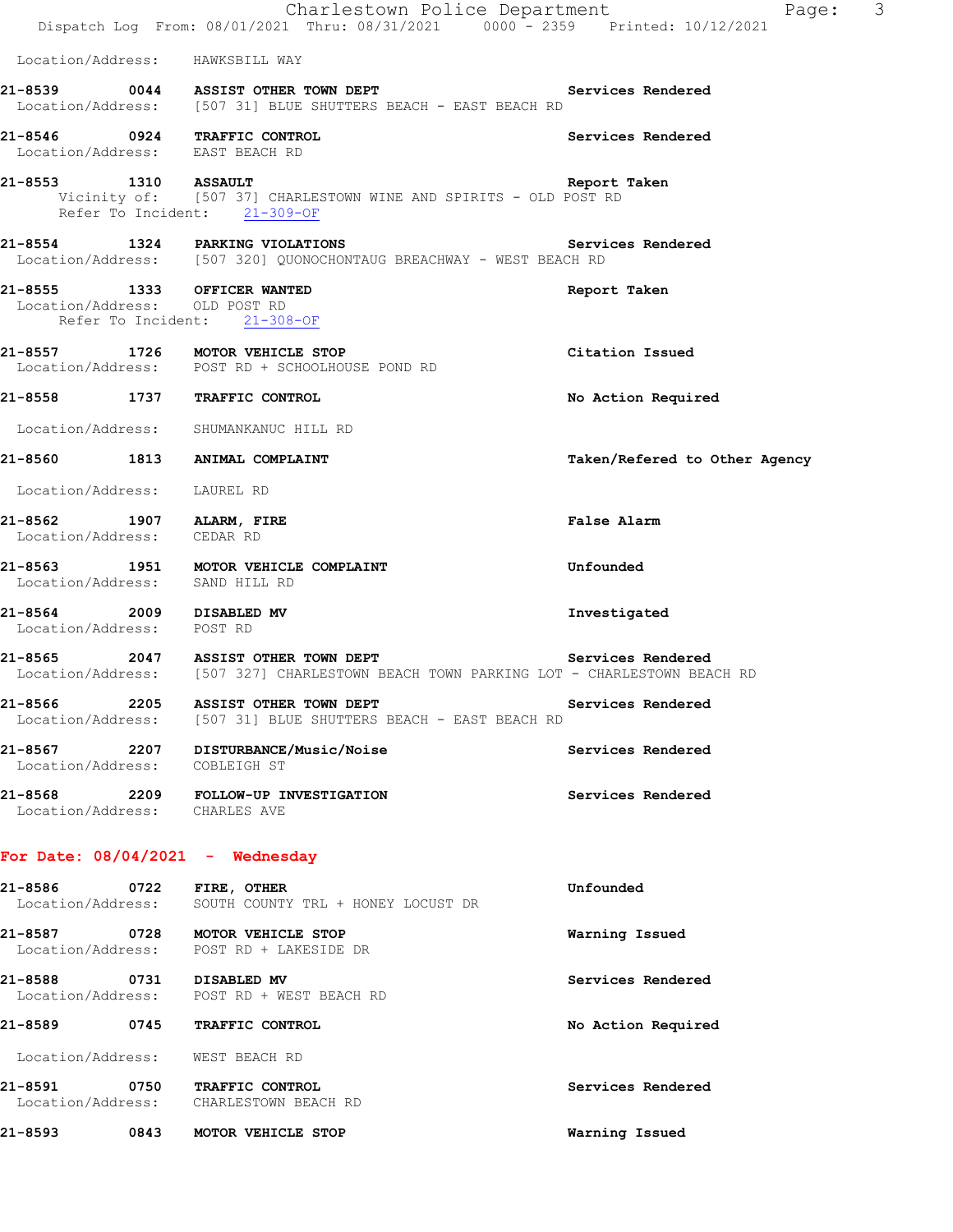|                                                              | Charlestown Police Department<br>Dispatch Log From: 08/01/2021 Thru: 08/31/2021 0000 - 2359 Printed: 10/12/2021              | $\mathcal{S}$<br>Page:        |
|--------------------------------------------------------------|------------------------------------------------------------------------------------------------------------------------------|-------------------------------|
|                                                              | Location/Address: HAWKSBILL WAY                                                                                              |                               |
|                                                              | 21-8539 0044 ASSIST OTHER TOWN DEPT<br>Location/Address: [507 31] BLUE SHUTTERS BEACH - EAST BEACH RD                        | Services Rendered             |
| Location/Address: EAST BEACH RD                              | 21-8546 0924 TRAFFIC CONTROL                                                                                                 | Services Rendered             |
| 21-8553 1310 ASSAULT                                         | Vicinity of: [507 37] CHARLESTOWN WINE AND SPIRITS - OLD POST RD<br>Refer To Incident: 21-309-OF                             | Report Taken                  |
|                                                              | 21-8554 1324 PARKING VIOLATIONS<br>Location/Address: [507 320] QUONOCHONTAUG BREACHWAY - WEST BEACH RD                       | Services Rendered             |
| 21-8555 1333 OFFICER WANTED<br>Location/Address: OLD POST RD | Refer To Incident: 21-308-OF                                                                                                 | Report Taken                  |
|                                                              | 21-8557 1726 MOTOR VEHICLE STOP<br>Location/Address: POST RD + SCHOOLHOUSE POND RD                                           | Citation Issued               |
|                                                              | 21-8558 1737 TRAFFIC CONTROL                                                                                                 | No Action Required            |
|                                                              | Location/Address: SHUMANKANUC HILL RD                                                                                        |                               |
|                                                              | 21-8560 1813 ANIMAL COMPLAINT                                                                                                | Taken/Refered to Other Agency |
| Location/Address: LAUREL RD                                  |                                                                                                                              |                               |
| 21-8562 1907 ALARM, FIRE<br>Location/Address: CEDAR RD       |                                                                                                                              | False Alarm                   |
| Location/Address: SAND HILL RD                               | 21-8563 1951 MOTOR VEHICLE COMPLAINT                                                                                         | Unfounded                     |
| 21-8564 2009 DISABLED MV<br>Location/Address: POST RD        |                                                                                                                              | Investigated                  |
|                                                              | 21-8565 2047 ASSIST OTHER TOWN DEPT<br>Location/Address: [507 327] CHARLESTOWN BEACH TOWN PARKING LOT - CHARLESTOWN BEACH RD | Services Rendered             |
| $21 - 8566$                                                  | 2205 ASSIST OTHER TOWN DEPT<br>Location/Address: [507 31] BLUE SHUTTERS BEACH - EAST BEACH RD                                | Services Rendered             |
| Location/Address: COBLEIGH ST                                | 21-8567 2207 DISTURBANCE/Music/Noise                                                                                         | Services Rendered             |
| Location/Address: CHARLES AVE                                | 21-8568 2209 FOLLOW-UP INVESTIGATION                                                                                         | Services Rendered             |
| For Date: $08/04/2021$ - Wednesday                           |                                                                                                                              |                               |
| 21-8586 0722 FIRE, OTHER                                     | Location/Address: SOUTH COUNTY TRL + HONEY LOCUST DR                                                                         | Unfounded                     |
|                                                              | 21-8587 0728 MOTOR VEHICLE STOP<br>Location/Address: POST RD + LAKESIDE DR                                                   | Warning Issued                |
| 21-8588 0731 DISABLED MV                                     | Location/Address: POST RD + WEST BEACH RD                                                                                    | Services Rendered             |
|                                                              | 21-8589 0745 TRAFFIC CONTROL                                                                                                 | No Action Required            |
| Location/Address: WEST BEACH RD                              |                                                                                                                              |                               |
| 21-8591                                                      | 0750 TRAFFIC CONTROL<br>Location/Address: CHARLESTOWN BEACH RD                                                               | Services Rendered             |
| 21-8593                                                      | 0843 MOTOR VEHICLE STOP                                                                                                      | Warning Issued                |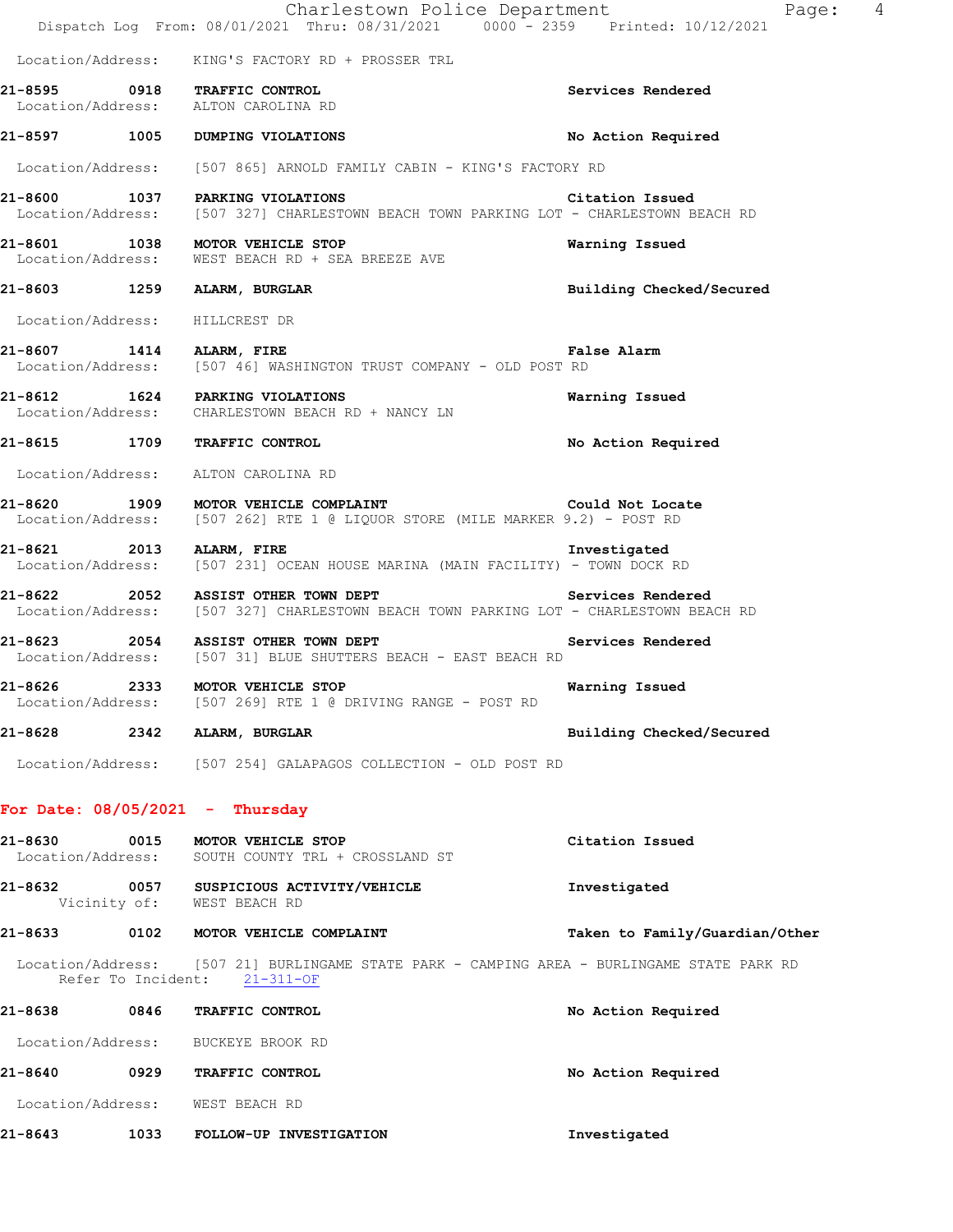|         | Charlestown Police Department<br>Dispatch Log From: 08/01/2021 Thru: 08/31/2021 0000 - 2359 Printed: 10/12/2021                       | 4<br>Page:                     |
|---------|---------------------------------------------------------------------------------------------------------------------------------------|--------------------------------|
|         | Location/Address: KING'S FACTORY RD + PROSSER TRL                                                                                     |                                |
|         | 21-8595 0918 TRAFFIC CONTROL<br>Location/Address: ALTON CAROLINA RD                                                                   | Services Rendered              |
|         | 21-8597 1005 DUMPING VIOLATIONS                                                                                                       | No Action Required             |
|         | Location/Address: [507 865] ARNOLD FAMILY CABIN - KING'S FACTORY RD                                                                   |                                |
|         | 21-8600 1037 PARKING VIOLATIONS<br>Location/Address: [507 327] CHARLESTOWN BEACH TOWN PARKING LOT - CHARLESTOWN BEACH RD              | Citation Issued                |
|         | 21-8601 1038 MOTOR VEHICLE STOP<br>Location/Address: WEST BEACH RD + SEA BREEZE AVE                                                   | Warning Issued                 |
|         | 21-8603 1259 ALARM, BURGLAR                                                                                                           | Building Checked/Secured       |
|         | Location/Address: HILLCREST DR                                                                                                        |                                |
|         | 21-8607 1414 ALARM, FIRE<br>Location/Address: [507 46] WASHINGTON TRUST COMPANY - OLD POST RD                                         | <b>False Alarm</b>             |
|         | 21-8612 1624 PARKING VIOLATIONS<br>Location/Address: CHARLESTOWN BEACH RD + NANCY LN                                                  | Warning Issued                 |
|         | 21-8615 1709 TRAFFIC CONTROL                                                                                                          | No Action Required             |
|         | Location/Address: ALTON CAROLINA RD                                                                                                   |                                |
|         | 21-8620 1909 MOTOR VEHICLE COMPLAINT Could Not Locate<br>Location/Address: [507 262] RTE 1 @ LIQUOR STORE (MILE MARKER 9.2) - POST RD |                                |
|         | 21-8621 2013 ALARM, FIRE<br>Location/Address: [507 231] OCEAN HOUSE MARINA (MAIN FACILITY) - TOWN DOCK RD                             | Investigated                   |
|         | 21-8622 2052 ASSIST OTHER TOWN DEPT<br>Location/Address: [507 327] CHARLESTOWN BEACH TOWN PARKING LOT - CHARLESTOWN BEACH RD          | Services Rendered              |
|         | 21-8623 2054 ASSIST OTHER TOWN DEPT<br>Location/Address: [507 31] BLUE SHUTTERS BEACH - EAST BEACH RD                                 | Services Rendered              |
|         | 21-8626 2333 MOTOR VEHICLE STOP<br>Location/Address: [507 269] RTE 1 @ DRIVING RANGE - POST RD                                        | Warning Issued                 |
|         | 21-8628 2342 ALARM, BURGLAR                                                                                                           | Building Checked/Secured       |
|         | Location/Address: [507 254] GALAPAGOS COLLECTION - OLD POST RD                                                                        |                                |
|         | For Date: $08/05/2021$ - Thursday                                                                                                     |                                |
| 21-8630 | 0015 MOTOR VEHICLE STOP<br>Location/Address: SOUTH COUNTY TRL + CROSSLAND ST                                                          | Citation Issued                |
|         | 21-8632 0057 SUSPICIOUS ACTIVITY/VEHICLE<br>Vicinity of: WEST BEACH RD                                                                | Investigated                   |
|         | 21-8633 0102 MOTOR VEHICLE COMPLAINT                                                                                                  | Taken to Family/Guardian/Other |
|         | Location/Address: [507 21] BURLINGAME STATE PARK - CAMPING AREA - BURLINGAME STATE PARK RD<br>Refer To Incident: 21-311-OF            |                                |
|         | 21-8638 0846 TRAFFIC CONTROL                                                                                                          | No Action Required             |
|         | Location/Address: BUCKEYE BROOK RD                                                                                                    |                                |
| 21-8640 | 0929 TRAFFIC CONTROL                                                                                                                  | No Action Required             |
|         | Location/Address: WEST BEACH RD                                                                                                       |                                |
| 21-8643 | 1033 FOLLOW-UP INVESTIGATION                                                                                                          | Investigated                   |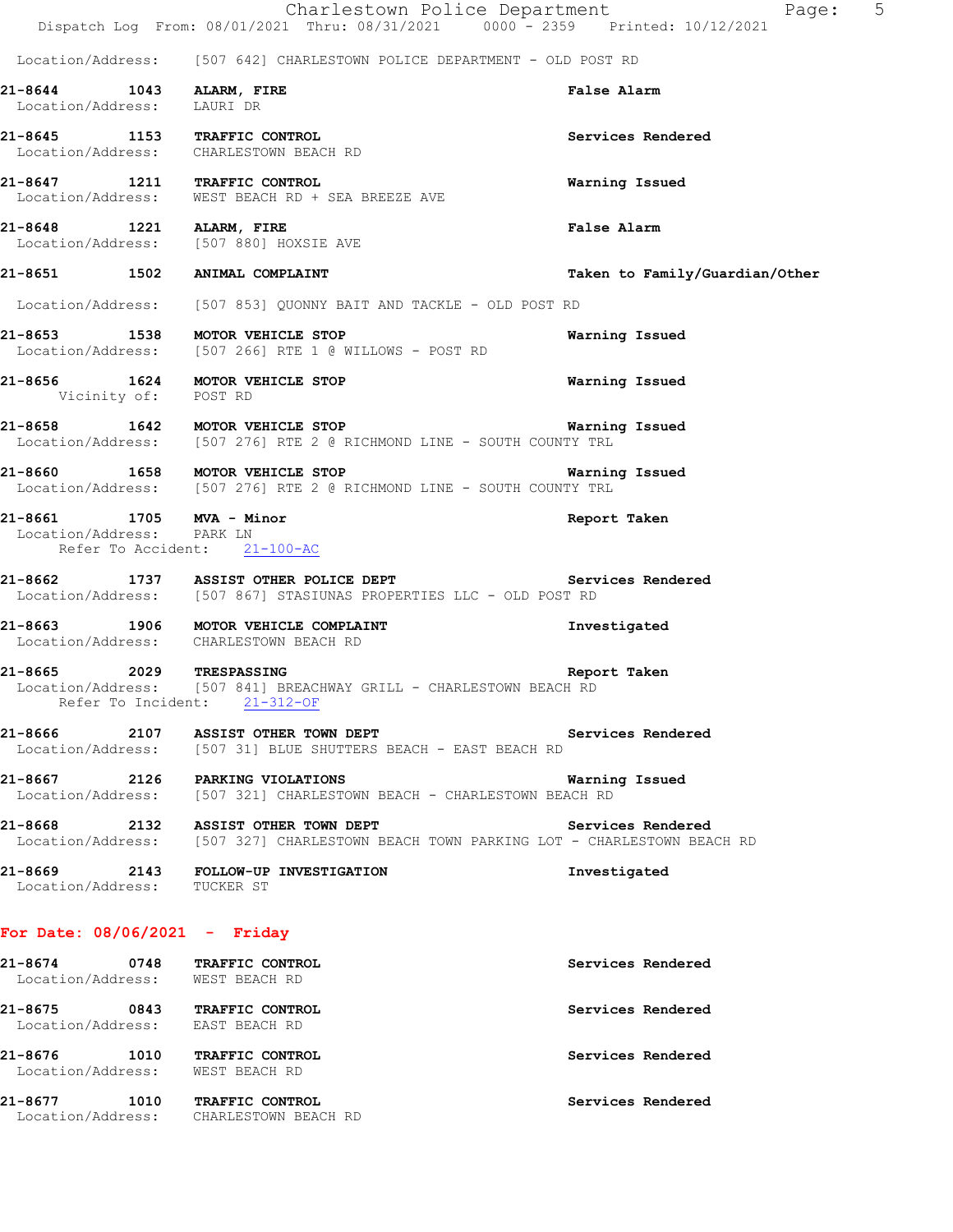|                                                                                       | Charlestown Police Department<br>Dispatch Log From: 08/01/2021 Thru: 08/31/2021 0000 - 2359 Printed: 10/12/2021                       | $\overline{5}$<br>Page:        |
|---------------------------------------------------------------------------------------|---------------------------------------------------------------------------------------------------------------------------------------|--------------------------------|
|                                                                                       | Location/Address: [507 642] CHARLESTOWN POLICE DEPARTMENT - OLD POST RD                                                               |                                |
| 21-8644 1043 ALARM, FIRE<br>Location/Address: LAURI DR                                |                                                                                                                                       | <b>False Alarm</b>             |
|                                                                                       | 21-8645 1153 TRAFFIC CONTROL<br>Location/Address: CHARLESTOWN BEACH RD                                                                | Services Rendered              |
| 21-8647 1211 TRAFFIC CONTROL                                                          | Location/Address: WEST BEACH RD + SEA BREEZE AVE                                                                                      | Warning Issued                 |
| 21-8648 1221 ALARM, FIRE                                                              | Location/Address: [507 880] HOXSIE AVE                                                                                                | <b>False Alarm</b>             |
| 21-8651 1502 ANIMAL COMPLAINT                                                         |                                                                                                                                       | Taken to Family/Guardian/Other |
|                                                                                       | Location/Address: [507 853] QUONNY BAIT AND TACKLE - OLD POST RD                                                                      |                                |
|                                                                                       | 21-8653 1538 MOTOR VEHICLE STOP<br>Location/Address: [507 266] RTE 1 @ WILLOWS - POST RD                                              | Warning Issued                 |
| 21-8656 1624 MOTOR VEHICLE STOP<br>Vicinity of: POST RD                               |                                                                                                                                       | Warning Issued                 |
|                                                                                       | 21-8658 1642 MOTOR VEHICLE STOP 1991 1991 1992 Warning Issued<br>Location/Address: [507 276] RTE 2 @ RICHMOND LINE - SOUTH COUNTY TRL |                                |
|                                                                                       | 21-8660 1658 MOTOR VEHICLE STOP<br>Location/Address: [507 276] RTE 2 @ RICHMOND LINE - SOUTH COUNTY TRL                               | Warning Issued                 |
| 21-8661 1705 MVA - Minor<br>Location/Address: PARK LN<br>Refer To Accident: 21-100-AC |                                                                                                                                       | Report Taken                   |
|                                                                                       | 21-8662 1737 ASSIST OTHER POLICE DEPT Services Rendered<br>Location/Address: [507 867] STASIUNAS PROPERTIES LLC - OLD POST RD         |                                |
|                                                                                       | 21-8663 1906 MOTOR VEHICLE COMPLAINT<br>Location/Address: CHARLESTOWN BEACH RD                                                        | Investigated                   |
|                                                                                       | 21-8665  2029  TRESPASSING<br>Location/Address: [507 841] BREACHWAY GRILL - CHARLESTOWN BEACH RD<br>Refer To Incident: 21-312-OF      | Report Taken                   |
|                                                                                       | 21-8666 2107 ASSIST OTHER TOWN DEPT<br>Location/Address: [507 31] BLUE SHUTTERS BEACH - EAST BEACH RD                                 | Services Rendered              |
|                                                                                       | 21-8667 2126 PARKING VIOLATIONS<br>Location/Address: [507 321] CHARLESTOWN BEACH - CHARLESTOWN BEACH RD                               | Warning Issued                 |
|                                                                                       | 21-8668 2132 ASSIST OTHER TOWN DEPT<br>Location/Address: [507 327] CHARLESTOWN BEACH TOWN PARKING LOT - CHARLESTOWN BEACH RD          | Services Rendered              |
| Location/Address: TUCKER ST                                                           | 21-8669 2143 FOLLOW-UP INVESTIGATION                                                                                                  | Investigated                   |
| For Date: $08/06/2021 -$ Friday                                                       |                                                                                                                                       |                                |
| 21-8674 0748 TRAFFIC CONTROL<br>Location/Address: WEST BEACH RD                       |                                                                                                                                       | Services Rendered              |
| 21-8675 0843 TRAFFIC CONTROL<br>Location/Address: EAST BEACH RD                       |                                                                                                                                       | Services Rendered              |
| 21-8676 1010 TRAFFIC CONTROL<br>Location/Address: WEST BEACH RD                       |                                                                                                                                       | Services Rendered              |

**21-8677 1010 TRAFFIC CONTROL Services Rendered**  Location/Address: CHARLESTOWN BEACH RD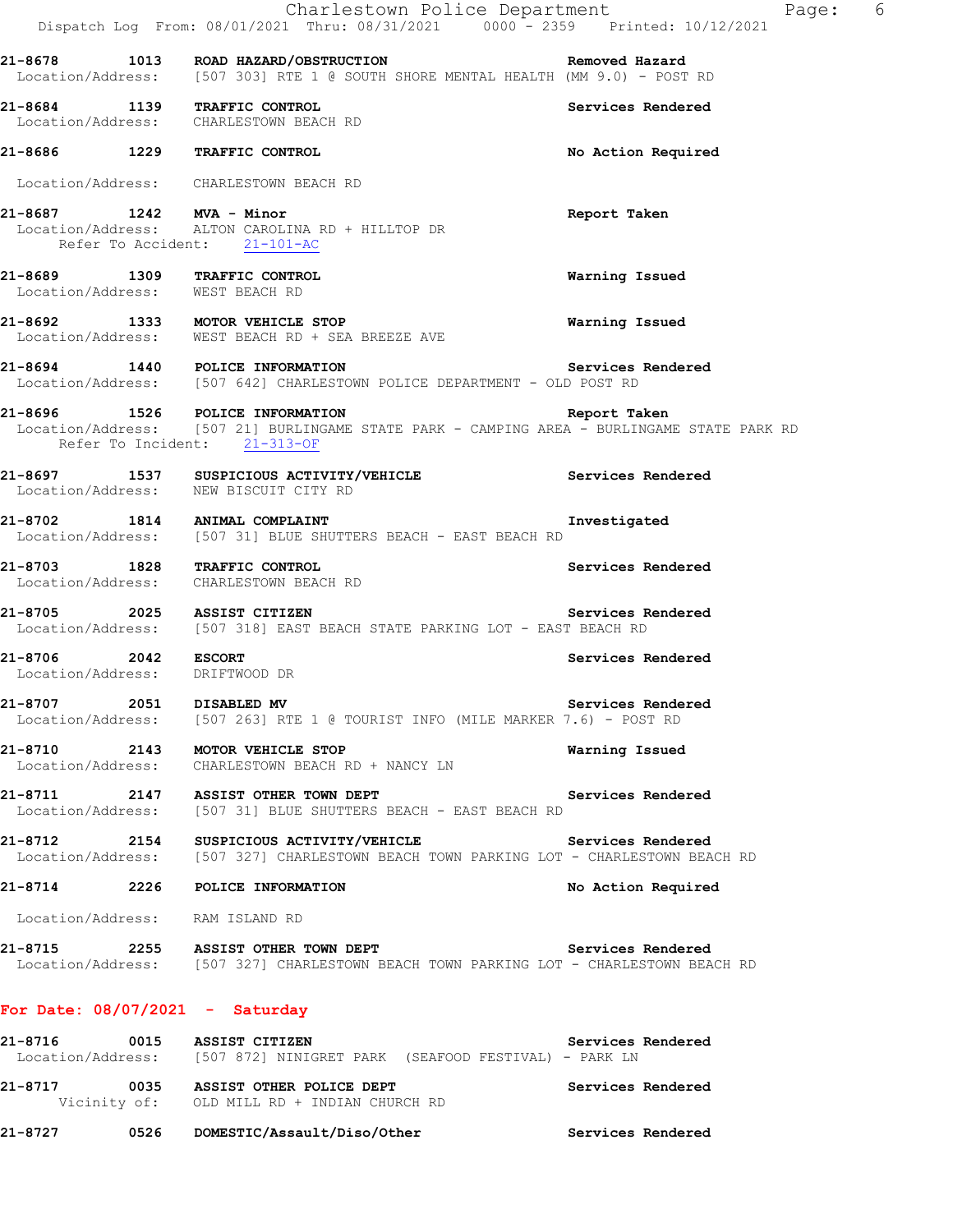|                     | Charlestown Police Department<br>Dispatch Log From: 08/01/2021 Thru: 08/31/2021 0000 <sup>-</sup> 2359 Printed: 10/12/2021                                                 |                    | Page: 6 |
|---------------------|----------------------------------------------------------------------------------------------------------------------------------------------------------------------------|--------------------|---------|
|                     | 21-8678 1013 ROAD HAZARD/OBSTRUCTION Nemoved Hazard<br>Location/Address: [507 303] RTE 1 @ SOUTH SHORE MENTAL HEALTH (MM 9.0) - POST RD                                    |                    |         |
|                     | 21-8684 1139 TRAFFIC CONTROL<br>Location/Address: CHARLESTOWN BEACH RD                                                                                                     | Services Rendered  |         |
|                     | 21-8686 1229 TRAFFIC CONTROL                                                                                                                                               | No Action Required |         |
|                     | Location/Address: CHARLESTOWN BEACH RD                                                                                                                                     |                    |         |
|                     | 21-8687 1242 MVA - Minor<br>Location/Address: ALTON CAROLINA RD + HILLTOP DR<br>Refer To Accident: 21-101-AC                                                               | Report Taken       |         |
|                     | 21-8689 1309 TRAFFIC CONTROL<br>Location/Address: WEST BEACH RD                                                                                                            | Warning Issued     |         |
|                     | 21-8692 1333 MOTOR VEHICLE STOP<br>Location/Address: WEST BEACH RD + SEA BREEZE AVE                                                                                        | Warning Issued     |         |
|                     | 21-8694 1440 POLICE INFORMATION<br>Location/Address: [507 642] CHARLESTOWN POLICE DEPARTMENT - OLD POST RD                                                                 | Services Rendered  |         |
|                     | 21-8696 1526 POLICE INFORMATION Report Taken<br>Location/Address: [507 21] BURLINGAME STATE PARK - CAMPING AREA - BURLINGAME STATE PARK RD<br>Refer To Incident: 21-313-OF |                    |         |
|                     | 21-8697 1537 SUSPICIOUS ACTIVITY/VEHICLE Services Rendered<br>Location/Address: NEW BISCUIT CITY RD                                                                        |                    |         |
|                     | 21-8702 1814 ANIMAL COMPLAINT<br>Location/Address: [507 31] BLUE SHUTTERS BEACH - EAST BEACH RD                                                                            | Investigated       |         |
|                     | 21-8703 1828 TRAFFIC CONTROL<br>Location/Address: CHARLESTOWN BEACH RD                                                                                                     | Services Rendered  |         |
|                     | 21-8705 2025 ASSIST CITIZEN<br>Location/Address: [507 318] EAST BEACH STATE PARKING LOT - EAST BEACH RD                                                                    | Services Rendered  |         |
| 21-8706 2042 ESCORT | Location/Address: DRIFTWOOD DR                                                                                                                                             | Services Rendered  |         |
|                     | 21-8707 2051 DISABLED MV<br>Location/Address: [507 263] RTE 1 @ TOURIST INFO (MILE MARKER 7.6) - POST RD                                                                   | Services Rendered  |         |
|                     | 21-8710 2143 MOTOR VEHICLE STOP<br>Location/Address: CHARLESTOWN BEACH RD + NANCY LN                                                                                       | Warning Issued     |         |
|                     | 21-8711 2147 ASSIST OTHER TOWN DEPT<br>Location/Address: [507 31] BLUE SHUTTERS BEACH - EAST BEACH RD                                                                      | Services Rendered  |         |
|                     | 21-8712 2154 SUSPICIOUS ACTIVITY/VEHICLE Services Rendered<br>Location/Address: [507 327] CHARLESTOWN BEACH TOWN PARKING LOT - CHARLESTOWN BEACH RD                        |                    |         |
|                     | 21-8714 2226 POLICE INFORMATION                                                                                                                                            | No Action Required |         |
|                     | Location/Address: RAM ISLAND RD                                                                                                                                            |                    |         |
|                     | 21-8715 2255 ASSIST OTHER TOWN DEPT<br>Location/Address: [507 327] CHARLESTOWN BEACH TOWN PARKING LOT - CHARLESTOWN BEACH RD                                               | Services Rendered  |         |
|                     | For Date: $08/07/2021 -$ Saturday                                                                                                                                          |                    |         |
|                     | 21-8716 0015 ASSIST CITIZEN<br>Location/Address: [507 872] NINIGRET PARK (SEAFOOD FESTIVAL) - PARK LN                                                                      | Services Rendered  |         |
|                     | 21-8717 0035 ASSIST OTHER POLICE DEPT<br>Vicinity of: OLD MILL RD + INDIAN CHURCH RD                                                                                       | Services Rendered  |         |
|                     |                                                                                                                                                                            | Services Rendered  |         |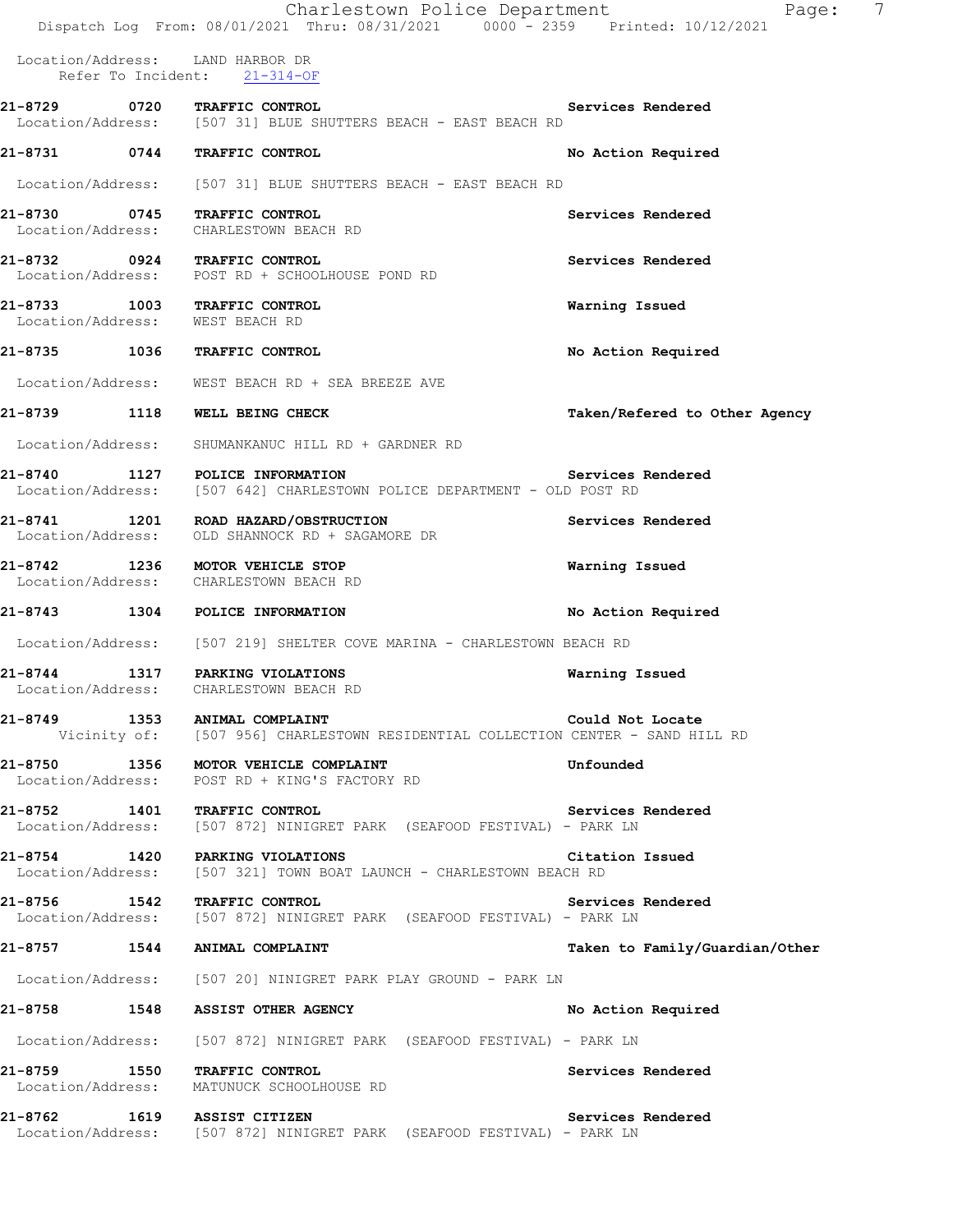|              | Charlestown Police Department<br>Dispatch Log From: 08/01/2021 Thru: 08/31/2021 0000 - 2359 Printed: 10/12/2021  | 7<br>Page:                     |
|--------------|------------------------------------------------------------------------------------------------------------------|--------------------------------|
|              | Location/Address: LAND HARBOR DR<br>Refer To Incident: 21-314-OF                                                 |                                |
|              | 21-8729 0720 TRAFFIC CONTROL                                                                                     | Services Rendered              |
|              | Location/Address: [507 31] BLUE SHUTTERS BEACH - EAST BEACH RD                                                   |                                |
|              | 21-8731 0744 TRAFFIC CONTROL                                                                                     | No Action Required             |
|              | Location/Address: [507 31] BLUE SHUTTERS BEACH - EAST BEACH RD                                                   |                                |
|              | 21-8730 0745 TRAFFIC CONTROL<br>Location/Address: CHARLESTOWN BEACH RD                                           | Services Rendered              |
|              | 21-8732 0924 TRAFFIC CONTROL<br>Location/Address: POST RD + SCHOOLHOUSE POND RD                                  | Services Rendered              |
|              | 21-8733 1003 TRAFFIC CONTROL<br>Location/Address: WEST BEACH RD                                                  | Warning Issued                 |
|              | 21-8735 1036 TRAFFIC CONTROL                                                                                     | No Action Required             |
|              | Location/Address: WEST BEACH RD + SEA BREEZE AVE                                                                 |                                |
| 21-8739 1118 | WELL BEING CHECK                                                                                                 | Taken/Refered to Other Agency  |
|              | Location/Address: SHUMANKANUC HILL RD + GARDNER RD                                                               |                                |
|              | 21-8740 1127 POLICE INFORMATION<br>Location/Address: [507 642] CHARLESTOWN POLICE DEPARTMENT - OLD POST RD       | Services Rendered              |
|              | 21-8741 1201 ROAD HAZARD/OBSTRUCTION<br>Location/Address: OLD SHANNOCK RD + SAGAMORE DR                          | Services Rendered              |
|              | 21-8742 1236 MOTOR VEHICLE STOP<br>Location/Address: CHARLESTOWN BEACH RD                                        | Warning Issued                 |
|              | 21-8743 1304 POLICE INFORMATION                                                                                  | No Action Required             |
|              | Location/Address: [507 219] SHELTER COVE MARINA - CHARLESTOWN BEACH RD                                           |                                |
|              | 21-8744 1317 PARKING VIOLATIONS<br>Location/Address: CHARLESTOWN BEACH RD                                        | Warning Issued                 |
|              | 21-8749 1353 ANIMAL COMPLAINT<br>Vicinity of: [507 956] CHARLESTOWN RESIDENTIAL COLLECTION CENTER - SAND HILL RD | Could Not Locate               |
|              | 21-8750 1356 MOTOR VEHICLE COMPLAINT<br>Location/Address: POST RD + KING'S FACTORY RD                            | Unfounded                      |
|              | 21-8752 1401 TRAFFIC CONTROL<br>Location/Address: [507 872] NINIGRET PARK (SEAFOOD FESTIVAL) - PARK LN           | Services Rendered              |
|              | 21-8754 1420 PARKING VIOLATIONS<br>Location/Address: [507 321] TOWN BOAT LAUNCH - CHARLESTOWN BEACH RD           | Citation Issued                |
|              | 21-8756 1542 TRAFFIC CONTROL<br>Location/Address: [507 872] NINIGRET PARK (SEAFOOD FESTIVAL) - PARK LN           | Services Rendered              |
|              | 21-8757 1544 ANIMAL COMPLAINT                                                                                    | Taken to Family/Guardian/Other |
|              | Location/Address: [507 20] NINIGRET PARK PLAY GROUND - PARK LN                                                   |                                |
|              | 21-8758 1548 ASSIST OTHER AGENCY                                                                                 | No Action Required             |
|              | Location/Address: [507 872] NINIGRET PARK (SEAFOOD FESTIVAL) - PARK LN                                           |                                |
|              | 21-8759 1550 TRAFFIC CONTROL<br>Location/Address: MATUNUCK SCHOOLHOUSE RD                                        | Services Rendered              |
|              | 21-8762 1619 ASSIST CITIZEN<br>Location/Address: [507 872] NINIGRET PARK (SEAFOOD FESTIVAL) - PARK LN            | Services Rendered              |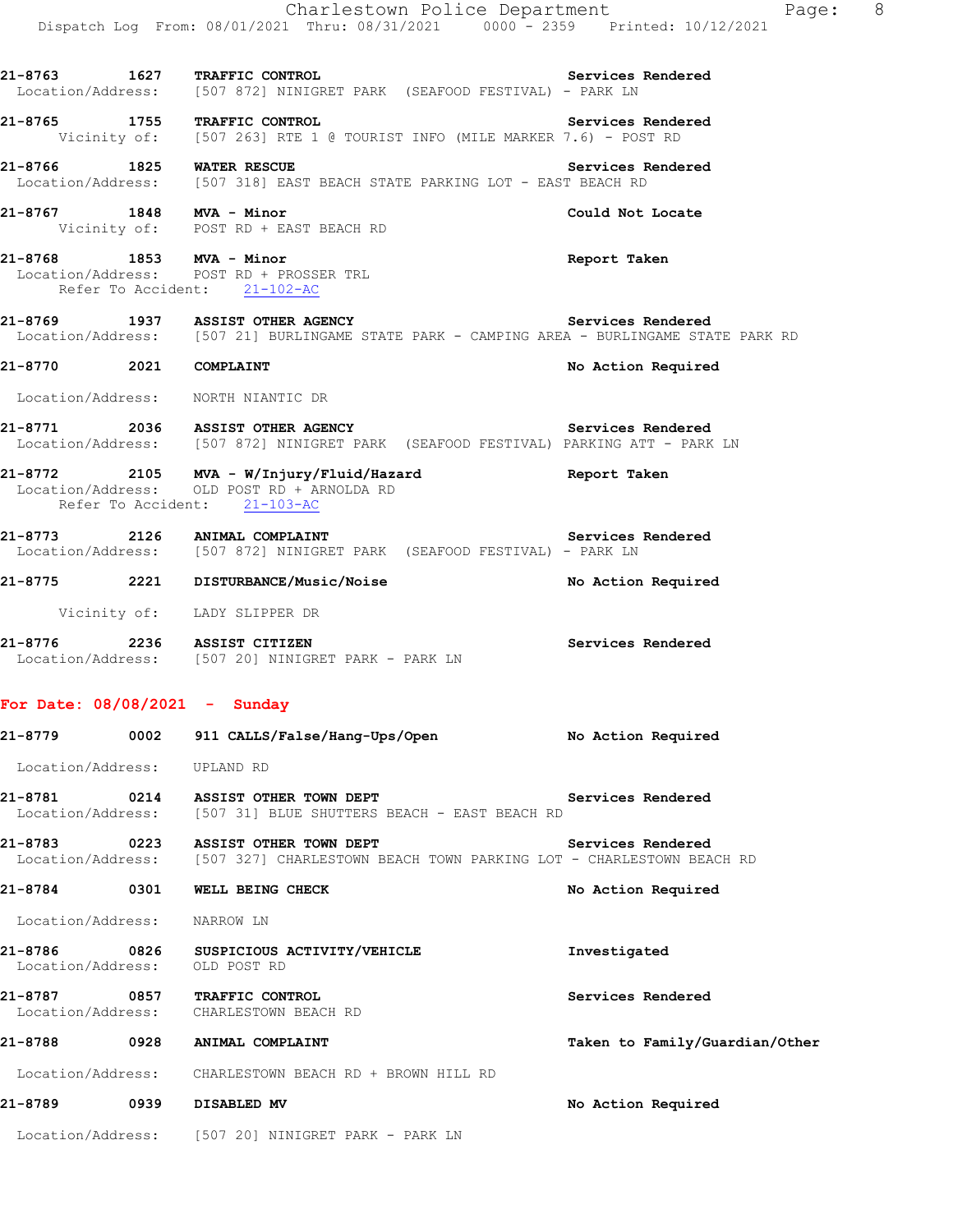|                                 | Charlestown Police Department<br>Dispatch Log From: 08/01/2021 Thru: 08/31/2021 0000 <sup>-</sup> 2359 Printed: 10/12/2021                       | Page: 8                        |
|---------------------------------|--------------------------------------------------------------------------------------------------------------------------------------------------|--------------------------------|
|                                 | 21-8763 1627 TRAFFIC CONTROL Services<br>Location/Address: [507 872] NINIGRET PARK (SEAFOOD FESTIVAL) - PARK LN                                  | Services Rendered              |
|                                 | 21-8765 1755 TRAFFIC CONTROL<br>Vicinity of: [507 263] RTE 1 @ TOURIST INFO (MILE MARKER 7.6) - POST RD                                          | Services Rendered              |
| 21-8766 1825 WATER RESCUE       | Location/Address: [507 318] EAST BEACH STATE PARKING LOT - EAST BEACH RD                                                                         | Services Rendered              |
| 21-8767 1848 MVA - Minor        | Vicinity of: POST RD + EAST BEACH RD                                                                                                             | Could Not Locate               |
|                                 | 21-8768 1853 MVA - Minor<br>Location/Address: POST RD + PROSSER TRL<br>Refer To Accident: 21-102-AC                                              | Report Taken                   |
|                                 | 21-8769 1937 ASSIST OTHER AGENCY Services Rendered<br>Location/Address: [507 21] BURLINGAME STATE PARK - CAMPING AREA - BURLINGAME STATE PARK RD |                                |
| 21-8770 2021 COMPLAINT          |                                                                                                                                                  | No Action Required             |
|                                 | Location/Address: NORTH NIANTIC DR                                                                                                               |                                |
|                                 | 21-8771 2036 ASSIST OTHER AGENCY NE Services Rendered<br>Location/Address: [507 872] NINIGRET PARK (SEAFOOD FESTIVAL) PARKING ATT - PARK LN      |                                |
|                                 | 21-8772 2105 MVA - W/Injury/Fluid/Hazard <b>1988 Report Taken</b><br>Location/Address: OLD POST RD + ARNOLDA RD<br>Refer To Accident: 21-103-AC  |                                |
|                                 | 21-8773 2126 ANIMAL COMPLAINT<br>Location/Address: [507 872] NINIGRET PARK (SEAFOOD FESTIVAL) - PARK LN                                          | Services Rendered              |
|                                 | 21-8775 2221 DISTURBANCE/Music/Noise                                                                                                             | No Action Required             |
|                                 | Vicinity of: LADY SLIPPER DR                                                                                                                     |                                |
|                                 | 21-8776 2236 ASSIST CITIZEN<br>Location/Address: [507 20] NINIGRET PARK - PARK LN                                                                | Services Rendered              |
| For Date: $08/08/2021 -$ Sunday |                                                                                                                                                  |                                |
|                                 | 21-8779      0002   911 CALLS/False/Hang-Ups/Open          No Action Required                                                                    |                                |
| Location/Address: UPLAND RD     |                                                                                                                                                  |                                |
|                                 | 21-8781 0214 ASSIST OTHER TOWN DEPT<br>Location/Address: [507 31] BLUE SHUTTERS BEACH - EAST BEACH RD                                            | Services Rendered              |
|                                 | 21-8783 0223 ASSIST OTHER TOWN DEPT<br>Location/Address: [507 327] CHARLESTOWN BEACH TOWN PARKING LOT - CHARLESTOWN BEACH RD                     | Services Rendered              |
|                                 | 21-8784 0301 WELL BEING CHECK                                                                                                                    | No Action Required             |
| Location/Address:               | NARROW LN                                                                                                                                        |                                |
| Location/Address:               | 21-8786 0826 SUSPICIOUS ACTIVITY/VEHICLE<br>OLD POST RD                                                                                          | Investigated                   |
| 21-8787                         | 0857 TRAFFIC CONTROL<br>Location/Address: CHARLESTOWN BEACH RD                                                                                   | Services Rendered              |
|                                 | 21-8788 0928 ANIMAL COMPLAINT                                                                                                                    | Taken to Family/Guardian/Other |
|                                 | Location/Address: CHARLESTOWN BEACH RD + BROWN HILL RD                                                                                           |                                |
|                                 |                                                                                                                                                  | No Action Required             |
|                                 | Location/Address: [507 20] NINIGRET PARK - PARK LN                                                                                               |                                |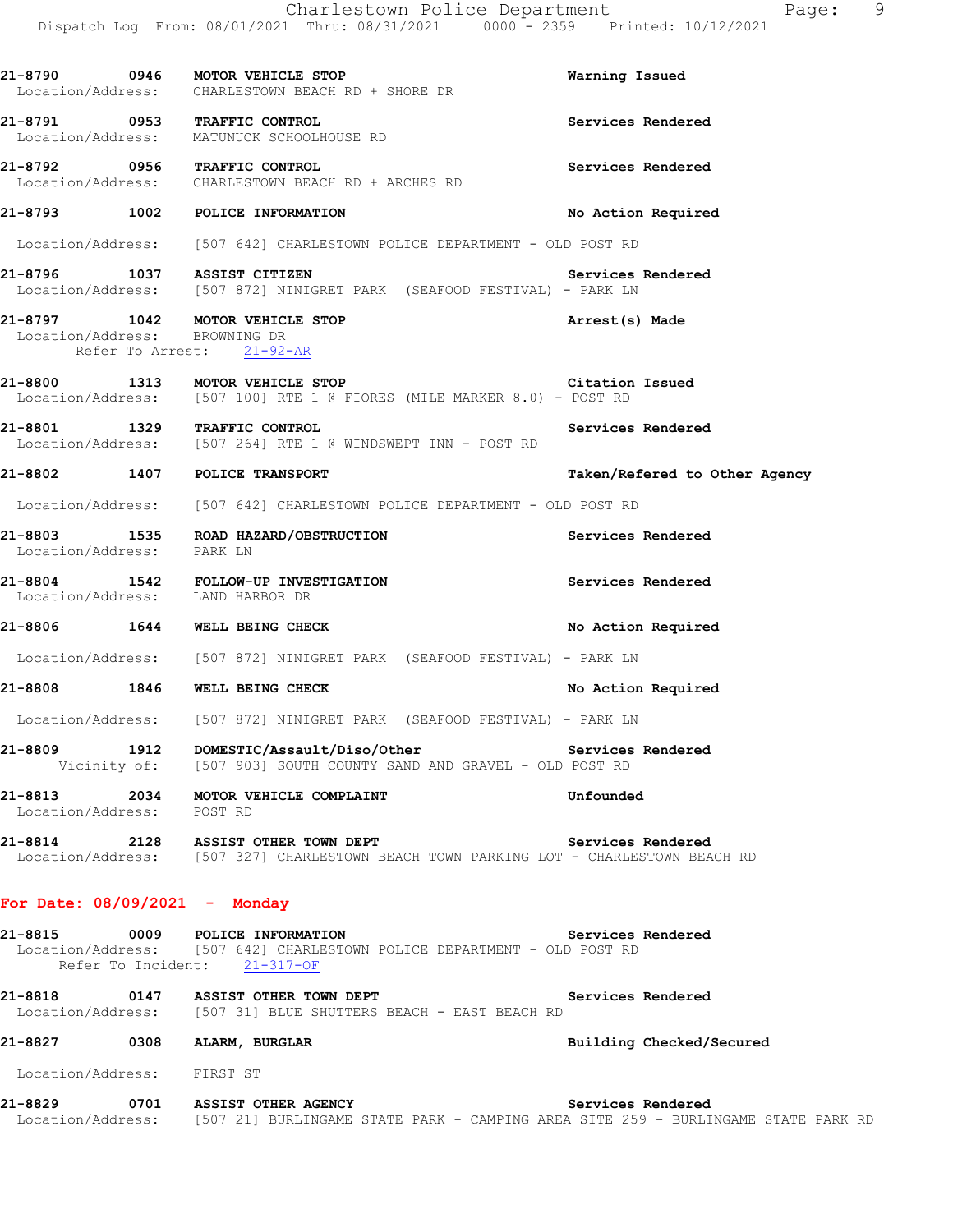Charlestown Police Department Fage: 9 Dispatch Log From: 08/01/2021 Thru: 08/31/2021 0000 - 2359 Printed: 10/12/2021 **21-8790 0946 MOTOR VEHICLE STOP Warning Issued**  Location/Address: CHARLESTOWN BEACH RD + SHORE DR **21-8791 0953 TRAFFIC CONTROL Services Rendered**  Location/Address: MATUNUCK SCHOOLHOUSE RD **21-8792 0956 TRAFFIC CONTROL Services Rendered**  Location/Address: CHARLESTOWN BEACH RD + ARCHES RD **21-8793 1002 POLICE INFORMATION No Action Required**  Location/Address: [507 642] CHARLESTOWN POLICE DEPARTMENT - OLD POST RD **21-8796 1037 ASSIST CITIZEN Services Rendered**  Location/Address: [507 872] NINIGRET PARK (SEAFOOD FESTIVAL) - PARK LN **21-8797 1042 MOTOR VEHICLE STOP Arrest(s) Made**  Location/Address: BROWNING DR Refer To Arrest: 21-92-AR **21-8800 1313 MOTOR VEHICLE STOP Citation Issued**  Location/Address: [507 100] RTE 1 @ FIORES (MILE MARKER 8.0) - POST RD 21-8801 1329 TRAFFIC CONTROL **Services Rendered** Services Rendered Section/Address: [507 264] RTE 1 @ WINDSWEPT INN - POST RD [507 264] RTE 1 @ WINDSWEPT INN - POST RD **21-8802 1407 POLICE TRANSPORT Taken/Refered to Other Agency** Location/Address: [507 642] CHARLESTOWN POLICE DEPARTMENT - OLD POST RD **21-8803 1535 ROAD HAZARD/OBSTRUCTION Services Rendered**  Location/Address: PARK LN **21-8804 1542 FOLLOW-UP INVESTIGATION Services Rendered Services Rendered Intervention** Location/Address: **21-8806 1644 WELL BEING CHECK No Action Required**  Location/Address: [507 872] NINIGRET PARK (SEAFOOD FESTIVAL) - PARK LN **21-8808 1846 WELL BEING CHECK No Action Required**  Location/Address: [507 872] NINIGRET PARK (SEAFOOD FESTIVAL) - PARK LN **21-8809 1912 DOMESTIC/Assault/Diso/Other Services Rendered**  Vicinity of: [507 903] SOUTH COUNTY SAND AND GRAVEL - OLD POST RD **21-8813** 2034 MOTOR VEHICLE COMPLAINT Unfounded Unfounded Location/Address: POST RD Location/Address: **21-8814 2128 ASSIST OTHER TOWN DEPT Services Rendered**  Location/Address: [507 327] CHARLESTOWN BEACH TOWN PARKING LOT - CHARLESTOWN BEACH RD **For Date: 08/09/2021 - Monday 21-8815 0009 POLICE INFORMATION Services Rendered** 

 Location/Address: [507 642] CHARLESTOWN POLICE DEPARTMENT - OLD POST RD Refer To Incident: 21-317-OF

**21-8818 0147 ASSIST OTHER TOWN DEPT Services Rendered**  Location/Address: [507 31] BLUE SHUTTERS BEACH - EAST BEACH RD

**21-8827 0308 ALARM, BURGLAR Building Checked/Secured** 

Location/Address: FIRST ST

**21-8829 0701 ASSIST OTHER AGENCY Services Rendered**  Location/Address: [507 21] BURLINGAME STATE PARK - CAMPING AREA SITE 259 - BURLINGAME STATE PARK RD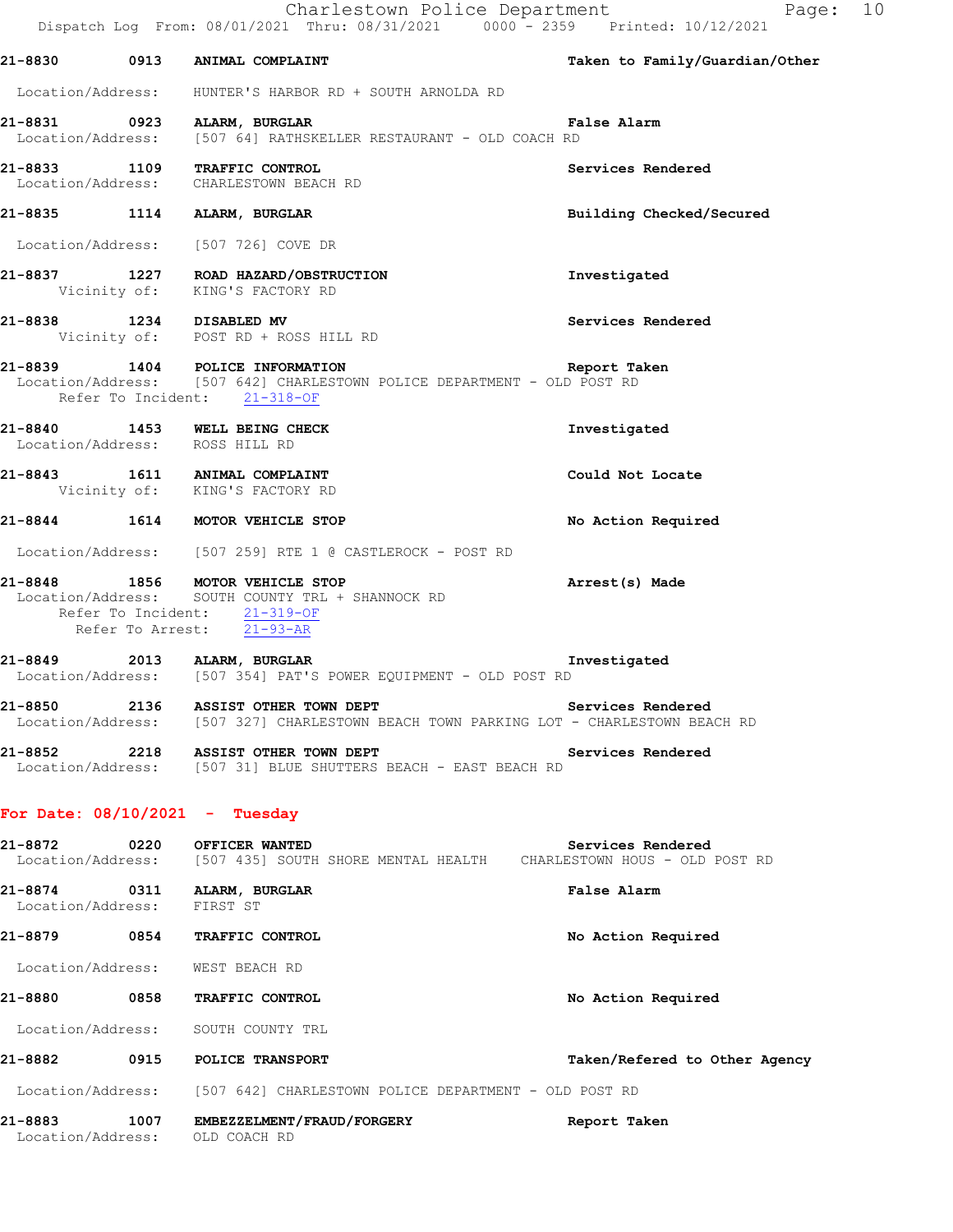| 21-8830           | 0913 | ANIMAL COMPLAINT                      | Taken to Family/Guardian/Other |
|-------------------|------|---------------------------------------|--------------------------------|
| Location/Address: |      | HUNTER'S HARBOR RD + SOUTH ARNOLDA RD |                                |

# **21-8831 0923 ALARM, BURGLAR False Alarm**  Location/Address: [507 64] RATHSKELLER RESTAURANT - OLD COACH RD

**21-8833 1109 TRAFFIC CONTROL Services Rendered**  Location/Address: CHARLESTOWN BEACH RD

**21-8835 1114 ALARM, BURGLAR Building Checked/Secured** 

Location/Address: [507 726] COVE DR

**21-8837 1227 ROAD HAZARD/OBSTRUCTION Investigated**  Vicinity of: KING'S FACTORY RD

**21-8838 1234 DISABLED MV Services Rendered**  Vicinity of: POST RD + ROSS HILL RD

## **21-8839 1404 POLICE INFORMATION Report Taken**  Location/Address: [507 642] CHARLESTOWN POLICE DEPARTMENT - OLD POST RD Refer To Incident: 21-318-OF

**21-8840 1453 WELL BEING CHECK Investigated**  Location/Address: ROSS HILL RD

**21-8843 1611 ANIMAL COMPLAINT Could Not Locate**  Vicinity of: KING'S FACTORY RD

**21-8844 1614 MOTOR VEHICLE STOP No Action Required** 

Location/Address: [507 259] RTE 1 @ CASTLEROCK - POST RD

### **21-8848 1856 MOTOR VEHICLE STOP Arrest(s) Made**  Location/Address: SOUTH COUNTY TRL + SHANNOCK RD Refer To Incident: 21-319-OF Refer To Arrest: 21-93-AR

**21-8849 2013 ALARM, BURGLAR Investigated**  Location/Address: [507 354] PAT'S POWER EQUIPMENT - OLD POST RD

**21-8850 2136 ASSIST OTHER TOWN DEPT Services Rendered**  Location/Address: [507 327] CHARLESTOWN BEACH TOWN PARKING LOT - CHARLESTOWN BEACH RD

**21-8852 2218 ASSIST OTHER TOWN DEPT Services Rendered**  Location/Address: [507 31] BLUE SHUTTERS BEACH - EAST BEACH RD

# **For Date: 08/10/2021 - Tuesday**

| 21-8872                      | 0220 | OFFICER WANTED                                        | Services Rendered              |
|------------------------------|------|-------------------------------------------------------|--------------------------------|
| Location/Address:            |      | [507 435] SOUTH SHORE MENTAL HEALTH                   | CHARLESTOWN HOUS - OLD POST RD |
| 21-8874<br>Location/Address: | 0311 | ALARM, BURGLAR<br>FIRST ST                            | <b>False Alarm</b>             |
| 21-8879                      | 0854 | TRAFFIC CONTROL                                       | No Action Required             |
| Location/Address:            |      | WEST BEACH RD                                         |                                |
| 21-8880                      | 0858 | TRAFFIC CONTROL                                       | No Action Required             |
|                              |      | Location/Address: SOUTH COUNTY TRL                    |                                |
| 21-8882                      | 0915 | POLICE TRANSPORT                                      | Taken/Refered to Other Agency  |
| Location/Address:            |      | [507 642] CHARLESTOWN POLICE DEPARTMENT - OLD POST RD |                                |
| 21-8883<br>Location/Address: | 1007 | EMBEZZELMENT/FRAUD/FORGERY<br>OLD COACH RD            | Report Taken                   |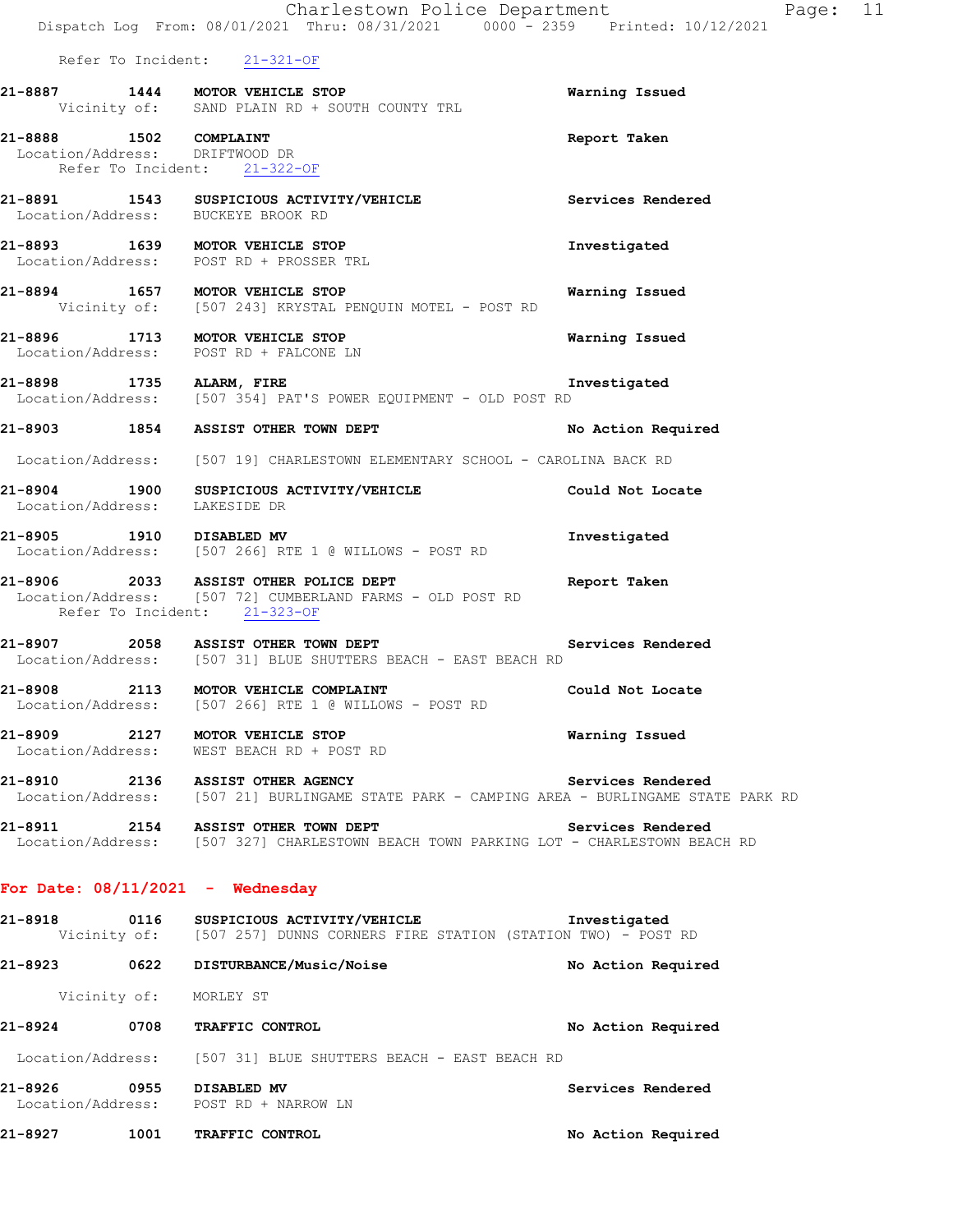|                                                                                          | Dispatch Log From: 08/01/2021 Thru: 08/31/2021 0000 - 2359 Printed: 10/12/2021                                                                    |                    |
|------------------------------------------------------------------------------------------|---------------------------------------------------------------------------------------------------------------------------------------------------|--------------------|
| Refer To Incident: 21-321-OF                                                             |                                                                                                                                                   |                    |
| 21-8887 1444 MOTOR VEHICLE STOP                                                          | Vicinity of: SAND PLAIN RD + SOUTH COUNTY TRL                                                                                                     | Warning Issued     |
| 21-8888 1502 COMPLAINT<br>Location/Address: DRIFTWOOD DR<br>Refer To Incident: 21-322-OF |                                                                                                                                                   | Report Taken       |
|                                                                                          | 21-8891 1543 SUSPICIOUS ACTIVITY/VEHICLE Services Rendered Location/Address: BUCKEYE BROOK RD                                                     |                    |
|                                                                                          | 21-8893 1639 MOTOR VEHICLE STOP<br>Location/Address: POST RD + PROSSER TRL                                                                        | Investigated       |
|                                                                                          | 21-8894 1657 MOTOR VEHICLE STOP<br>Vicinity of: [507 243] KRYSTAL PENQUIN MOTEL - POST RD                                                         | Warning Issued     |
|                                                                                          | 21-8896 1713 MOTOR VEHICLE STOP<br>Location/Address: POST RD + FALCONE LN                                                                         | Warning Issued     |
|                                                                                          | 21-8898 1735 ALARM, FIRE<br>Location/Address: [507 354] PAT'S POWER EQUIPMENT - OLD POST RD                                                       | Investigated       |
|                                                                                          | 21-8903 1854 ASSIST OTHER TOWN DEPT                                                                                                               | No Action Required |
|                                                                                          | Location/Address: [507 19] CHARLESTOWN ELEMENTARY SCHOOL - CAROLINA BACK RD                                                                       |                    |
| Location/Address: LAKESIDE DR                                                            | 21-8904 1900 SUSPICIOUS ACTIVITY/VEHICLE Could Not Locate                                                                                         |                    |
|                                                                                          | 21-8905 1910 DISABLED MV<br>Location/Address: [507 266] RTE 1 @ WILLOWS - POST RD                                                                 | Investigated       |
| Refer To Incident: 21-323-OF                                                             | 21-8906 2033 ASSIST OTHER POLICE DEPT<br>Location/Address: [507 72] CUMBERLAND FARMS - OLD POST RD                                                | Report Taken       |
|                                                                                          | Services Rendered<br>21-8907 2058 ASSIST OTHER TOWN DEPT<br>Location/Address: [507 31] BLUE SHUTTERS BEACH - EAST BEACH RD                        |                    |
|                                                                                          | 21-8908 2113 MOTOR VEHICLE COMPLAINT<br>Location/Address: [507 266] RTE 1 @ WILLOWS - POST RD                                                     | Could Not Locate   |
|                                                                                          | 21-8909 2127 MOTOR VEHICLE STOP<br>Location/Address: WEST BEACH RD + POST RD                                                                      | Warning Issued     |
| 21-8910 2136 ASSIST OTHER AGENCY                                                         | Location/Address: [507 21] BURLINGAME STATE PARK - CAMPING AREA - BURLINGAME STATE PARK RD                                                        | Services Rendered  |
|                                                                                          | 21-8911 2154 ASSIST OTHER TOWN DEPT<br>Location/Address: [507 327] CHARLESTOWN BEACH TOWN PARKING LOT - CHARLESTOWN BEACH RD                      | Services Rendered  |
| For Date: $08/11/2021$ - Wednesday                                                       |                                                                                                                                                   |                    |
|                                                                                          | 21-8918     0116   SUSPICIOUS ACTIVITY/VEHICLE          Investigated<br>Vicinity of: [507 257] DUNNS CORNERS FIRE STATION (STATION TWO) - POST RD |                    |
|                                                                                          | 21-8923 0622 DISTURBANCE/Music/Noise                                                                                                              | No Action Required |
| Vicinity of: MORLEY ST                                                                   |                                                                                                                                                   |                    |
| 21-8924 0708 TRAFFIC CONTROL                                                             |                                                                                                                                                   | No Action Required |
|                                                                                          | Location/Address: [507 31] BLUE SHUTTERS BEACH - EAST BEACH RD                                                                                    |                    |
| 0955 DISABLED MV<br>21-8926<br>Location/Address: POST RD + NARROW LN                     |                                                                                                                                                   | Services Rendered  |

**21-8927 1001 TRAFFIC CONTROL No Action Required** 

Charlestown Police Department Fage: 11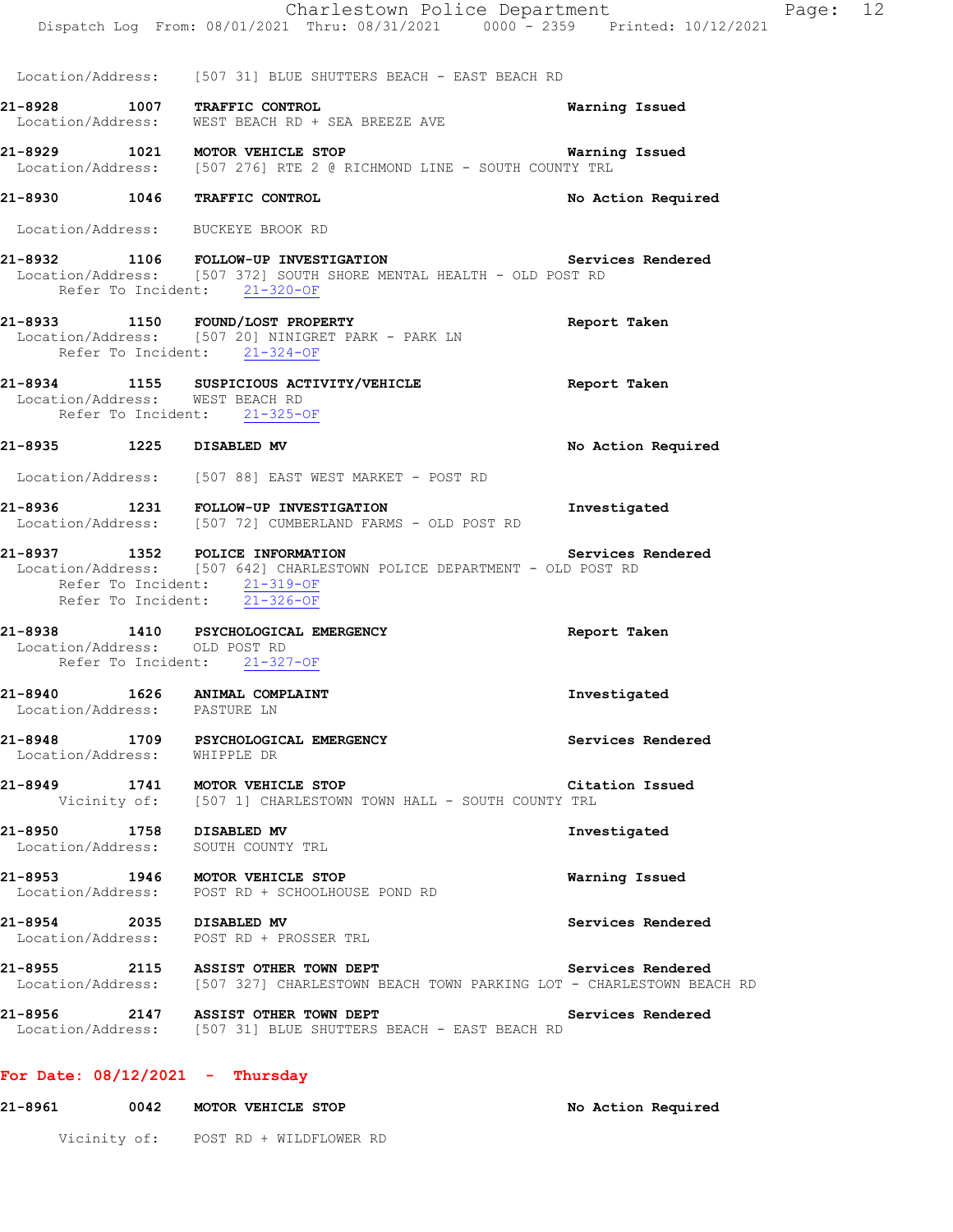|                                                 | Charlestown Police Department<br>Dispatch Log From: 08/01/2021 Thru: 08/31/2021 0000 <sup>-</sup> 2359 Printed: 10/12/2021                                                 | Page: 12              |
|-------------------------------------------------|----------------------------------------------------------------------------------------------------------------------------------------------------------------------------|-----------------------|
|                                                 |                                                                                                                                                                            |                       |
|                                                 | Location/Address: [507 31] BLUE SHUTTERS BEACH - EAST BEACH RD                                                                                                             |                       |
|                                                 | 21-8928 1007 TRAFFIC CONTROL<br>Location/Address: WEST BEACH RD + SEA BREEZE AVE                                                                                           | Warning Issued        |
|                                                 | 21-8929 1021 MOTOR VEHICLE STOP<br>Location/Address: [507 276] RTE 2 @ RICHMOND LINE - SOUTH COUNTY TRL                                                                    | <b>Warning Issued</b> |
|                                                 | 21-8930 1046 TRAFFIC CONTROL                                                                                                                                               | No Action Required    |
|                                                 | Location/Address: BUCKEYE BROOK RD                                                                                                                                         |                       |
|                                                 | 21-8932 1106 FOLLOW-UP INVESTIGATION 1990 Services Rendered<br>Location/Address: [507 372] SOUTH SHORE MENTAL HEALTH - OLD POST RD<br>Refer To Incident: 21-320-OF         |                       |
|                                                 | 21-8933 1150 FOUND/LOST PROPERTY<br>Location/Address: [507 20] NINIGRET PARK - PARK LN<br>Refer To Incident: 21-324-OF                                                     | Report Taken          |
| Location/Address: WEST BEACH RD                 | 21-8934 1155 SUSPICIOUS ACTIVITY/VEHICLE<br>Refer To Incident: 21-325-OF                                                                                                   | Report Taken          |
| 21-8935 1225 DISABLED MV                        |                                                                                                                                                                            | No Action Required    |
|                                                 | Location/Address: [507 88] EAST WEST MARKET - POST RD                                                                                                                      |                       |
|                                                 | 21-8936 1231 FOLLOW-UP INVESTIGATION<br>Location/Address: [507 72] CUMBERLAND FARMS - OLD POST RD                                                                          | Investigated          |
|                                                 | 21-8937 1352 POLICE INFORMATION<br>Location/Address: [507 642] CHARLESTOWN POLICE DEPARTMENT - OLD POST RD<br>Refer To Incident: 21-319-OF<br>Refer To Incident: 21-326-OF | Services Rendered     |
| Location/Address: OLD POST RD                   | 21-8938 1410 PSYCHOLOGICAL EMERGENCY<br>Refer To Incident: 21-327-OF                                                                                                       | Report Taken          |
| 21-8940<br>1626<br>Location/Address: PASTURE LN | ANIMAL COMPLAINT                                                                                                                                                           | Investigated          |
|                                                 | 21-8948 1709 PSYCHOLOGICAL EMERGENCY<br>Location/Address: WHIPPLE DR                                                                                                       | Services Rendered     |
|                                                 | 21-8949 1741 MOTOR VEHICLE STOP Cita<br>Vicinity of: [507 1] CHARLESTOWN TOWN HALL - SOUTH COUNTY TRL                                                                      | Citation Issued       |
|                                                 | 21-8950 1758 DISABLED MV<br>Location/Address: SOUTH COUNTY TRL                                                                                                             | Investigated          |
|                                                 | 21-8953 1946 MOTOR VEHICLE STOP<br>Location/Address: POST RD + SCHOOLHOUSE POND RD                                                                                         | Warning Issued        |
|                                                 | 21-8954 2035 DISABLED MV<br>Location/Address: POST RD + PROSSER TRL                                                                                                        | Services Rendered     |
|                                                 | 21-8955 2115 ASSIST OTHER TOWN DEPT SERVICES Rendered<br>Location/Address: [507 327] CHARLESTOWN BEACH TOWN PARKING LOT - CHARLESTOWN BEACH RD                             |                       |
|                                                 | 21-8956 2147 ASSIST OTHER TOWN DEPT<br>Location/Address: [507 31] BLUE SHUTTERS BEACH - EAST BEACH RD                                                                      | Services Rendered     |
| For Date: $08/12/2021$ - Thursday               |                                                                                                                                                                            |                       |
| 21-8961                                         | 0042 MOTOR VEHICLE STOP                                                                                                                                                    | No Action Required    |

Vicinity of: POST RD + WILDFLOWER RD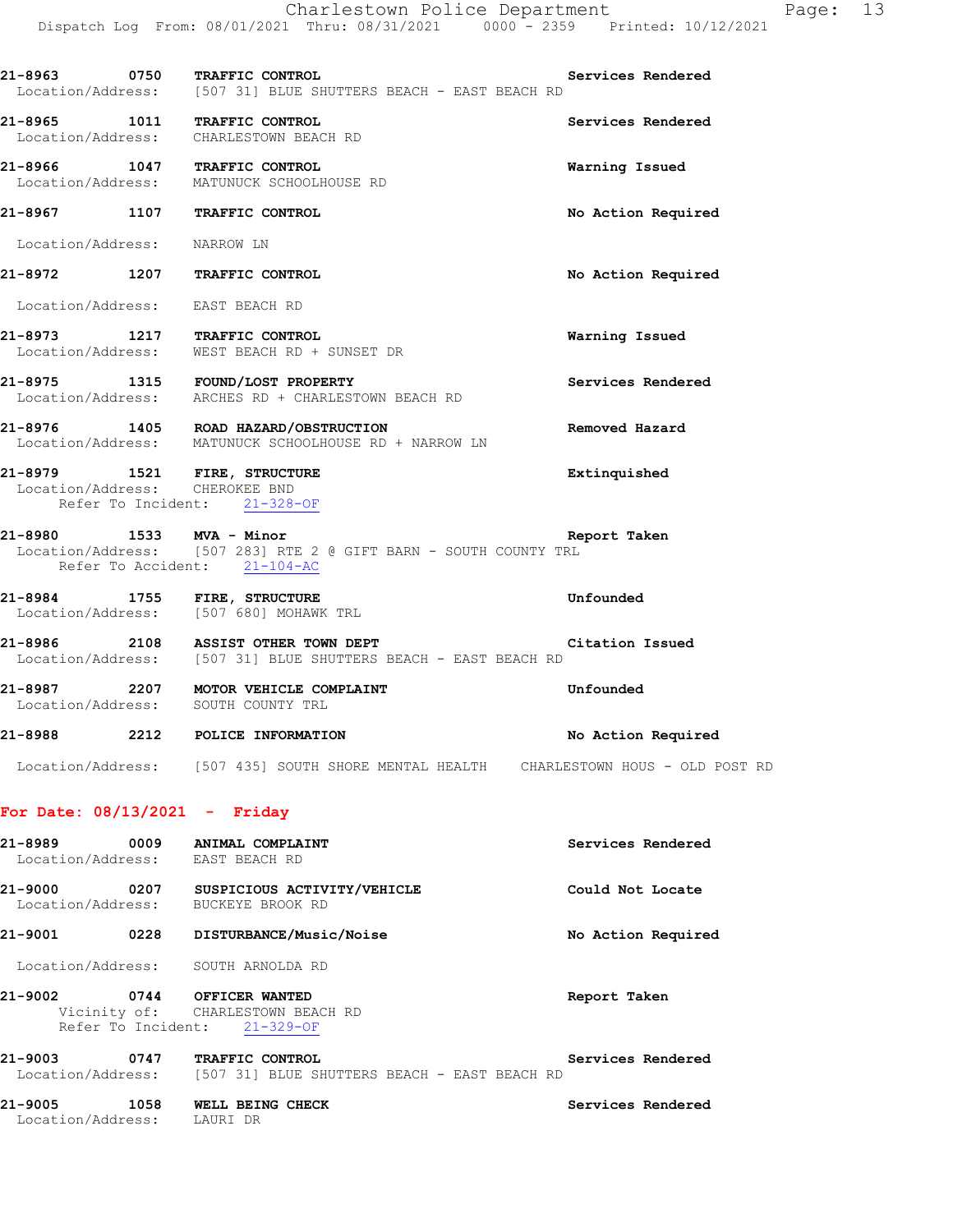|                             | 21-8963 0750 TRAFFIC CONTROL<br>Location/Address: [507 31] BLUE SHUTTERS BEACH - EAST BEACH RD                               | Services Rendered  |
|-----------------------------|------------------------------------------------------------------------------------------------------------------------------|--------------------|
|                             | 21-8965 1011 TRAFFIC CONTROL<br>Location/Address: CHARLESTOWN BEACH RD                                                       | Services Rendered  |
|                             | 21-8966 1047 TRAFFIC CONTROL<br>Location/Address: MATUNUCK SCHOOLHOUSE RD                                                    | Warning Issued     |
|                             | 21-8967 1107 TRAFFIC CONTROL                                                                                                 | No Action Required |
| Location/Address: NARROW LN |                                                                                                                              |                    |
|                             | 21-8972 1207 TRAFFIC CONTROL                                                                                                 | No Action Required |
|                             | Location/Address: EAST BEACH RD                                                                                              |                    |
|                             | 21-8973 1217 TRAFFIC CONTROL<br>Location/Address: WEST BEACH RD + SUNSET DR                                                  | Warning Issued     |
|                             | 21-8975 1315 FOUND/LOST PROPERTY<br>Location/Address: ARCHES RD + CHARLESTOWN BEACH RD                                       | Services Rendered  |
|                             | 21-8976 1405 ROAD HAZARD/OBSTRUCTION<br>Location/Address: MATUNUCK SCHOOLHOUSE RD + NARROW LN                                | Removed Hazard     |
|                             | 21-8979 1521 FIRE, STRUCTURE<br>Location/Address: CHEROKEE BND<br>Refer To Incident: 21-328-OF                               | Extinquished       |
|                             | 21-8980 1533 MVA - Minor<br>Location/Address: [507 283] RTE 2 @ GIFT BARN - SOUTH COUNTY TRL<br>Refer To Accident: 21-104-AC | Report Taken       |
|                             | 21-8984 1755 FIRE, STRUCTURE<br>Location/Address: [507 680] MOHAWK TRL                                                       | Unfounded          |
|                             | 21-8986 2108 ASSIST OTHER TOWN DEPT<br>Location/Address: [507 31] BLUE SHUTTERS BEACH - EAST BEACH RD                        | Citation Issued    |
|                             | 21-8987 2207 MOTOR VEHICLE COMPLAINT<br>Location/Address: SOUTH COUNTY TRL                                                   | Unfounded          |
|                             | 21-8988 2212 POLICE INFORMATION                                                                                              | No Action Required |
|                             | Location/Address: [507 435] SOUTH SHORE MENTAL HEALTH CHARLESTOWN HOUS - OLD POST RD                                         |                    |

# **For Date: 08/13/2021 - Friday**

| 21-8989                      | 0009 | ANIMAL COMPLAINT<br>Location/Address: EAST BEACH RD                                      | Services Rendered  |
|------------------------------|------|------------------------------------------------------------------------------------------|--------------------|
| 21-9000<br>Location/Address: | 0207 | SUSPICIOUS ACTIVITY/VEHICLE<br>BUCKEYE BROOK RD                                          | Could Not Locate   |
| 21-9001                      | 0228 | DISTURBANCE/Music/Noise                                                                  | No Action Required |
|                              |      | Location/Address: SOUTH ARNOLDA RD                                                       |                    |
| 21-9002                      |      | 0744 OFFICER WANTED<br>Vicinity of: CHARLESTOWN BEACH RD<br>Refer To Incident: 21-329-OF | Report Taken       |
| 21-9003                      | 0747 | TRAFFIC CONTROL<br>Location/Address: [507 31] BLUE SHUTTERS BEACH - EAST BEACH RD        | Services Rendered  |
| 21-9005<br>Location/Address: | 1058 | WELL BEING CHECK<br>LAURI DR                                                             | Services Rendered  |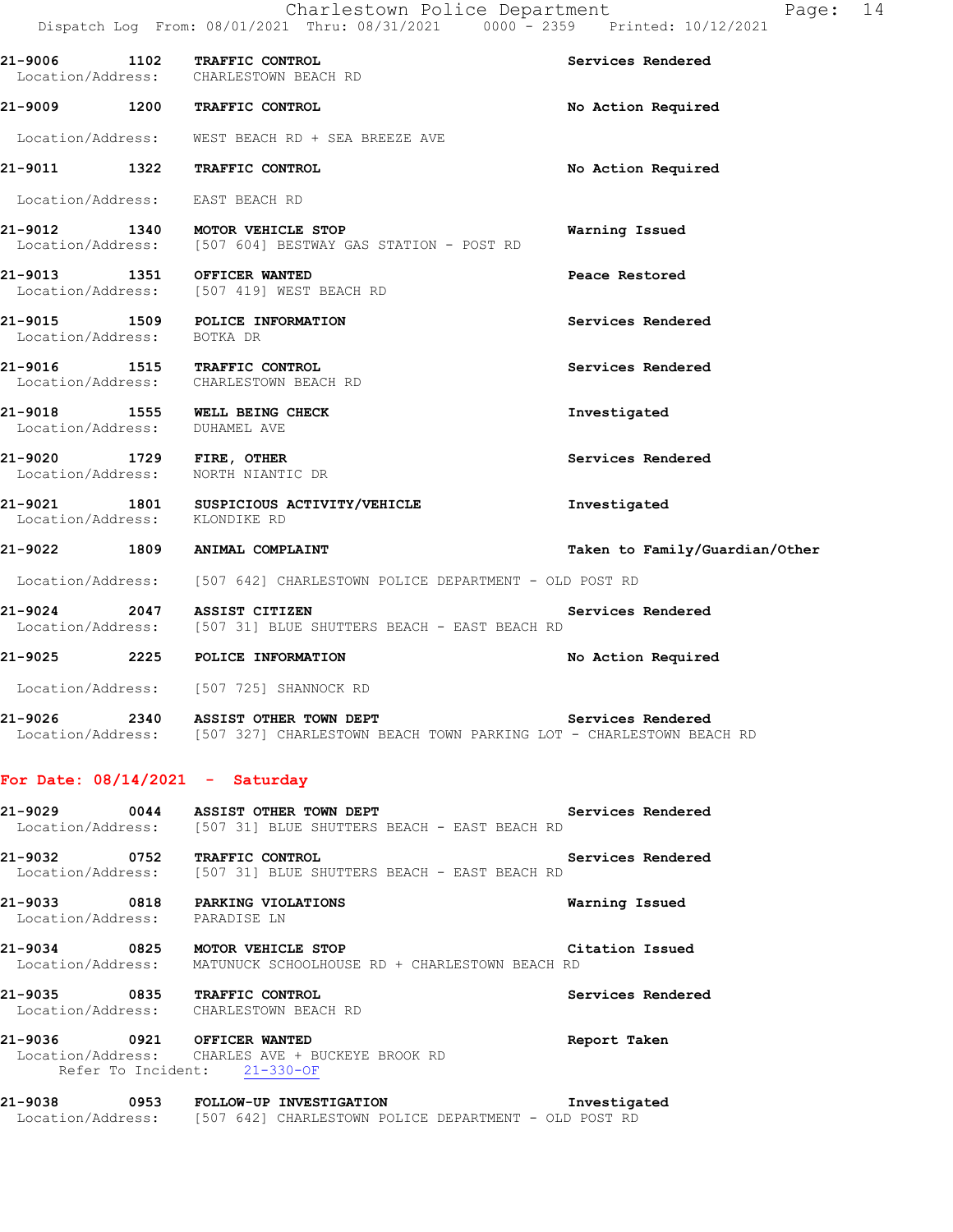|                                 | Dispatch Log From: 08/01/2021 Thru: 08/31/2021 0000 - 2359 Printed: 10/12/2021                |                                |
|---------------------------------|-----------------------------------------------------------------------------------------------|--------------------------------|
|                                 | 21-9006 1102 TRAFFIC CONTROL<br>Location/Address: CHARLESTOWN BEACH RD                        | Services Rendered              |
|                                 | 21-9009 1200 TRAFFIC CONTROL                                                                  | No Action Required             |
|                                 | Location/Address: WEST BEACH RD + SEA BREEZE AVE                                              |                                |
|                                 | 21-9011 1322 TRAFFIC CONTROL                                                                  | No Action Required             |
| Location/Address: EAST BEACH RD |                                                                                               |                                |
|                                 | 21-9012 1340 MOTOR VEHICLE STOP<br>Location/Address: [507 604] BESTWAY GAS STATION - POST RD  | Warning Issued                 |
|                                 | 21-9013 1351 OFFICER WANTED<br>Location/Address: [507 419] WEST BEACH RD                      | Peace Restored                 |
| Location/Address: BOTKA DR      | 21-9015 1509 POLICE INFORMATION                                                               | Services Rendered              |
|                                 | 21-9016 1515 TRAFFIC CONTROL<br>Location/Address: CHARLESTOWN BEACH RD                        | Services Rendered              |
| Location/Address: DUHAMEL AVE   | 21-9018 1555 WELL BEING CHECK                                                                 | Investigated                   |
|                                 | 21-9020 1729 FIRE, OTHER<br>Location/Address: NORTH NIANTIC DR                                | Services Rendered              |
| Location/Address: KLONDIKE RD   | 21-9021 1801 SUSPICIOUS ACTIVITY/VEHICLE                                                      | Investigated                   |
|                                 | 21-9022 1809 ANIMAL COMPLAINT                                                                 | Taken to Family/Guardian/Other |
|                                 | Location/Address: [507 642] CHARLESTOWN POLICE DEPARTMENT - OLD POST RD                       |                                |
|                                 | 21-9024 2047 ASSIST CITIZEN<br>Location/Address: [507 31] BLUE SHUTTERS BEACH - EAST BEACH RD | Services Rendered              |
|                                 | 21-9025 2225 POLICE INFORMATION                                                               | No Action Required             |
| Location/Address:               | [507 725] SHANNOCK RD                                                                         |                                |

**21-9026 2340 ASSIST OTHER TOWN DEPT Services Rendered**  Location/Address: [507 327] CHARLESTOWN BEACH TOWN PARKING LOT - CHARLESTOWN BEACH RD

#### **For Date: 08/14/2021 - Saturday**

| 21-9029                      | 0044 | Services Rendered<br>ASSIST OTHER TOWN DEPT<br>Location/Address: [507 31] BLUE SHUTTERS BEACH - EAST BEACH RD |  |
|------------------------------|------|---------------------------------------------------------------------------------------------------------------|--|
| 21-9032                      | 0752 | Services Rendered<br><b>TRAFFIC CONTROL</b><br>Location/Address: [507 31] BLUE SHUTTERS BEACH - EAST BEACH RD |  |
| 21-9033<br>Location/Address: | 0818 | Warning Issued<br>PARKING VIOLATIONS<br>PARADISE LN                                                           |  |

**21-9034 0825 MOTOR VEHICLE STOP Citation Issued**  Location/Address: MATUNUCK SCHOOLHOUSE RD + CHARLESTOWN BEACH RD

**21-9035 0835 TRAFFIC CONTROL Services Rendered**  Location/Address: CHARLESTOWN BEACH RD

**21-9036 0921 OFFICER WANTED Report Taken**  Location/Address: CHARLES AVE + BUCKEYE BROOK RD Refer To Incident: 21-330-OF

**21-9038 0953 FOLLOW-UP INVESTIGATION Investigated**  Location/Address: [507 642] CHARLESTOWN POLICE DEPARTMENT - OLD POST RD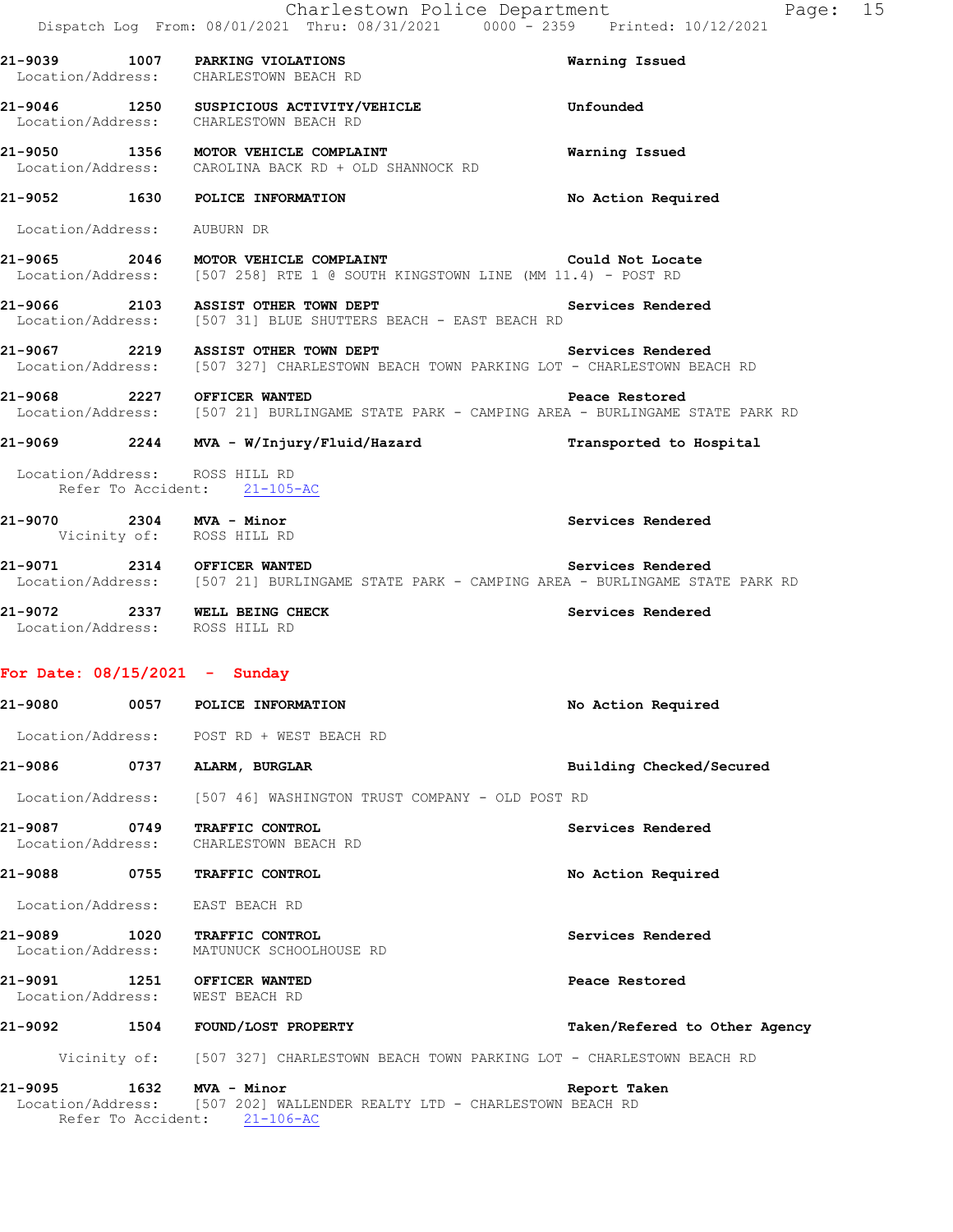|                                                       |      | Charlestown Police Department<br>Dispatch Log From: 08/01/2021 Thru: 08/31/2021 0000 <sup>-</sup> 2359 Printed: 10/12/2021                       |                               | Page: 15 |  |
|-------------------------------------------------------|------|--------------------------------------------------------------------------------------------------------------------------------------------------|-------------------------------|----------|--|
|                                                       |      | 21-9039 1007 PARKING VIOLATIONS<br>Location/Address: CHARLESTOWN BEACH RD                                                                        | Warning Issued                |          |  |
|                                                       |      | 21-9046 1250 SUSPICIOUS ACTIVITY/VEHICLE<br>Location/Address: CHARLESTOWN BEACH RD                                                               | Unfounded                     |          |  |
|                                                       |      | 21-9050 1356 MOTOR VEHICLE COMPLAINT<br>Location/Address: CAROLINA BACK RD + OLD SHANNOCK RD                                                     | Warning Issued                |          |  |
|                                                       |      | 21-9052 1630 POLICE INFORMATION                                                                                                                  | No Action Required            |          |  |
| Location/Address: AUBURN DR                           |      |                                                                                                                                                  |                               |          |  |
|                                                       |      | 21-9065 2046 MOTOR VEHICLE COMPLAINT THE SECOND Could Not Locate<br>Location/Address: [507 258] RTE 1 @ SOUTH KINGSTOWN LINE (MM 11.4) - POST RD |                               |          |  |
|                                                       |      | 21-9066 2103 ASSIST OTHER TOWN DEPT<br>Location/Address: [507 31] BLUE SHUTTERS BEACH - EAST BEACH RD                                            | Services Rendered             |          |  |
|                                                       |      | 21-9067 2219 ASSIST OTHER TOWN DEPT<br>Location/Address: [507 327] CHARLESTOWN BEACH TOWN PARKING LOT - CHARLESTOWN BEACH RD                     | Services Rendered             |          |  |
|                                                       |      | 21-9068 2227 OFFICER WANTED<br>Location/Address: [507 21] BURLINGAME STATE PARK - CAMPING AREA - BURLINGAME STATE PARK RD                        | Peace Restored                |          |  |
|                                                       |      | 21-9069 2244 MVA - W/Injury/Fluid/Hazard                                                                                                         | Transported to Hospital       |          |  |
| Location/Address: ROSS HILL RD                        |      | Refer To Accident: 21-105-AC                                                                                                                     |                               |          |  |
| 21-9070 2304 MVA - Minor<br>Vicinity of: ROSS HILL RD |      |                                                                                                                                                  | Services Rendered             |          |  |
|                                                       |      | 21-9071 2314 OFFICER WANTED<br>Location/Address: [507 21] BURLINGAME STATE PARK - CAMPING AREA - BURLINGAME STATE PARK RD                        | Services Rendered             |          |  |
| Location/Address: ROSS HILL RD                        |      | 21-9072 2337 WELL BEING CHECK                                                                                                                    | Services Rendered             |          |  |
| For Date: 08/15/2021 - Sunday                         |      |                                                                                                                                                  |                               |          |  |
| 21-9080                                               | 0057 | POLICE INFORMATION                                                                                                                               | No Action Required            |          |  |
|                                                       |      | Location/Address: POST RD + WEST BEACH RD                                                                                                        |                               |          |  |
| 21-9086 0737                                          |      | ALARM, BURGLAR                                                                                                                                   | Building Checked/Secured      |          |  |
|                                                       |      | Location/Address: [507 46] WASHINGTON TRUST COMPANY - OLD POST RD                                                                                |                               |          |  |
| 21-9087<br>Location/Address:                          | 0749 | TRAFFIC CONTROL<br>CHARLESTOWN BEACH RD                                                                                                          | Services Rendered             |          |  |
|                                                       |      | 21-9088 0755 TRAFFIC CONTROL                                                                                                                     | No Action Required            |          |  |
| Location/Address:                                     |      | EAST BEACH RD                                                                                                                                    |                               |          |  |
| Location/Address:                                     |      | 21-9089 1020 TRAFFIC CONTROL<br>MATUNUCK SCHOOLHOUSE RD                                                                                          | Services Rendered             |          |  |
| Location/Address: WEST BEACH RD                       |      | 21-9091 1251 OFFICER WANTED                                                                                                                      | Peace Restored                |          |  |
|                                                       |      | 21-9092 1504 FOUND/LOST PROPERTY                                                                                                                 | Taken/Refered to Other Agency |          |  |
|                                                       |      | Vicinity of: [507 327] CHARLESTOWN BEACH TOWN PARKING LOT - CHARLESTOWN BEACH RD                                                                 |                               |          |  |
| 21-9095                                               |      | 1632 MVA - Minor<br>Location/Address: [507 202] WALLENDER REALTY LTD - CHARLESTOWN BEACH RD<br>Refer To Accident: 21-106-AC                      | Report Taken                  |          |  |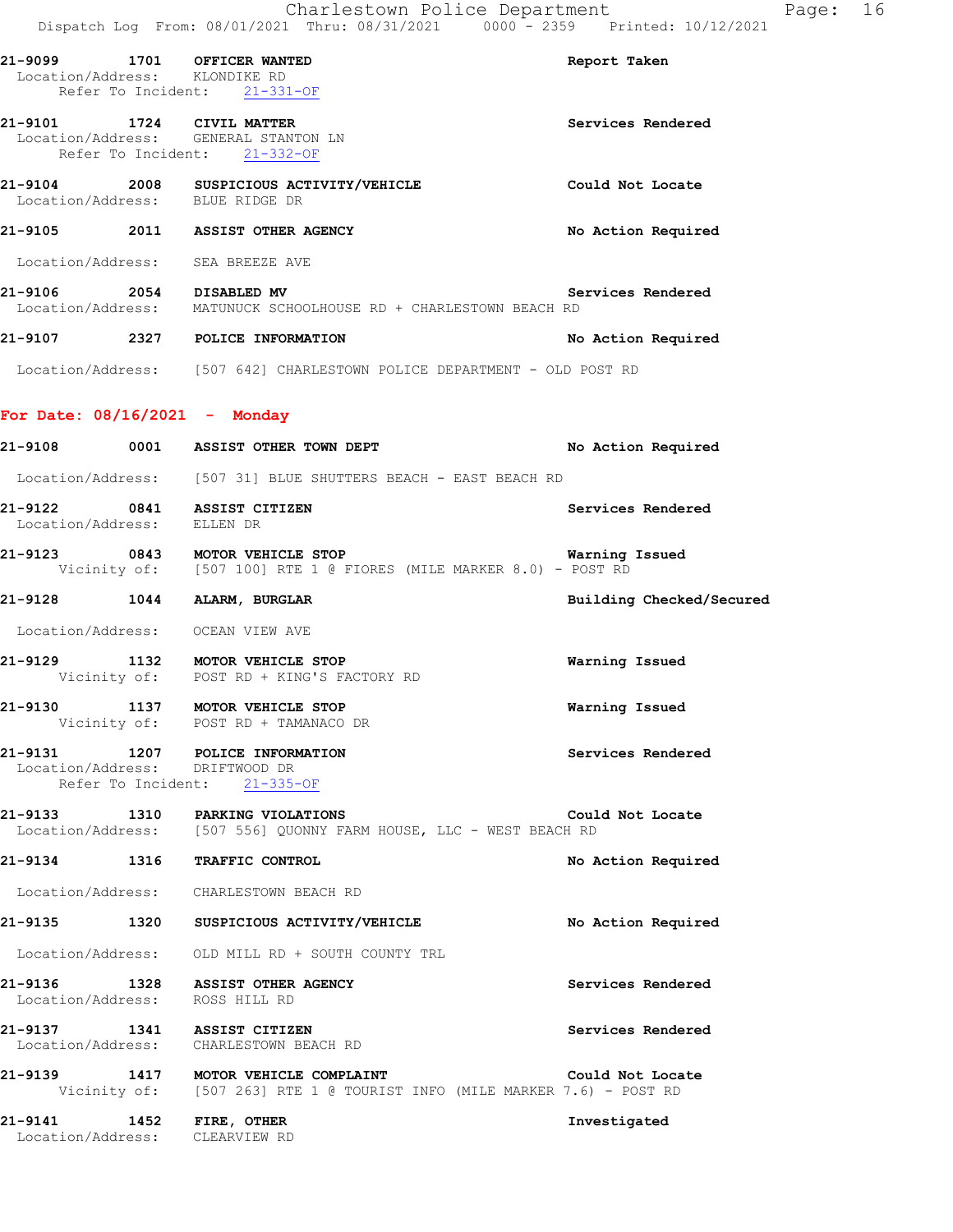| 21-9099 1701 OFFICER WANTED<br>Location/Address: KLONDIKE RD | Refer To Incident: 21-331-OF                                                                                                      | Report Taken             |
|--------------------------------------------------------------|-----------------------------------------------------------------------------------------------------------------------------------|--------------------------|
| 21-9101 1724 CIVIL MATTER                                    | Location/Address: GENERAL STANTON LN<br>Refer To Incident: 21-332-OF                                                              | Services Rendered        |
| Location/Address: BLUE RIDGE DR                              | 21-9104 2008 SUSPICIOUS ACTIVITY/VEHICLE                                                                                          | Could Not Locate         |
|                                                              | 21-9105 2011 ASSIST OTHER AGENCY                                                                                                  | No Action Required       |
| Location/Address: SEA BREEZE AVE                             |                                                                                                                                   |                          |
|                                                              | Se<br>2054 DISABLED MV DOCation/Address: MATUNUCK SCHOOLHOUSE RD + CHARLESTOWN BEACH RD                                           | Services Rendered        |
|                                                              | 21-9107 2327 POLICE INFORMATION                                                                                                   | No Action Required       |
|                                                              | Location/Address: [507 642] CHARLESTOWN POLICE DEPARTMENT - OLD POST RD                                                           |                          |
| For Date: $08/16/2021$ - Monday                              |                                                                                                                                   |                          |
|                                                              | 21-9108 0001 ASSIST OTHER TOWN DEPT                                                                                               | No Action Required       |
|                                                              | Location/Address: [507 31] BLUE SHUTTERS BEACH - EAST BEACH RD                                                                    |                          |
| 21-9122 0841 ASSIST CITIZEN<br>Location/Address: ELLEN DR    |                                                                                                                                   | Services Rendered        |
|                                                              | <b>21-9123 0843 MOTOR VEHICLE STOP MARKER 8.0) - POST RD</b><br>Vicinity of: [507 100] RTE 1 @ FIORES (MILE MARKER 8.0) - POST RD | Warning Issued           |
| 21-9128 1044 ALARM, BURGLAR                                  |                                                                                                                                   | Building Checked/Secured |
| Location/Address: OCEAN VIEW AVE                             |                                                                                                                                   |                          |
|                                                              | 21-9129 1132 MOTOR VEHICLE STOP<br>Vicinity of: POST RD + KING'S FACTORY RD                                                       | Warning Issued           |
|                                                              | 21-9130 1137 MOTOR VEHICLE STOP<br>Vicinity of: POST RD + TAMANACO DR                                                             | Warning Issued           |
| 21-9131<br>Location/Address: DRIFTWOOD DR                    | 1207 POLICE INFORMATION<br>Refer To Incident: 21-335-OF                                                                           | Services Rendered        |
|                                                              | 21-9133 1310 PARKING VIOLATIONS<br>Location/Address: [507 556] QUONNY FARM HOUSE, LLC - WEST BEACH RD                             | Could Not Locate         |
| 21-9134 1316 TRAFFIC CONTROL                                 |                                                                                                                                   | No Action Required       |
|                                                              | Location/Address: CHARLESTOWN BEACH RD                                                                                            |                          |
|                                                              | 21-9135 1320 SUSPICIOUS ACTIVITY/VEHICLE                                                                                          | No Action Required       |
|                                                              | Location/Address: OLD MILL RD + SOUTH COUNTY TRL                                                                                  |                          |
|                                                              | 21-9136 1328 ASSIST OTHER AGENCY<br>Location/Address: ROSS HILL RD                                                                | Services Rendered        |
| 21-9137 1341 ASSIST CITIZEN                                  | Location/Address: CHARLESTOWN BEACH RD                                                                                            | Services Rendered        |
|                                                              | 21-9139 1417 MOTOR VEHICLE COMPLAINT<br>Vicinity of: [507 263] RTE 1 @ TOURIST INFO (MILE MARKER 7.6) - POST RD                   | Could Not Locate         |
| 21-9141 1452 FIRE, OTHER<br>Location/Address: CLEARVIEW RD   |                                                                                                                                   | Investigated             |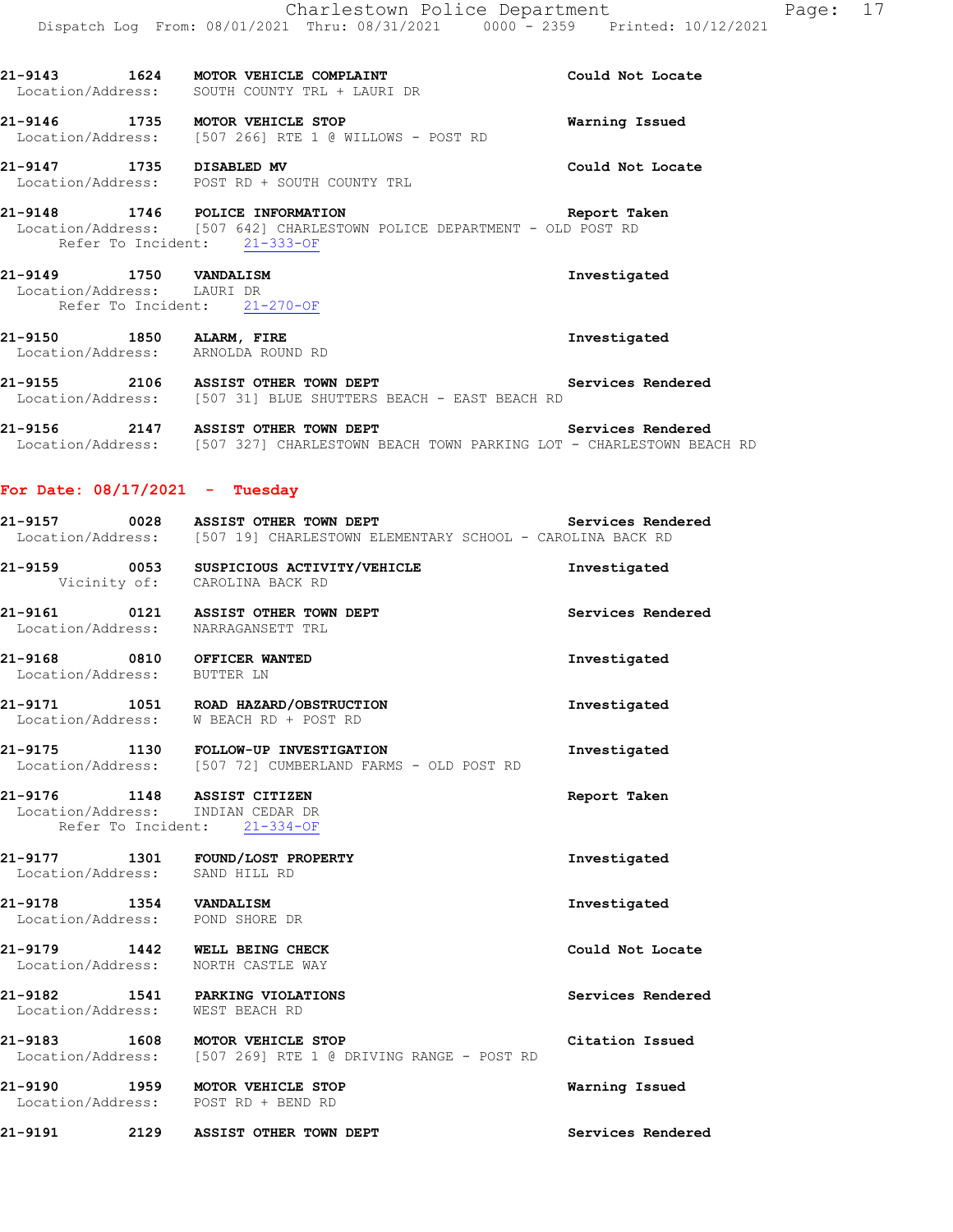**21-9143 1624 MOTOR VEHICLE COMPLAINT Could Not Locate** 

**21-9146 1735 MOTOR VEHICLE STOP Warning Issued** 

**21-9147 1735 DISABLED MV Could Not Locate** 

Location/Address: SOUTH COUNTY TRL + LAURI DR

Location/Address: [507 266] RTE 1 @ WILLOWS - POST RD

 Location/Address: POST RD + SOUTH COUNTY TRL **21-9148 1746 POLICE INFORMATION Report Taken**  Location/Address: [507 642] CHARLESTOWN POLICE DEPARTMENT - OLD POST RD Refer To Incident: 21-333-OF **21-9149 1750 VANDALISM Investigated**  Location/Address: LAURI DR Refer To Incident: 21-270-OF **21-9150 1850 ALARM, FIRE Investigated**  Location/Address: ARNOLDA ROUND RD **21-9155 2106 ASSIST OTHER TOWN DEPT Services Rendered Services Rendered Integral Conducts:** (507 31) BLUE SHUTTERS BEACH - EAST BEACH RD [507 31] BLUE SHUTTERS BEACH - EAST BEACH RD **21-9156 2147 ASSIST OTHER TOWN DEPT Services Rendered**  Location/Address: [507 327] CHARLESTOWN BEACH TOWN PARKING LOT - CHARLESTOWN BEACH RD **For Date: 08/17/2021 - Tuesday 21-9157 0028 ASSIST OTHER TOWN DEPT Services Rendered**  Location/Address: [507 19] CHARLESTOWN ELEMENTARY SCHOOL - CAROLINA BACK RD **21-9159 0053 SUSPICIOUS ACTIVITY/VEHICLE Investigated**  Vicinity of: CAROLINA BACK RD **21-9161 0121 ASSIST OTHER TOWN DEPT Services Rendered**  Location/Address: NARRAGANSETT TRL **21-9168 0810 OFFICER WANTED Investigated**  Location/Address: BUTTER LN **21-9171 1051 ROAD HAZARD/OBSTRUCTION Investigated**  Location/Address: W BEACH RD + POST RD **21-9175 1130 FOLLOW-UP INVESTIGATION Investigated**  Location/Address: [507 72] CUMBERLAND FARMS - OLD POST RD **21-9176 1148 ASSIST CITIZEN Report Taken**  Location/Address: INDIAN CEDAR DR Refer To Incident: 21-334-OF **21-9177 1301 FOUND/LOST PROPERTY Investigated**  Location/Address: SAND HILL RD **21-9178 1354 VANDALISM Investigated**  Location/Address: POND SHORE DR **21-9179 1442 WELL BEING CHECK Could Not Locate**  Location/Address: NORTH CASTLE WAY **21-9182 1541 PARKING VIOLATIONS Services Rendered**  Location/Address: WEST BEACH RD **21-9183** 1608 MOTOR VEHICLE STOP Citation Issued<br>
Location/Address: [507 269] RTE 1 @ DRIVING RANGE - POST RD [507 269] RTE 1 @ DRIVING RANGE - POST RD **21-9190 1959 MOTOR VEHICLE STOP Warning Issued**  Location/Address: POST RD + BEND RD **21-9191 2129 ASSIST OTHER TOWN DEPT Services Rendered**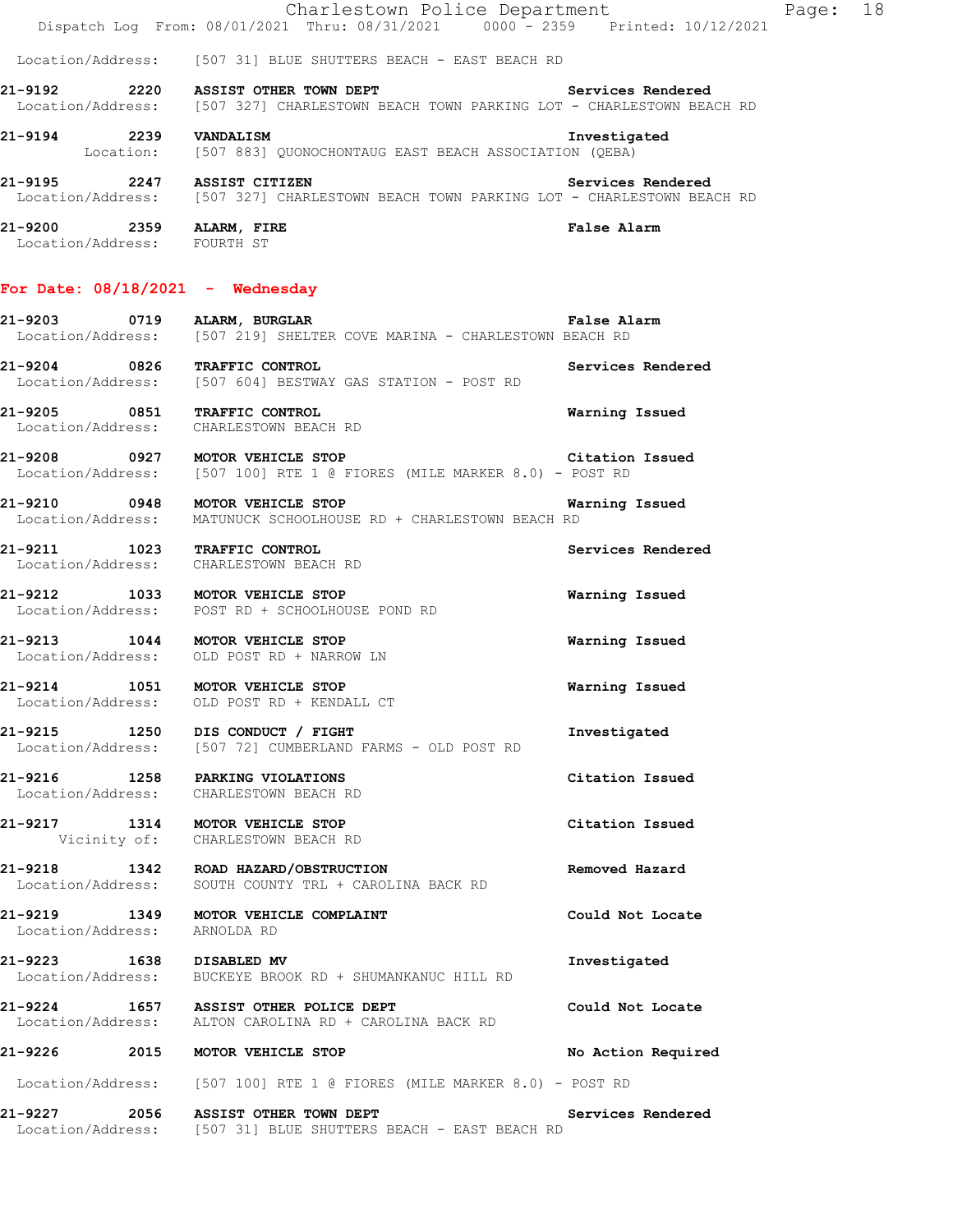|                                      | Charlestown Police Department                                             | Dispatch Log From: 08/01/2021 Thru: 08/31/2021 0000 - 2359 Printed: 10/12/2021                             | Page: | 18 |
|--------------------------------------|---------------------------------------------------------------------------|------------------------------------------------------------------------------------------------------------|-------|----|
|                                      | Location/Address: [507 31] BLUE SHUTTERS BEACH - EAST BEACH RD            |                                                                                                            |       |    |
| 21-9192<br>2220                      | ASSIST OTHER TOWN DEPT                                                    | Services Rendered<br>Location/Address: [507 327] CHARLESTOWN BEACH TOWN PARKING LOT - CHARLESTOWN BEACH RD |       |    |
| 21-9194<br>2239<br>Location:         | <b>VANDALISM</b><br>[507 883] OUONOCHONTAUG EAST BEACH ASSOCIATION (OEBA) | Investigated                                                                                               |       |    |
| 21-9195<br>2247                      | ASSIST CITIZEN                                                            | Services Rendered<br>Location/Address: [507 327] CHARLESTOWN BEACH TOWN PARKING LOT - CHARLESTOWN BEACH RD |       |    |
| 21-9200<br>2359<br>Location/Address: | ALARM, FIRE<br>FOURTH ST                                                  | False Alarm                                                                                                |       |    |

#### **For Date: 08/18/2021 - Wednesday**

| 21-9203           | 0719 | ALARM, BURGLAR |  |  |                                                      | <b>False Alarm</b> |  |
|-------------------|------|----------------|--|--|------------------------------------------------------|--------------------|--|
| Location/Address: |      |                |  |  | [507 219] SHELTER COVE MARINA - CHARLESTOWN BEACH RD |                    |  |

**21-9204 0826 TRAFFIC CONTROL Services Rendered**  Location/Address: [507 604] BESTWAY GAS STATION - POST RD

**21-9205 0851 TRAFFIC CONTROL Warning Issued**  Location/Address:

**21-9208 0927 MOTOR VEHICLE STOP Citation Issued**  Location/Address: [507 100] RTE 1 @ FIORES (MILE MARKER 8.0) - POST RD

**21-9210 0948 MOTOR VEHICLE STOP Warning Issued**  Location/Address: MATUNUCK SCHOOLHOUSE RD + CHARLESTOWN BEACH RD

**21-9211 1023 TRAFFIC CONTROL Services Rendered**  Location/Address: CHARLESTOWN BEACH RD

**21-9212 1033 MOTOR VEHICLE STOP Warning Issued**  Location/Address: POST RD + SCHOOLHOUSE POND RD

**21-9213 1044 MOTOR VEHICLE STOP Warning Issued** Location/Address: OLD POST RD + NARROW LN OLD POST RD + NARROW LN

**21-9214 1051 MOTOR VEHICLE STOP Warning Issued**  Location/Address: OLD POST RD + KENDALL CT

**21-9215 1250 DIS CONDUCT / FIGHT Investigated**  Location/Address: [507 72] CUMBERLAND FARMS - OLD POST RD

**21-9216 1258 PARKING VIOLATIONS Citation Issued**  Location/Address: CHARLESTOWN BEACH RD

**21-9217 1314 MOTOR VEHICLE STOP Citation Issued**  Vicinity of: CHARLESTOWN BEACH RD

**21-9218 1342 ROAD HAZARD/OBSTRUCTION Removed Hazard**  Location/Address: SOUTH COUNTY TRL + CAROLINA BACK RD

**21-9219 1349 MOTOR VEHICLE COMPLAINT Could Not Locate**  Location/Address: ARNOLDA RD

**21-9223 1638 DISABLED MV Investigated**  Location/Address: BUCKEYE BROOK RD + SHUMANKANUC HILL RD

**21-9224 1657 ASSIST OTHER POLICE DEPT Could Not Locate**  Location/Address: ALTON CAROLINA RD + CAROLINA BACK RD

**21-9226 2015 MOTOR VEHICLE STOP No Action Required** 

Location/Address: [507 100] RTE 1 @ FIORES (MILE MARKER 8.0) - POST RD

**21-9227 2056 ASSIST OTHER TOWN DEPT Services Rendered**  Location/Address: [507 31] BLUE SHUTTERS BEACH - EAST BEACH RD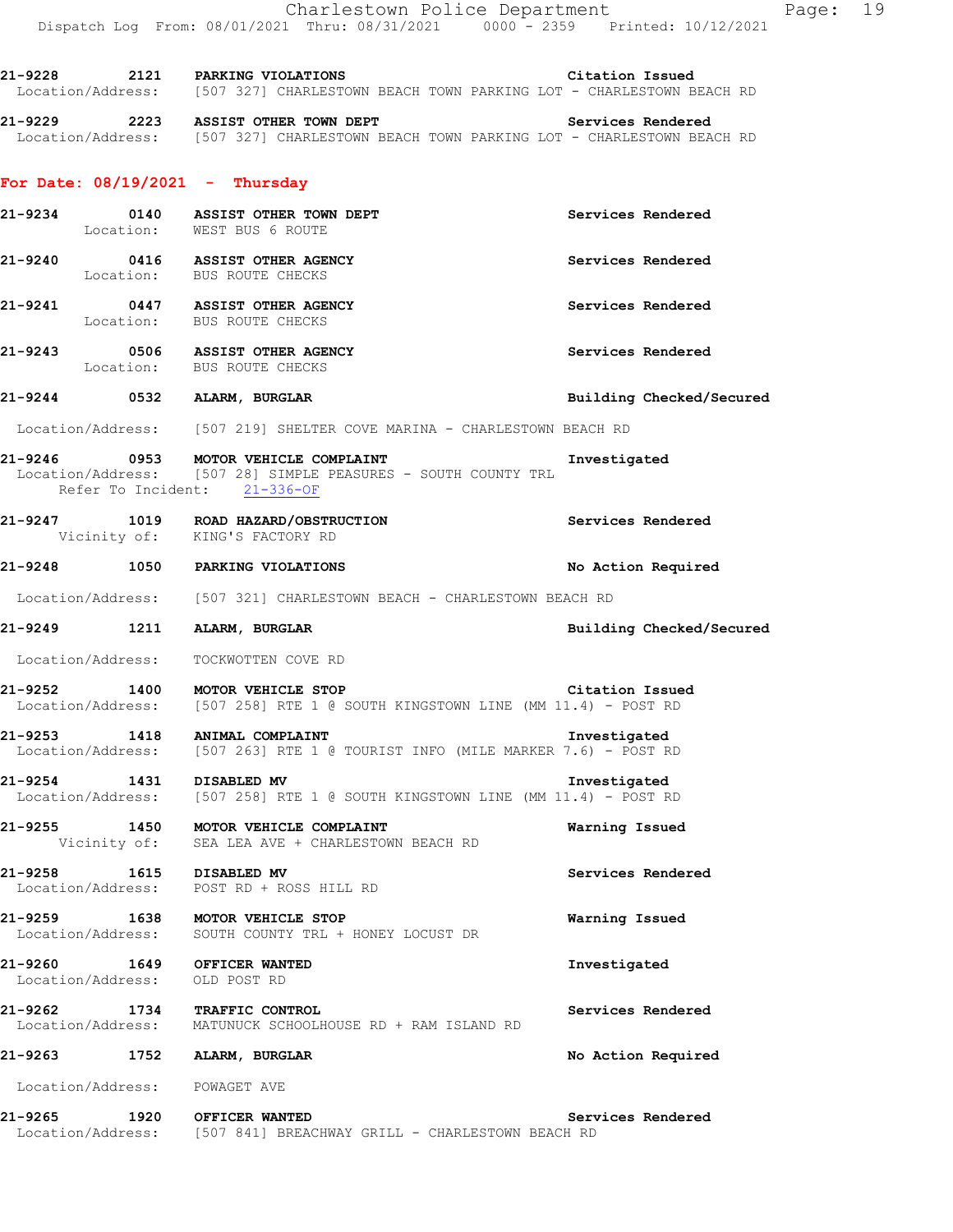**21-9228 2121 PARKING VIOLATIONS Citation Issued**  Location/Address: [507 327] CHARLESTOWN BEACH TOWN PARKING LOT - CHARLESTOWN BEACH RD **21-9229 2223 ASSIST OTHER TOWN DEPT Services Rendered**  Location/Address: [507 327] CHARLESTOWN BEACH TOWN PARKING LOT - CHARLESTOWN BEACH RD **For Date: 08/19/2021 - Thursday 21-9234 0140 ASSIST OTHER TOWN DEPT Services Rendered**  Location: WEST BUS 6 ROUTE **21-9240 0416 ASSIST OTHER AGENCY Services Rendered**  Location: BUS ROUTE CHECKS **21-9241 0447 ASSIST OTHER AGENCY Services Rendered**  Location: BUS ROUTE CHECKS **21-9243 0506 ASSIST OTHER AGENCY 121-9243 120-ademy Services Rendered 121-9243 120-ademy Services Rendered** BUS ROUTE CHECKS **21-9244 0532 ALARM, BURGLAR Building Checked/Secured**  Location/Address: [507 219] SHELTER COVE MARINA - CHARLESTOWN BEACH RD **21-9246 0953 MOTOR VEHICLE COMPLAINT Investigated**  Location/Address: [507 28] SIMPLE PEASURES - SOUTH COUNTY TRL Refer To Incident: 21-336-OF **21-9247 1019 ROAD HAZARD/OBSTRUCTION Services Rendered**  Vicinity of: KING'S FACTORY RD **21-9248 1050 PARKING VIOLATIONS No Action Required**  Location/Address: [507 321] CHARLESTOWN BEACH - CHARLESTOWN BEACH RD **21-9249 1211 ALARM, BURGLAR Building Checked/Secured**  Location/Address: TOCKWOTTEN COVE RD **21-9252 1400 MOTOR VEHICLE STOP Citation Issued**<br>Location/Address: [507 258] RTE 1 @ SOUTH KINGSTOWN LINE (MM 11.4) - POST RD [507 258] RTE 1 @ SOUTH KINGSTOWN LINE (MM 11.4) - POST RD **21-9253 1418 ANIMAL COMPLAINT Investigated**  Location/Address: [507 263] RTE 1 @ TOURIST INFO (MILE MARKER 7.6) - POST RD **21-9254 1431 DISABLED MV Investigated**  Location/Address: [507 258] RTE 1 @ SOUTH KINGSTOWN LINE (MM 11.4) - POST RD **21-9255 1450 MOTOR VEHICLE COMPLAINT Warning Issued**  Vicinity of: SEA LEA AVE + CHARLESTOWN BEACH RD **21-9258 1615 DISABLED MV Services Rendered**  Location/Address: POST RD + ROSS HILL RD **21-9259 1638 MOTOR VEHICLE STOP Warning Issued**  Location/Address: SOUTH COUNTY TRL + HONEY LOCUST DR **21-9260 1649 OFFICER WANTED Investigated**  Location/Address: OLD POST RD **21-9262 1734 TRAFFIC CONTROL Services Rendered**  Location/Address: MATUNUCK SCHOOLHOUSE RD + RAM ISLAND RD

**21-9263 1752 ALARM, BURGLAR No Action Required** 

Location/Address: POWAGET AVE

**21-9265 1920 OFFICER WANTED Services Rendered**  Location/Address: [507 841] BREACHWAY GRILL - CHARLESTOWN BEACH RD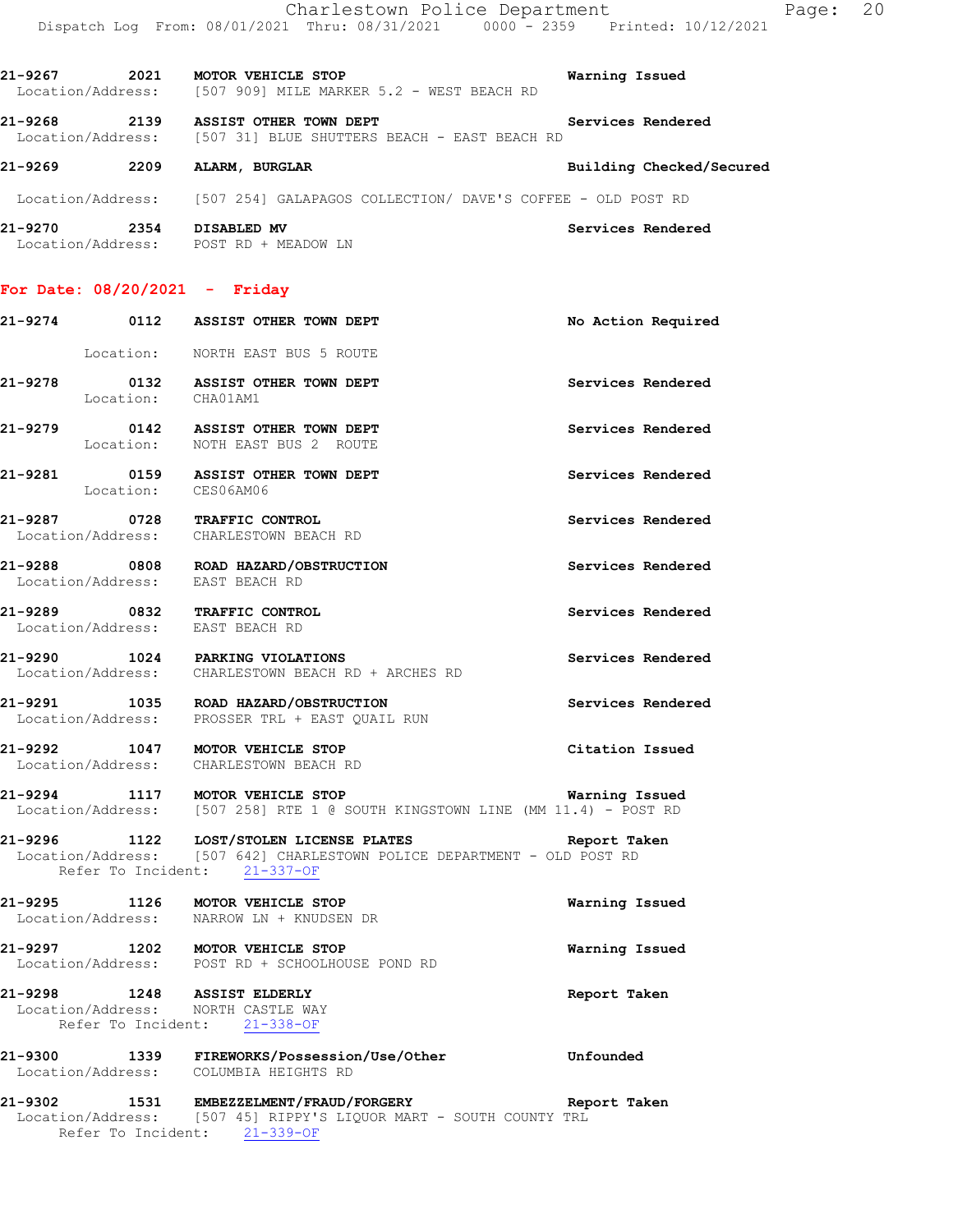**21-9268 2139 ASSIST OTHER TOWN DEPT Services Rendered**  Location/Address: [507 31] BLUE SHUTTERS BEACH - EAST BEACH RD

# **21-9269 2209 ALARM, BURGLAR Building Checked/Secured**

Location/Address: [507 254] GALAPAGOS COLLECTION/ DAVE'S COFFEE - OLD POST RD

| 21-9270           | 2354 | DISABLED MV         | Services Rendered |
|-------------------|------|---------------------|-------------------|
| Location/Address: |      | POST RD + MEADOW LN |                   |

## **For Date: 08/20/2021 - Friday**

|         |                           | 21-9274 0112 ASSIST OTHER TOWN DEPT                                                                                                                             | No Action Required |
|---------|---------------------------|-----------------------------------------------------------------------------------------------------------------------------------------------------------------|--------------------|
|         |                           | Location: NORTH EAST BUS 5 ROUTE                                                                                                                                |                    |
|         |                           | 21-9278 0132 ASSIST OTHER TOWN DEPT<br>Location: CHA01AM1                                                                                                       | Services Rendered  |
|         |                           | 21-9279 0142 ASSIST OTHER TOWN DEPT<br>Location: NOTH EAST BUS 2 ROUTE                                                                                          | Services Rendered  |
|         |                           | 21-9281 0159 ASSIST OTHER TOWN DEPT<br>Location: CES06AM06                                                                                                      | Services Rendered  |
|         |                           | 21-9287 0728 TRAFFIC CONTROL<br>Location/Address: CHARLESTOWN BEACH RD                                                                                          | Services Rendered  |
|         |                           | 21-9288 0808 ROAD HAZARD/OBSTRUCTION<br>Location/Address: EAST BEACH RD                                                                                         | Services Rendered  |
|         |                           | 21-9289 0832 TRAFFIC CONTROL<br>Location/Address: EAST BEACH RD                                                                                                 | Services Rendered  |
|         |                           | 21-9290 1024 PARKING VIOLATIONS<br>Location/Address: CHARLESTOWN BEACH RD + ARCHES RD                                                                           | Services Rendered  |
|         |                           | 21-9291 1035 ROAD HAZARD/OBSTRUCTION<br>Location/Address: PROSSER TRL + EAST QUAIL RUN                                                                          | Services Rendered  |
|         |                           | 21-9292 1047 MOTOR VEHICLE STOP<br>Location/Address: CHARLESTOWN BEACH RD                                                                                       | Citation Issued    |
|         |                           | 21-9294 1117 MOTOR VEHICLE STOP<br>Location/Address: [507 258] RTE 1 @ SOUTH KINGSTOWN LINE (MM 11.4) - POST RD                                                 | Warning Issued     |
|         |                           | 21-9296 1122 LOST/STOLEN LICENSE PLATES Report Taken<br>Location/Address: [507 642] CHARLESTOWN POLICE DEPARTMENT - OLD POST RD<br>Refer To Incident: 21-337-OF |                    |
|         |                           | 21-9295 1126 MOTOR VEHICLE STOP<br>Location/Address: NARROW LN + KNUDSEN DR                                                                                     | Warning Issued     |
|         |                           | 21-9297 1202 MOTOR VEHICLE STOP<br>Location/Address: POST RD + SCHOOLHOUSE POND RD                                                                              | Warning Issued     |
|         |                           | 21-9298 1248 ASSIST ELDERLY<br>Location/Address: NORTH CASTLE WAY<br>Refer To Incident: 21-338-OF                                                               | Report Taken       |
| 21-9300 | 1339<br>Location/Address: | FIREWORKS/Possession/Use/Other<br>COLUMBIA HEIGHTS RD                                                                                                           | Unfounded          |
| 21-9302 |                           | 1531 EMBEZZELMENT/FRAUD/FORGERY<br>Location/Address: [507 45] RIPPY'S LIQUOR MART - SOUTH COUNTY TRL<br>Refer To Incident: 21-339-OF                            | Report Taken       |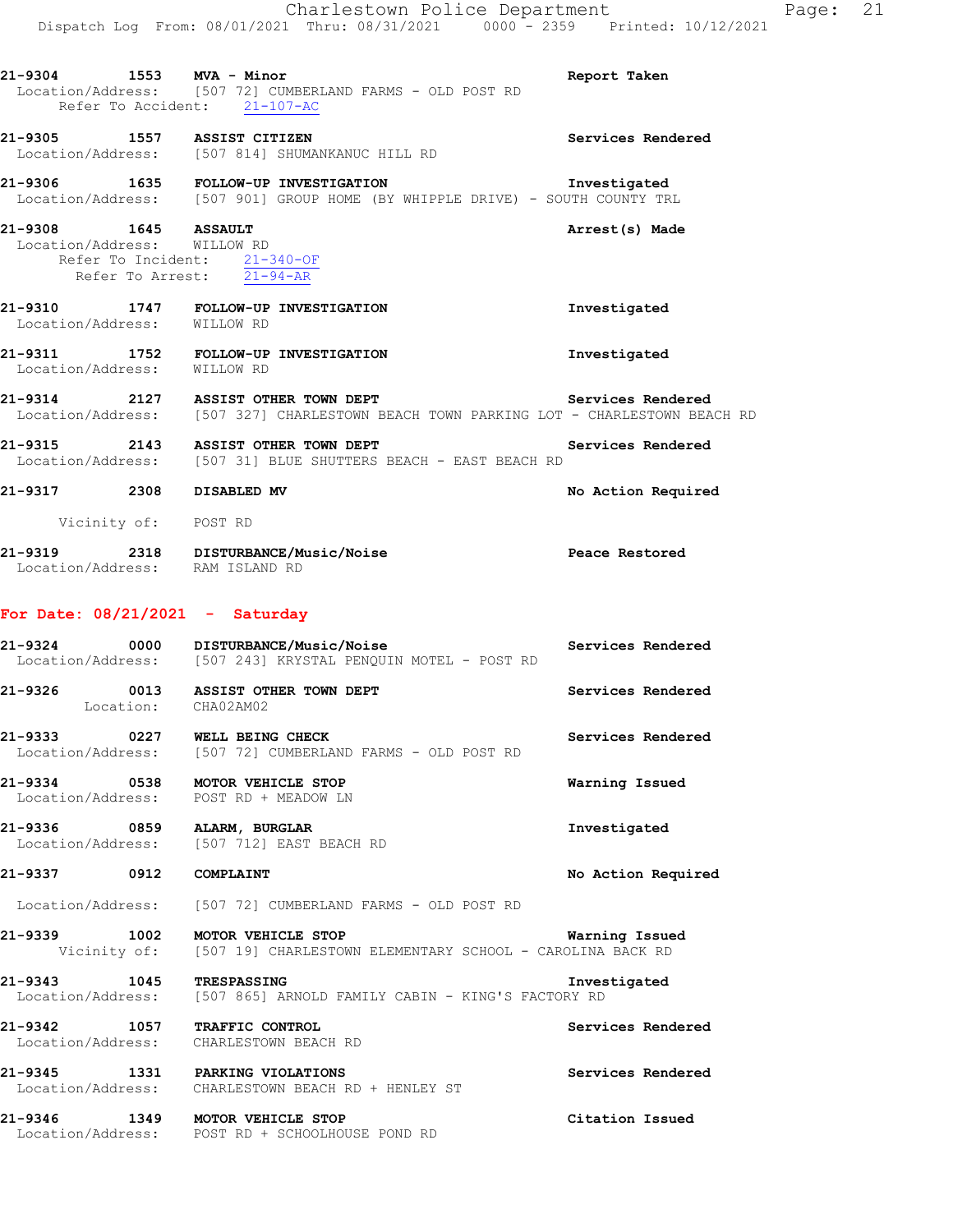| 21-9304 1553 MVA - Minor                            |      | Location/Address: [507 72] CUMBERLAND FARMS - OLD POST RD<br>Refer To Accident: 21-107-AC                                                      | Report Taken       |
|-----------------------------------------------------|------|------------------------------------------------------------------------------------------------------------------------------------------------|--------------------|
|                                                     |      | 21-9305 1557 ASSIST CITIZEN<br>Location/Address: [507 814] SHUMANKANUC HILL RD                                                                 | Services Rendered  |
|                                                     |      | 21-9306 1635 FOLLOW-UP INVESTIGATION Investigated Location/Address: [507 901] GROUP HOME (BY WHIPPLE DRIVE) - SOUTH COUNTY TRL                 |                    |
| 21-9308 1645 ASSAULT<br>Location/Address: WILLOW RD |      | Refer To Incident: $\frac{21-340-OF}{21-94-AR}$                                                                                                | Arrest(s) Made     |
|                                                     |      | 21-9310 1747 FOLLOW-UP INVESTIGATION<br>Location/Address: WILLOW RD                                                                            | Investigated       |
|                                                     |      | 21-9311 1752 FOLLOW-UP INVESTIGATION<br>Location/Address: WILLOW RD                                                                            | Investigated       |
|                                                     |      | 21-9314 2127 ASSIST OTHER TOWN DEPT Services Rendered<br>Location/Address: [507 327] CHARLESTOWN BEACH TOWN PARKING LOT - CHARLESTOWN BEACH RD |                    |
|                                                     |      | 21-9315 2143 ASSIST OTHER TOWN DEPT Services Rendered Location/Address: [507 31] BLUE SHUTTERS BEACH - EAST BEACH RD                           |                    |
| 21-9317 2308 DISABLED MV                            |      |                                                                                                                                                | No Action Required |
| Vicinity of: POST RD                                |      |                                                                                                                                                |                    |
| Location/Address: RAM ISLAND RD                     |      | 21-9319 2318 DISTURBANCE/Music/Noise                                                                                                           | Peace Restored     |
| For Date: $08/21/2021$ - Saturday                   |      |                                                                                                                                                |                    |
|                                                     |      | 21-9324 0000 DISTURBANCE/Music/Noise<br>Location/Address: [507 243] KRYSTAL PENQUIN MOTEL - POST RD                                            | Services Rendered  |
|                                                     |      | 21-9326 0013 ASSIST OTHER TOWN DEPT<br>Location: CHA02AM02                                                                                     | Services Rendered  |
| 21-9333                                             | 0227 | WELL BEING CHECK<br>Location/Address: [507 72] CUMBERLAND FARMS - OLD POST RD                                                                  | Services Rendered  |
| 21-9334                                             | 0538 | MOTOR VEHICLE STOP<br>Location/Address: POST RD + MEADOW LN                                                                                    | Warning Issued     |
| 21-9336                                             |      | 0859 ALARM, BURGLAR<br>Location/Address: [507 712] EAST BEACH RD                                                                               | Investigated       |
| 21-9337 0912                                        |      | COMPLAINT                                                                                                                                      | No Action Required |
|                                                     |      | Location/Address: [507 72] CUMBERLAND FARMS - OLD POST RD                                                                                      |                    |
| 21-9339                                             | 1002 | MOTOR VEHICLE STOP<br>Vicinity of: [507 19] CHARLESTOWN ELEMENTARY SCHOOL - CAROLINA BACK RD                                                   | Warning Issued     |
| 21-9343                                             | 1045 | <b>TRESPASSING</b>                                                                                                                             | Investigated       |

Location/Address: [507 865] ARNOLD FAMILY CABIN - KING'S FACTORY RD

**21-9342 1057 TRAFFIC CONTROL Services Rendered**  Location/Address: CHARLESTOWN BEACH RD

**21-9345 1331 PARKING VIOLATIONS Services Rendered**  Location/Address: CHARLESTOWN BEACH RD + HENLEY ST

**21-9346 1349 MOTOR VEHICLE STOP Citation Issued**  Location/Address: POST RD + SCHOOLHOUSE POND RD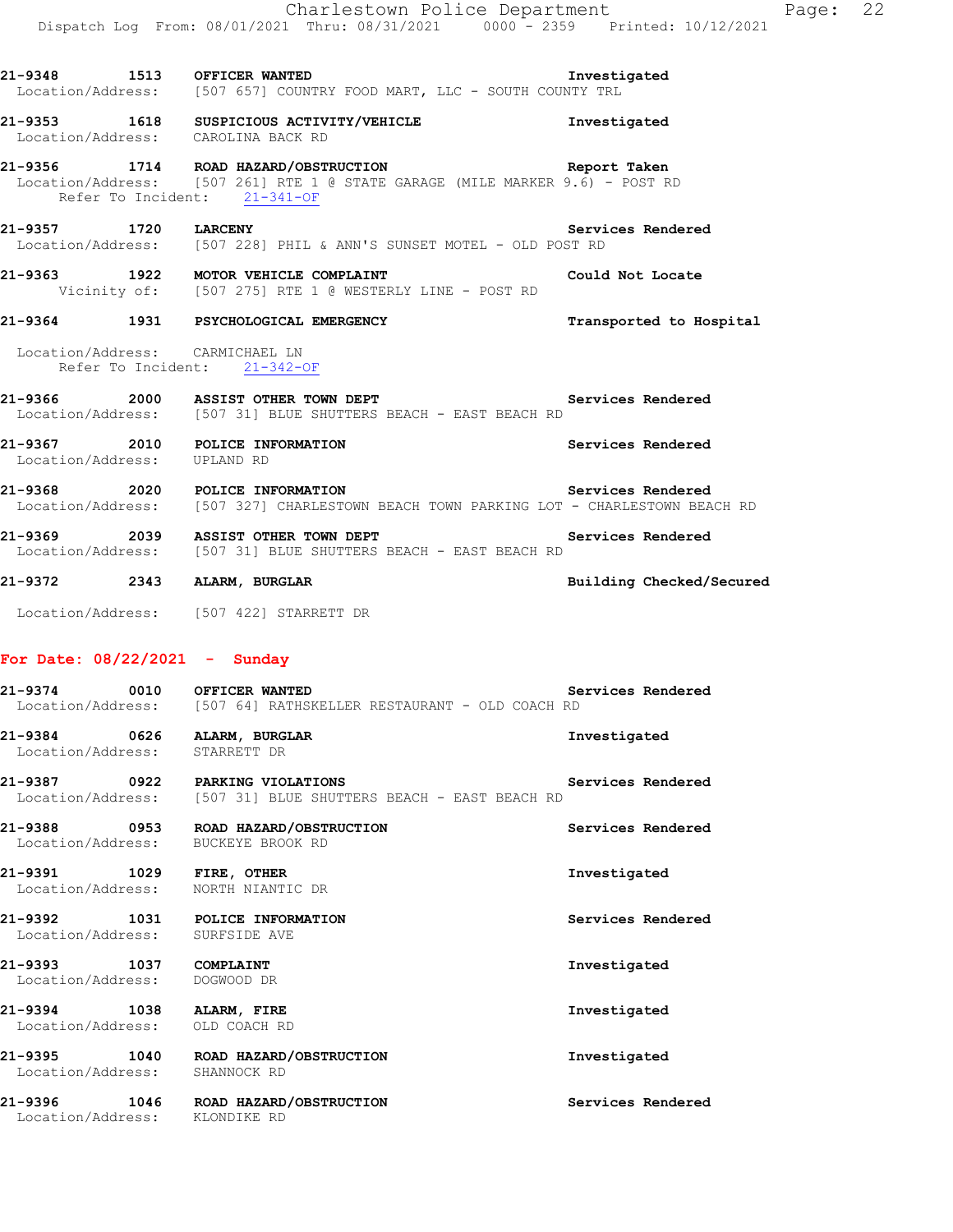**21-9348 1513 OFFICER WANTED Investigated** 

Location/Address: [507 657] COUNTRY FOOD MART, LLC - SOUTH COUNTY TRL

**21-9353 1618 SUSPICIOUS ACTIVITY/VEHICLE Investigated**  Location/Address: CAROLINA BACK RD

## **21-9356 1714 ROAD HAZARD/OBSTRUCTION Report Taken**  Location/Address: [507 261] RTE 1 @ STATE GARAGE (MILE MARKER 9.6) - POST RD Refer To Incident: 21-341-OF

**21-9357 1720 LARCENY Services Rendered**  Location/Address: [507 228] PHIL & ANN'S SUNSET MOTEL - OLD POST RD

**21-9363 1922 MOTOR VEHICLE COMPLAINT Could Not Locate**  Vicinity of: [507 275] RTE 1 @ WESTERLY LINE - POST RD

# **21-9364 1931 PSYCHOLOGICAL EMERGENCY Transported to Hospital**

 Location/Address: CARMICHAEL LN Refer To Incident: 21-342-OF

## **21-9366 2000 ASSIST OTHER TOWN DEPT Services Rendered**  Location/Address: [507 31] BLUE SHUTTERS BEACH - EAST BEACH RD

21-9367 2010 POLICE INFORMATION **1200 Services Rendered Services Rendered** Location/Address:

**21-9368 2020 POLICE INFORMATION Services Rendered**  [507 327] CHARLESTOWN BEACH TOWN PARKING LOT - CHARLESTOWN BEACH RD

21-9369 2039 ASSIST OTHER TOWN DEPT **1989 Services Rendered** Location/Address: [507 31] BLUE SHUTTERS BEACH - EAST BEACH RD

**21-9372 2343 ALARM, BURGLAR Building Checked/Secured** 

Location/Address: [507 422] STARRETT DR

# **For Date: 08/22/2021 - Sunday**

**21-9374 0010 OFFICER WANTED Services Rendered Services Rendered Location/Address:** [507 64] RATHSKELLER RESTAURANT - OLD COACH RD [507 64] RATHSKELLER RESTAURANT - OLD COACH RD

**21-9384 0626 ALARM, BURGLAR Investigated**  Location/Address: STARRETT DR

**21-9387 0922 PARKING VIOLATIONS Services Rendered**  Location/Address: [507 31] BLUE SHUTTERS BEACH - EAST BEACH RD

**21-9388 0953 ROAD HAZARD/OBSTRUCTION Services Rendered**  Location/Address: BUCKEYE BROOK RD

**21-9391 1029 FIRE, OTHER Investigated**  Location/Address: NORTH NIANTIC DR

**21-9392 1031 POLICE INFORMATION Services Rendered**  Location/Address: SURFSIDE AVE

**21-9393 1037 COMPLAINT Investigated**  Location/Address: DOGWOOD DR

**21-9394 1038 ALARM, FIRE Investigated** 

Location/Address: OLD COACH RD

**21-9395 1040 ROAD HAZARD/OBSTRUCTION Investigated**  Location/Address: SHANNOCK RD

Location/Address: KLONDIKE RD

**21-9396 1046 ROAD HAZARD/OBSTRUCTION Services Rendered**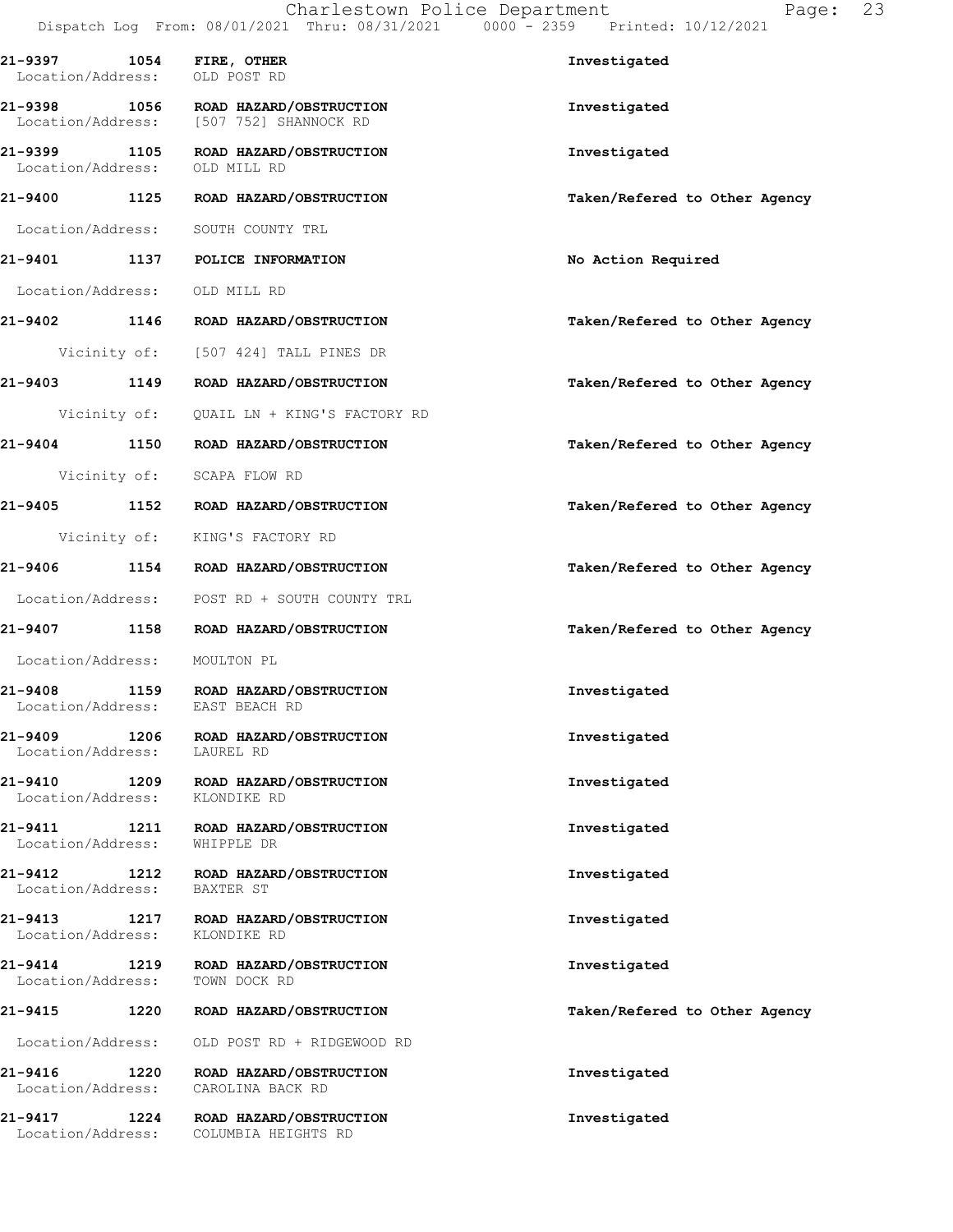| 21-9397 1054 FIRE, OTHER<br>Location/Address: OLD POST RD |      |                                                                                 | Investigated                  |
|-----------------------------------------------------------|------|---------------------------------------------------------------------------------|-------------------------------|
|                                                           |      | 21-9398 1056 ROAD HAZARD/OBSTRUCTION<br>Location/Address: [507 752] SHANNOCK RD | Investigated                  |
| Location/Address:                                         |      | 21-9399 1105 ROAD HAZARD/OBSTRUCTION<br>OLD MILL RD                             | Investigated                  |
| 21-9400 1125                                              |      | ROAD HAZARD/OBSTRUCTION                                                         | Taken/Refered to Other Agency |
|                                                           |      | Location/Address: SOUTH COUNTY TRL                                              |                               |
|                                                           |      | 21-9401 1137 POLICE INFORMATION                                                 | No Action Required            |
| Location/Address: OLD MILL RD                             |      |                                                                                 |                               |
|                                                           |      | 21-9402 1146 ROAD HAZARD/OBSTRUCTION                                            | Taken/Refered to Other Agency |
|                                                           |      | Vicinity of: [507 424] TALL PINES DR                                            |                               |
| 21-9403 1149                                              |      | ROAD HAZARD/OBSTRUCTION                                                         | Taken/Refered to Other Agency |
|                                                           |      | Vicinity of: QUAIL LN + KING'S FACTORY RD                                       |                               |
|                                                           |      | 21-9404 1150 ROAD HAZARD/OBSTRUCTION                                            | Taken/Refered to Other Agency |
|                                                           |      | Vicinity of: SCAPA FLOW RD                                                      |                               |
|                                                           |      | 21-9405 1152 ROAD HAZARD/OBSTRUCTION                                            | Taken/Refered to Other Agency |
|                                                           |      | Vicinity of: KING'S FACTORY RD                                                  |                               |
|                                                           |      | 21-9406 1154 ROAD HAZARD/OBSTRUCTION                                            | Taken/Refered to Other Agency |
| Location/Address:                                         |      | POST RD + SOUTH COUNTY TRL                                                      |                               |
| 21-9407 1158                                              |      | ROAD HAZARD/OBSTRUCTION                                                         | Taken/Refered to Other Agency |
| Location/Address: MOULTON PL                              |      |                                                                                 |                               |
| 21-9408<br>Location/Address:                              |      | 1159 ROAD HAZARD/OBSTRUCTION<br>EAST BEACH RD                                   | Investigated                  |
| 21-9409<br>Location/Address:                              | 1206 | ROAD HAZARD/OBSTRUCTION<br>LAUREL RD                                            | Investigated                  |
| 21-9410<br>Location/Address:                              | 1209 | ROAD HAZARD/OBSTRUCTION<br>KLONDIKE RD                                          | Investigated                  |
| 21-9411<br>Location/Address:                              | 1211 | ROAD HAZARD/OBSTRUCTION<br>WHIPPLE DR                                           | Investigated                  |
| 21-9412<br>Location/Address:                              | 1212 | ROAD HAZARD/OBSTRUCTION<br>BAXTER ST                                            | Investigated                  |
| 21-9413<br>Location/Address:                              | 1217 | ROAD HAZARD/OBSTRUCTION<br>KLONDIKE RD                                          | Investigated                  |
| 21-9414<br>Location/Address:                              | 1219 | ROAD HAZARD/OBSTRUCTION<br>TOWN DOCK RD                                         | Investigated                  |
| 21-9415                                                   | 1220 | ROAD HAZARD/OBSTRUCTION                                                         | Taken/Refered to Other Agency |
| Location/Address:                                         |      | OLD POST RD + RIDGEWOOD RD                                                      |                               |
| 21-9416<br>Location/Address:                              | 1220 | ROAD HAZARD/OBSTRUCTION<br>CAROLINA BACK RD                                     | Investigated                  |
| 21-9417<br>Location/Address:                              | 1224 | ROAD HAZARD/OBSTRUCTION<br>COLUMBIA HEIGHTS RD                                  | Investigated                  |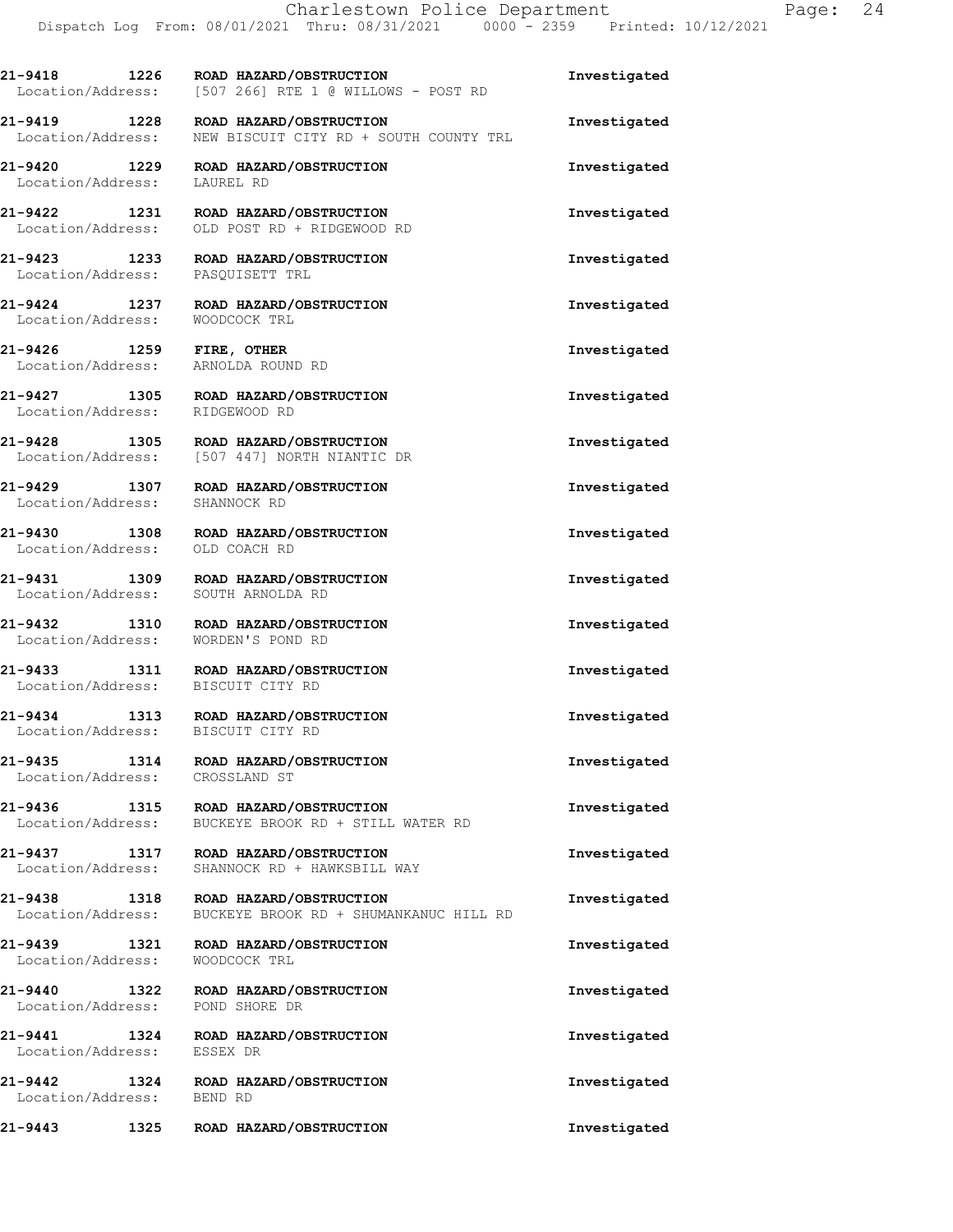|                                                                | 21-9418               1226       ROAD  HAZARD/OBSTRUCTION<br>Location/Address: [507 266] RTE 1 @ WILLOWS - POST RD | Investigated |
|----------------------------------------------------------------|--------------------------------------------------------------------------------------------------------------------|--------------|
| 21-9419 1228<br>Location/Address:                              | ROAD HAZARD/OBSTRUCTION<br>NEW BISCUIT CITY RD + SOUTH COUNTY TRL                                                  | Investigated |
| Location/Address: LAUREL RD                                    | 21-9420 1229 ROAD HAZARD/OBSTRUCTION                                                                               | Investigated |
| Location/Address:                                              | 21-9422 1231 ROAD HAZARD/OBSTRUCTION<br>OLD POST RD + RIDGEWOOD RD                                                 | Investigated |
| 21-9423 1233<br>Location/Address: PASQUISETT TRL               | ROAD HAZARD/OBSTRUCTION                                                                                            | Investigated |
| 21-9424 1237<br>Location/Address:                              | ROAD HAZARD/OBSTRUCTION<br>WOODCOCK TRL                                                                            | Investigated |
| 21-9426 1259 FIRE, OTHER<br>Location/Address: ARNOLDA ROUND RD |                                                                                                                    | Investigated |
| Location/Address: RIDGEWOOD RD                                 | 21-9427 1305 ROAD HAZARD/OBSTRUCTION                                                                               | Investigated |
|                                                                | 21-9428 1305 ROAD HAZARD/OBSTRUCTION<br>Location/Address: [507 447] NORTH NIANTIC DR                               | Investigated |
|                                                                | 21-9429 1307 ROAD HAZARD/OBSTRUCTION<br>Location/Address: SHANNOCK RD                                              | Investigated |
| 21-9430 1308<br>Location/Address:                              | ROAD HAZARD/OBSTRUCTION<br>OLD COACH RD                                                                            | Investigated |
| Location/Address:                                              | 21-9431 1309 ROAD HAZARD/OBSTRUCTION<br>SOUTH ARNOLDA RD                                                           | Investigated |
| 21-9432 1310                                                   | ROAD HAZARD/OBSTRUCTION                                                                                            | Investigated |
| Location/Address:                                              | WORDEN'S POND RD<br>21-9433 1311 ROAD HAZARD/OBSTRUCTION                                                           | Investigated |
| Location/Address: BISCUIT CITY RD                              | 21-9434 1313 ROAD HAZARD/OBSTRUCTION                                                                               | Investigated |
| Location/Address: BISCUIT CITY RD<br>$21 - 9435$<br>1314       | ROAD HAZARD/OBSTRUCTION                                                                                            | Investigated |
| Location/Address:<br>21-9436<br>1315                           | CROSSLAND ST<br>ROAD HAZARD/OBSTRUCTION                                                                            | Investigated |
| Location/Address:<br>21-9437<br>1317                           | BUCKEYE BROOK RD + STILL WATER RD<br>ROAD HAZARD/OBSTRUCTION                                                       | Investigated |
| Location/Address:<br>21-9438<br>1318                           | SHANNOCK RD + HAWKSBILL WAY<br>ROAD HAZARD/OBSTRUCTION                                                             | Investigated |
| Location/Address:<br>21-9439<br>1321                           | BUCKEYE BROOK RD + SHUMANKANUC HILL RD<br>ROAD HAZARD/OBSTRUCTION                                                  | Investigated |
| Location/Address:<br>21-9440<br>1322                           | WOODCOCK TRL<br>ROAD HAZARD/OBSTRUCTION                                                                            | Investigated |
| Location/Address:<br>21-9441<br>1324                           | POND SHORE DR<br>ROAD HAZARD/OBSTRUCTION                                                                           | Investigated |
| Location/Address:<br>21-9442<br>1324                           | ESSEX DR<br>ROAD HAZARD/OBSTRUCTION                                                                                | Investigated |
| Location/Address:                                              | BEND RD                                                                                                            |              |
| 21-9443<br>1325                                                | ROAD HAZARD/OBSTRUCTION                                                                                            | Investigated |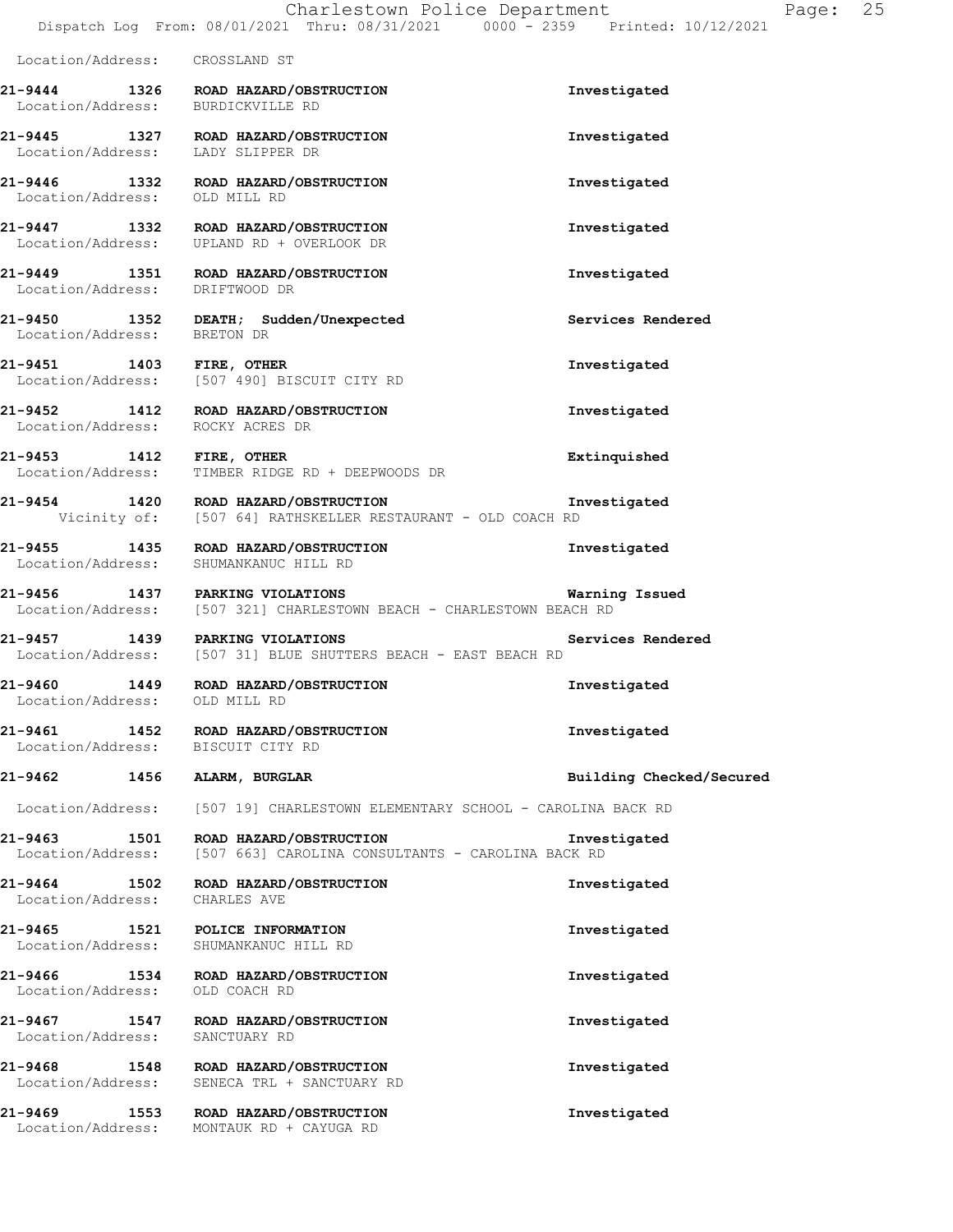Location/Address: CROSSLAND ST

**21-9444 1326 ROAD HAZARD/OBSTRUCTION Investigated**  Location/Address: BURDICKVILLE RD **21-9445 1327 ROAD HAZARD/OBSTRUCTION Investigated**  Location/Address: LADY SLIPPER DR **21-9446 1332 ROAD HAZARD/OBSTRUCTION Investigated**  Location/Address: OLD MILL RD **21-9447 1332 ROAD HAZARD/OBSTRUCTION Investigated**  Location/Address: UPLAND RD + OVERLOOK DR **21-9449 1351 ROAD HAZARD/OBSTRUCTION Investigated**  Location/Address: DRIFTWOOD DR **21-9450 1352 DEATH; Sudden/Unexpected Services Rendered**  Location/Address: BRETON DR **21-9451 1403 FIRE, OTHER Investigated**  Location/Address: [507 490] BISCUIT CITY RD **21-9452 1412 ROAD HAZARD/OBSTRUCTION Investigated**  Location/Address: **21-9453 1412 FIRE, OTHER Extinquished**  Location/Address: TIMBER RIDGE RD + DEEPWOODS DR **21-9454 1420 ROAD HAZARD/OBSTRUCTION Investigated**  Vicinity of: [507 64] RATHSKELLER RESTAURANT - OLD COACH RD **21-9455 1435 ROAD HAZARD/OBSTRUCTION Investigated**  Location/Address: SHUMANKANUC HILL RD **21-9456 1437 PARKING VIOLATIONS Warning Issued**  Location/Address: [507 321] CHARLESTOWN BEACH - CHARLESTOWN BEACH RD **21-9457 1439 PARKING VIOLATIONS Services Rendered**  [507 31] BLUE SHUTTERS BEACH - EAST BEACH RD **21-9460 1449 ROAD HAZARD/OBSTRUCTION Investigated**  Location/Address: OLD MILL RD **21-9461 1452 ROAD HAZARD/OBSTRUCTION Investigated**  Location/Address: BISCUIT CITY RD **21-9462 1456 ALARM, BURGLAR Building Checked/Secured**  Location/Address: [507 19] CHARLESTOWN ELEMENTARY SCHOOL - CAROLINA BACK RD **21-9463 1501 ROAD HAZARD/OBSTRUCTION Investigated**  [507 663] CAROLINA CONSULTANTS - CAROLINA BACK RD **21-9464 1502 ROAD HAZARD/OBSTRUCTION Investigated**  Location/Address: CHARLES AVE **21-9465 1521 POLICE INFORMATION Investigated**  Location/Address: SHUMANKANUC HILL RD **21-9466 1534 ROAD HAZARD/OBSTRUCTION Investigated**  Location/Address: OLD COACH RD **21-9467 1547 ROAD HAZARD/OBSTRUCTION Investigated**  Location/Address: SANCTUARY RD **21-9468 1548 ROAD HAZARD/OBSTRUCTION Investigated**  Location/Address: SENECA TRL + SANCTUARY RD **21-9469 1553 ROAD HAZARD/OBSTRUCTION Investigated**  Location/Address: MONTAUK RD + CAYUGA RD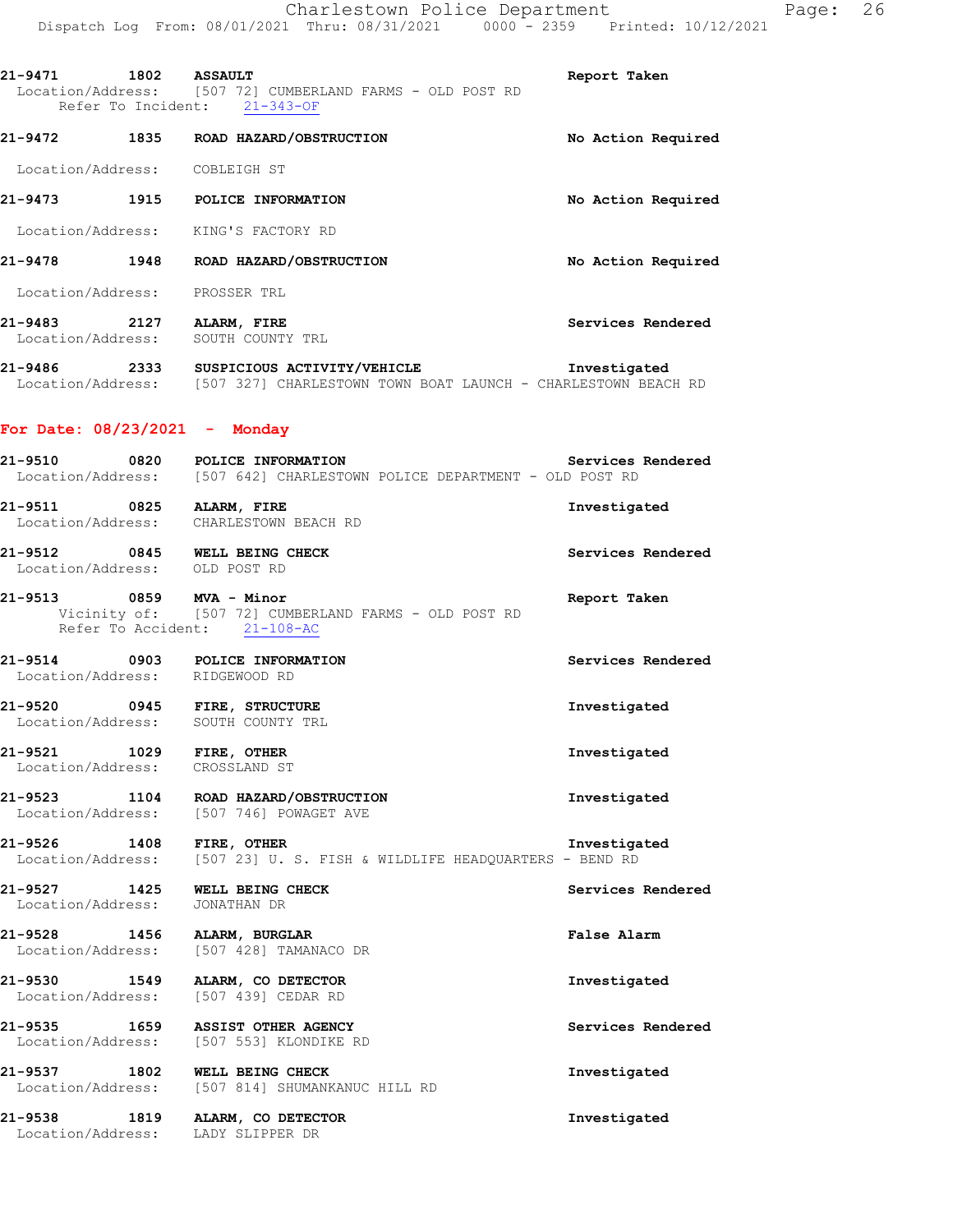|                                |      | Dispatch Log From: 08/01/2021 Thru: 08/31/2021 0000 - 2359 Printed: 10/12/2021                                              |                    |
|--------------------------------|------|-----------------------------------------------------------------------------------------------------------------------------|--------------------|
| 21-9471 1802 ASSAULT           |      | Location/Address: [507 72] CUMBERLAND FARMS - OLD POST RD<br>Refer To Incident: 21-343-OF                                   | Report Taken       |
|                                |      | 21-9472 1835 ROAD HAZARD/OBSTRUCTION                                                                                        | No Action Required |
| Location/Address: COBLEIGH ST  |      |                                                                                                                             |                    |
|                                |      | 21-9473 1915 POLICE INFORMATION                                                                                             | No Action Required |
|                                |      | Location/Address: KING'S FACTORY RD                                                                                         |                    |
|                                |      | 21-9478 1948 ROAD HAZARD/OBSTRUCTION                                                                                        | No Action Required |
| Location/Address: PROSSER TRL  |      |                                                                                                                             |                    |
|                                |      | 21-9483 2127 ALARM, FIRE<br>Location/Address: SOUTH COUNTY TRL                                                              | Services Rendered  |
|                                |      | 21-9486 2333 SUSPICIOUS ACTIVITY/VEHICLE<br>Location/Address: [507 327] CHARLESTOWN TOWN BOAT LAUNCH - CHARLESTOWN BEACH RD | Investigated       |
| For Date: 08/23/2021 - Monday  |      |                                                                                                                             |                    |
|                                |      | 21-9510 0820 POLICE INFORMATION Services<br>Location/Address: [507 642] CHARLESTOWN POLICE DEPARTMENT - OLD POST RD         | Services Rendered  |
|                                |      | 21-9511 0825 ALARM, FIRE<br>Location/Address: CHARLESTOWN BEACH RD                                                          | Investigated       |
| Location/Address: OLD POST RD  |      | 21-9512 0845 WELL BEING CHECK                                                                                               | Services Rendered  |
| 21-9513 0859 MVA - Minor       |      | Vicinity of: [507 72] CUMBERLAND FARMS - OLD POST RD<br>Refer To Accident: 21-108-AC                                        | Report Taken       |
| Location/Address: RIDGEWOOD RD |      | 21-9514 0903 POLICE INFORMATION                                                                                             | Services Rendered  |
| 21-9520<br>Location/Address:   |      | 0945 FIRE, STRUCTURE<br>SOUTH COUNTY TRL                                                                                    | Investigated       |
| 21-9521<br>Location/Address:   | 1029 | FIRE, OTHER<br>CROSSLAND ST                                                                                                 | Investigated       |
| 21-9523<br>Location/Address:   | 1104 | ROAD HAZARD/OBSTRUCTION<br>[507 746] POWAGET AVE                                                                            | Investigated       |
| 21-9526<br>Location/Address:   | 1408 | FIRE, OTHER<br>[507 23] U. S. FISH & WILDLIFE HEADOUARTERS - BEND RD                                                        | Investigated       |
| 21-9527<br>Location/Address:   | 1425 | WELL BEING CHECK<br>JONATHAN DR                                                                                             | Services Rendered  |

**21-9528 1456 ALARM, BURGLAR False Alarm**  Location/Address: [507 428] TAMANACO DR

**21-9530 1549 ALARM, CO DETECTOR Investigated**  Location/Address: [507 439] CEDAR RD

**21-9535 1659 ASSIST OTHER AGENCY Services Rendered**  Location/Address: [507 553] KLONDIKE RD

**21-9537 1802 WELL BEING CHECK Investigated**  Location/Address: [507 814] SHUMANKANUC HILL RD

**21-9538 1819 ALARM, CO DETECTOR Investigated**  Location/Address: LADY SLIPPER DR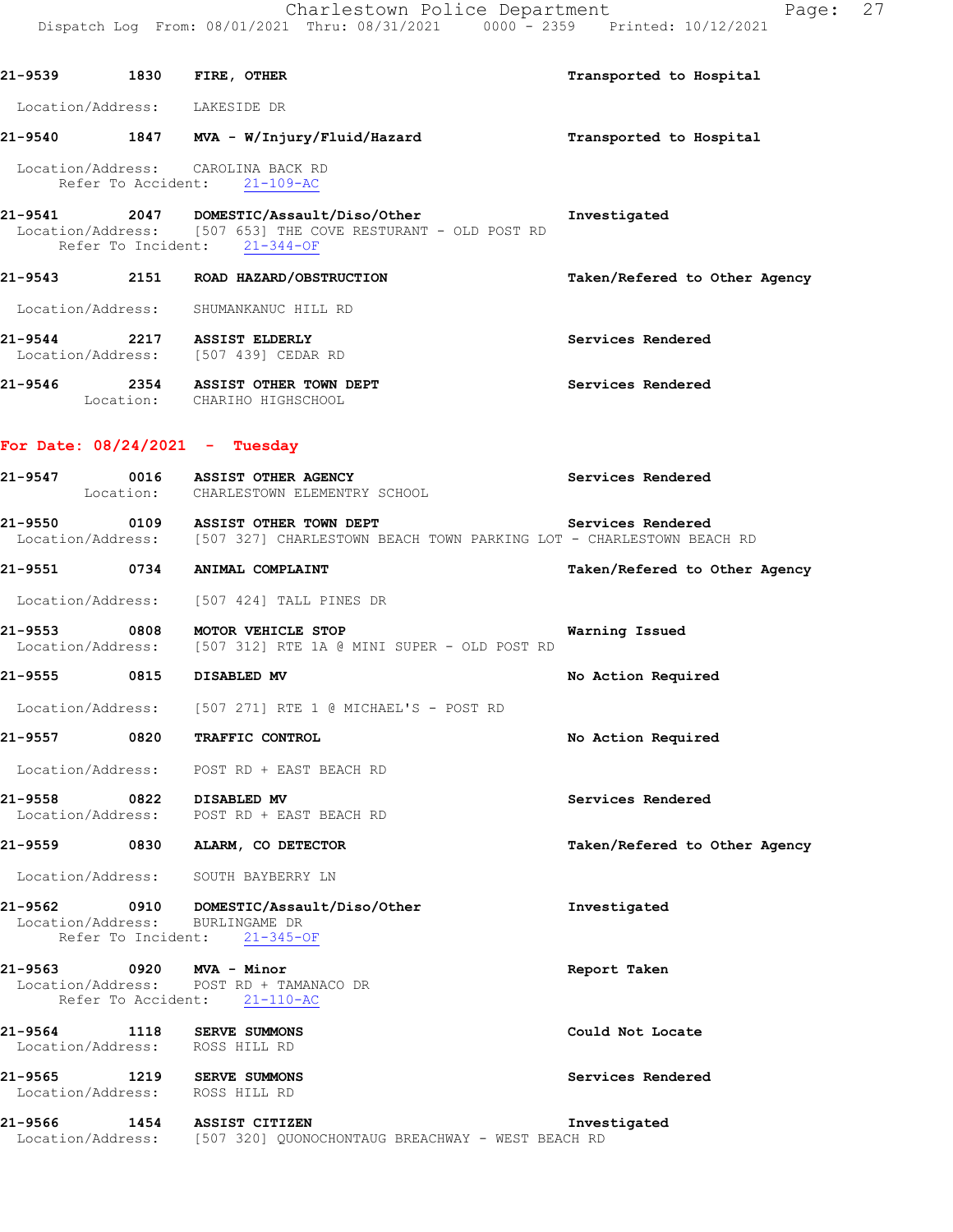|  | 21-9539 1830 FIRE, OTHER                                                                                                                 | Transported to Hospital       |
|--|------------------------------------------------------------------------------------------------------------------------------------------|-------------------------------|
|  | Location/Address: LAKESIDE DR                                                                                                            |                               |
|  | 21-9540 1847 MVA - W/Injury/Fluid/Hazard                                                                                                 | Transported to Hospital       |
|  | Location/Address: CAROLINA BACK RD<br>Refer To Accident: 21-109-AC                                                                       |                               |
|  | 21-9541 2047 DOMESTIC/Assault/Diso/Other<br>Location/Address: [507 653] THE COVE RESTURANT - OLD POST RD<br>Refer To Incident: 21-344-OF | Investigated                  |
|  | 21-9543 2151 ROAD HAZARD/OBSTRUCTION                                                                                                     | Taken/Refered to Other Agency |
|  | Location/Address: SHUMANKANUC HILL RD                                                                                                    |                               |
|  | 21-9544 2217 ASSIST ELDERLY<br>Location/Address: [507 439] CEDAR RD                                                                      | Services Rendered             |
|  | 21-9546 2354 ASSIST OTHER TOWN DEPT<br>Location: CHARIHO HIGHSCHOOL                                                                      | Services Rendered             |
|  | For Date: $08/24/2021$ - Tuesday                                                                                                         |                               |
|  | 21-9547 0016 ASSIST OTHER AGENCY<br>Location: CHARLESTOWN ELEMENTRY SCHOOL                                                               | Services Rendered             |
|  | 21-9550 0109 ASSIST OTHER TOWN DEPT<br>Location/Address: [507 327] CHARLESTOWN BEACH TOWN PARKING LOT - CHARLESTOWN BEACH RD             | Services Rendered             |
|  | 21-9551 0734 ANIMAL COMPLAINT                                                                                                            | Taken/Refered to Other Agency |
|  | Location/Address: [507 424] TALL PINES DR                                                                                                |                               |
|  | 21-9553 0808 MOTOR VEHICLE STOP<br>Location/Address: [507 312] RTE 1A @ MINI SUPER - OLD POST RD                                         | Warning Issued                |
|  | 21-9555 0815 DISABLED MV                                                                                                                 | No Action Required            |
|  | Location/Address: [507 271] RTE 1 @ MICHAEL'S - POST RD                                                                                  |                               |
|  | 21-9557 0820 TRAFFIC CONTROL                                                                                                             | No Action Required            |
|  | Location/Address: POST RD + EAST BEACH RD                                                                                                |                               |
|  | 21-9558 0822 DISABLED MV<br>Location/Address: POST RD + EAST BEACH RD                                                                    | Services Rendered             |
|  | 21-9559 0830 ALARM, CO DETECTOR                                                                                                          | Taken/Refered to Other Agency |
|  | Location/Address: SOUTH BAYBERRY LN                                                                                                      |                               |
|  | 21-9562 0910 DOMESTIC/Assault/Diso/Other<br>Location/Address: BURLINGAME DR<br>Refer To Incident: 21-345-OF                              | Investigated                  |
|  | 21-9563 0920 MVA - Minor<br>Location/Address: POST RD + TAMANACO DR<br>Refer To Accident: 21-110-AC                                      | Report Taken                  |
|  | 21-9564 1118 SERVE SUMMONS<br>Location/Address: ROSS HILL RD                                                                             | Could Not Locate              |
|  | 21-9565 1219 SERVE SUMMONS<br>Location/Address: ROSS HILL RD                                                                             | Services Rendered             |
|  | 21-9566 1454 ASSIST CITIZEN<br>Location/Address: [507 320] QUONOCHONTAUG BREACHWAY - WEST BEACH RD                                       | Investigated                  |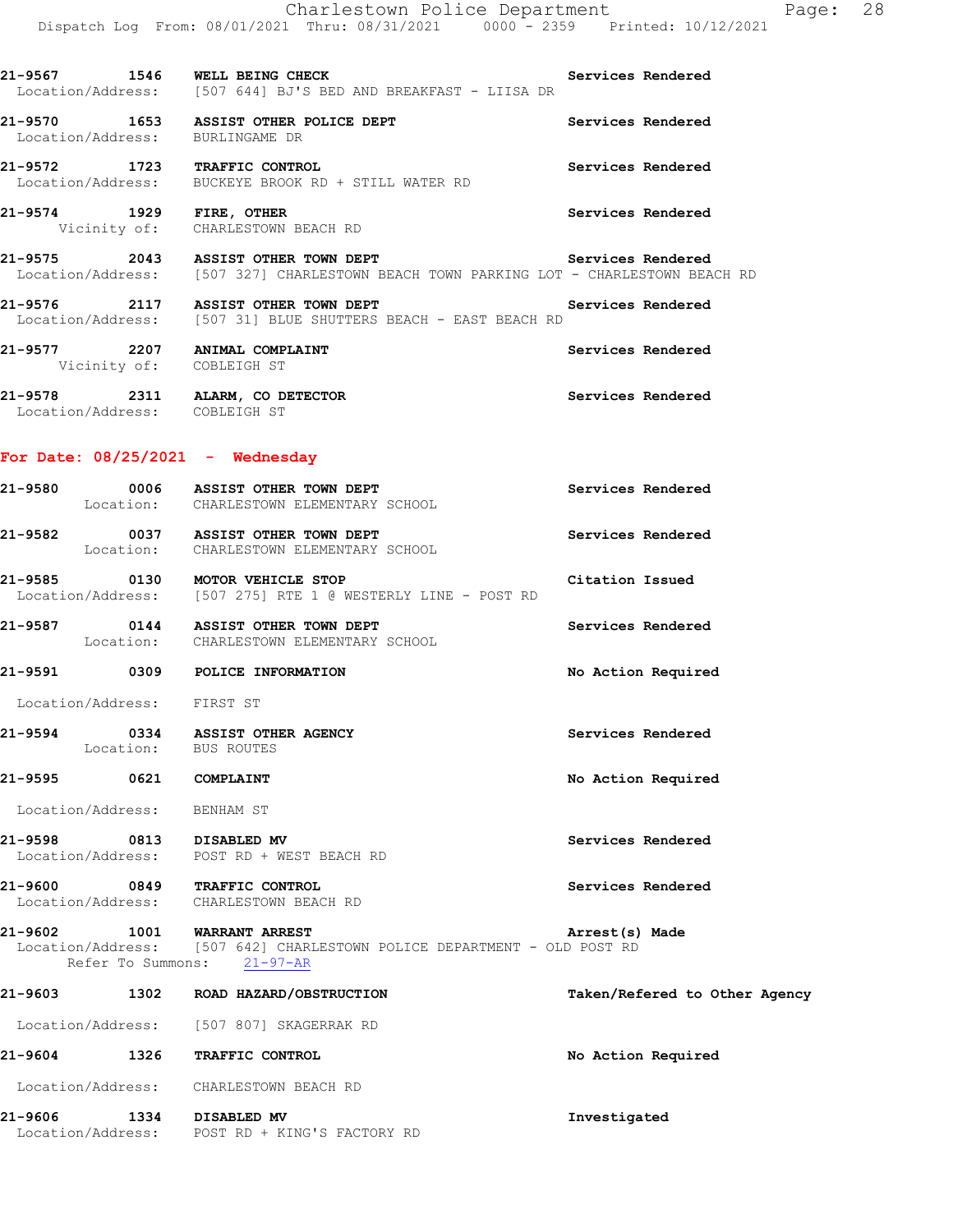|                             |                   | Charlestown Police Department<br>Dispatch Log From: 08/01/2021 Thru: 08/31/2021 0000 <sup>-</sup> 2359 Printed: 10/12/2021                     | Page: 28                      |
|-----------------------------|-------------------|------------------------------------------------------------------------------------------------------------------------------------------------|-------------------------------|
|                             |                   | 21-9567 1546 WELL BEING CHECK<br>Location/Address: [507 644] BJ'S BED AND BREAKFAST - LIISA DR                                                 | Services Rendered             |
|                             |                   | 21-9570 1653 ASSIST OTHER POLICE DEPT                                                                                                          | Services Rendered             |
|                             |                   | Location/Address: BURLINGAME DR                                                                                                                |                               |
|                             |                   | 21-9572 1723 TRAFFIC CONTROL<br>Location/Address: BUCKEYE BROOK RD + STILL WATER RD                                                            | Services Rendered             |
|                             |                   | 21-9574 1929 FIRE, OTHER<br>Vicinity of: CHARLESTOWN BEACH RD                                                                                  | Services Rendered             |
|                             |                   | 21-9575 2043 ASSIST OTHER TOWN DEPT Services Rendered<br>Location/Address: [507 327] CHARLESTOWN BEACH TOWN PARKING LOT - CHARLESTOWN BEACH RD |                               |
|                             |                   | 21-9576 2117 ASSIST OTHER TOWN DEPT Services Rendered                                                                                          |                               |
|                             |                   | Location/Address: [507 31] BLUE SHUTTERS BEACH - EAST BEACH RD                                                                                 |                               |
|                             |                   | 21-9577 2207 ANIMAL COMPLAINT<br>Vicinity of: COBLEIGH ST                                                                                      | Services Rendered             |
|                             |                   | 21-9578 2311 ALARM, CO DETECTOR<br>Location/Address: COBLEIGH ST                                                                               | Services Rendered             |
|                             |                   | For Date: $08/25/2021$ - Wednesday                                                                                                             |                               |
|                             |                   |                                                                                                                                                |                               |
|                             |                   | 21-9580 0006 ASSIST OTHER TOWN DEPT<br>Location: CHARLESTOWN ELEMENTARY SCHOOL                                                                 | Services Rendered             |
|                             |                   | 21-9582 0037 ASSIST OTHER TOWN DEPT<br>Location: CHARLESTOWN ELEMENTARY SCHOOL                                                                 | Services Rendered             |
|                             |                   | 21-9585 0130 MOTOR VEHICLE STOP<br>Location/Address: [507 275] RTE 1 @ WESTERLY LINE - POST RD                                                 | Citation Issued               |
|                             |                   | 21-9587 0144 ASSIST OTHER TOWN DEPT<br>Location: CHARLESTOWN ELEMENTARY SCHOOL                                                                 | Services Rendered             |
|                             |                   | 21-9591 0309 POLICE INFORMATION                                                                                                                | No Action Required            |
| Location/Address:           |                   | FIRST ST                                                                                                                                       |                               |
| 21-9594                     |                   | 0334 ASSIST OTHER AGENCY<br>Location: BUS ROUTES                                                                                               | Services Rendered             |
| 21-9595                     | 0621              | COMPLAINT                                                                                                                                      | No Action Required            |
| Location/Address: BENHAM ST |                   |                                                                                                                                                |                               |
| 21-9598                     | 0813              | DISABLED MV<br>Location/Address: POST RD + WEST BEACH RD                                                                                       | Services Rendered             |
| 21-9600                     |                   | 0849 TRAFFIC CONTROL<br>Location/Address: CHARLESTOWN BEACH RD                                                                                 | Services Rendered             |
| 21-9602                     | Refer To Summons: | <b>1001 WARRANT ARREST</b><br>Location/Address: [507 642] CHARLESTOWN POLICE DEPARTMENT - OLD POST RD<br>$21 - 97 - AR$                        | Arrest(s) Made                |
| 21-9603                     |                   | 1302 ROAD HAZARD/OBSTRUCTION                                                                                                                   | Taken/Refered to Other Agency |
|                             |                   | Location/Address: [507 807] SKAGERRAK RD                                                                                                       |                               |
| 21-9604                     |                   | 1326 TRAFFIC CONTROL                                                                                                                           | No Action Required            |
|                             |                   | Location/Address: CHARLESTOWN BEACH RD                                                                                                         |                               |

**21-9606 1334 DISABLED MV Investigated**  Location/Address: POST RD + KING'S FACTORY RD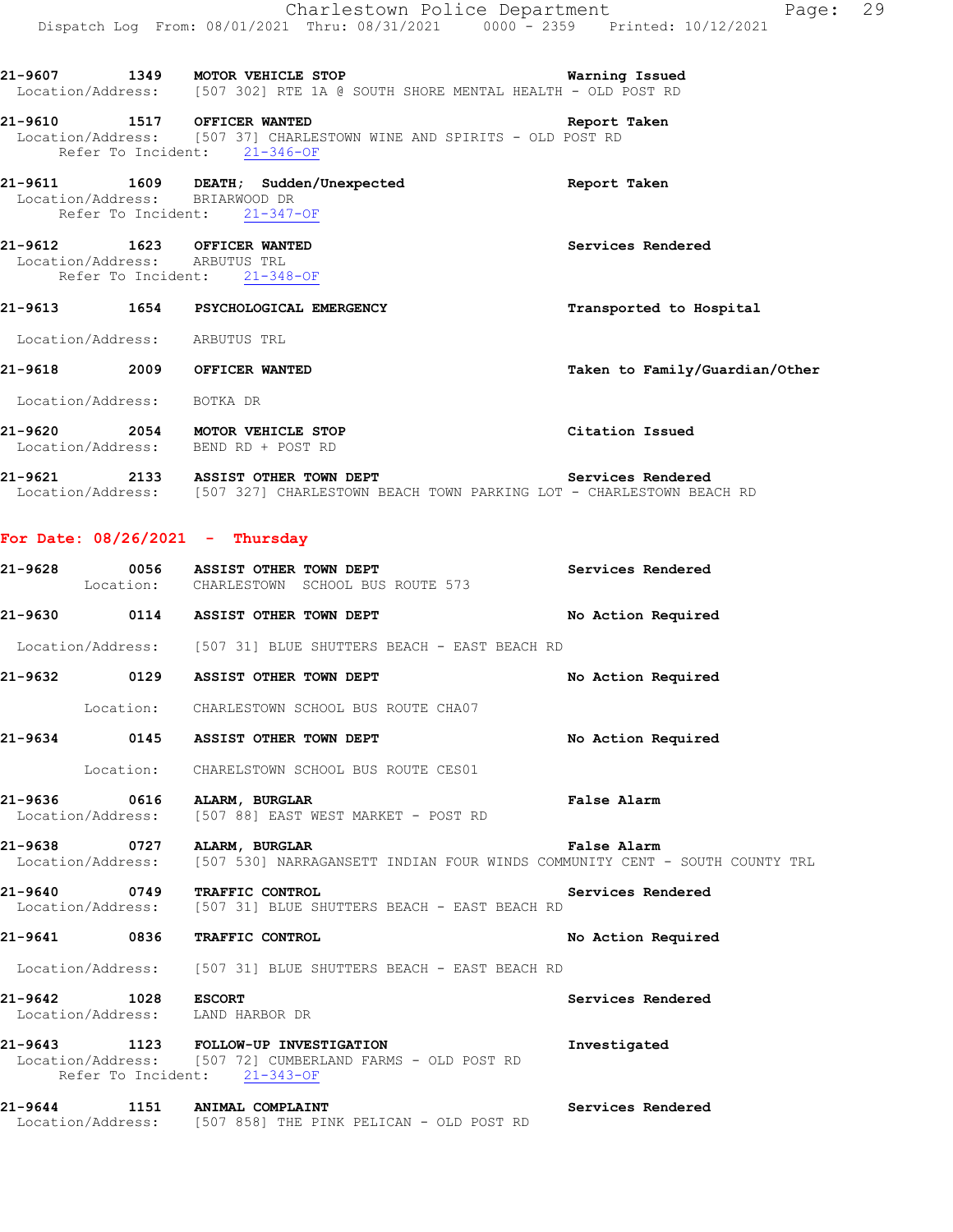|                               | Charlestown Police Department                                                                                                                  | Page: 29                       |
|-------------------------------|------------------------------------------------------------------------------------------------------------------------------------------------|--------------------------------|
|                               | Dispatch Log From: 08/01/2021 Thru: 08/31/2021 0000 - 2359 Printed: 10/12/2021                                                                 |                                |
|                               | 21-9607 1349 MOTOR VEHICLE STOP                                                                                                                | Warning Issued                 |
|                               | Location/Address: [507 302] RTE 1A @ SOUTH SHORE MENTAL HEALTH - OLD POST RD                                                                   |                                |
|                               | 21-9610 1517 OFFICER WANTED<br>Location/Address: [507 37] CHARLESTOWN WINE AND SPIRITS - OLD POST RD<br>Refer To Incident: 21-346-OF           | Report Taken                   |
|                               | 21-9611 1609 DEATH; Sudden/Unexpected<br>Location/Address: BRIARWOOD DR<br>Refer To Incident: 21-347-OF                                        | Report Taken                   |
| Location/Address: ARBUTUS TRL | 21-9612 1623 OFFICER WANTED<br>Refer To Incident: 21-348-OF                                                                                    | Services Rendered              |
|                               | 21-9613 1654 PSYCHOLOGICAL EMERGENCY                                                                                                           | Transported to Hospital        |
| Location/Address: ARBUTUS TRL |                                                                                                                                                |                                |
|                               | 21-9618 2009 OFFICER WANTED                                                                                                                    | Taken to Family/Guardian/Other |
| Location/Address: BOTKA DR    |                                                                                                                                                |                                |
|                               | 21-9620 2054 MOTOR VEHICLE STOP<br>Location/Address: BEND RD + POST RD                                                                         | Citation Issued                |
|                               | 21-9621 2133 ASSIST OTHER TOWN DEPT Services Rendered<br>Location/Address: [507 327] CHARLESTOWN BEACH TOWN PARKING LOT - CHARLESTOWN BEACH RD |                                |
|                               | For Date: $08/26/2021$ - Thursday                                                                                                              |                                |
|                               | 21-9628 0056 ASSIST OTHER TOWN DEPT<br>Location: CHARLESTOWN SCHOOL BUS ROUTE 573                                                              | Services Rendered              |
|                               | 21-9630 0114 ASSIST OTHER TOWN DEPT                                                                                                            | No Action Required             |
|                               | Location/Address: [507 31] BLUE SHUTTERS BEACH - EAST BEACH RD                                                                                 |                                |
|                               | 21-9632 0129 ASSIST OTHER TOWN DEPT                                                                                                            | No Action Required             |
|                               | Location: CHARLESTOWN SCHOOL BUS ROUTE CHA07                                                                                                   |                                |
|                               | 21-9634 0145 ASSIST OTHER TOWN DEPT                                                                                                            | No Action Required             |
|                               |                                                                                                                                                |                                |

Location: CHARELSTOWN SCHOOL BUS ROUTE CES01

**21-9636 0616 ALARM, BURGLAR False Alarm**  Location/Address: [507 88] EAST WEST MARKET - POST RD

**21-9638 0727 ALARM, BURGLAR False Alarm**  Location/Address: [507 530] NARRAGANSETT INDIAN FOUR WINDS COMMUNITY CENT - SOUTH COUNTY TRL

**21-9640 0749 TRAFFIC CONTROL Services Rendered**  Location/Address: [507 31] BLUE SHUTTERS BEACH - EAST BEACH RD

**21-9641 0836 TRAFFIC CONTROL No Action Required** 

Location/Address: [507 31] BLUE SHUTTERS BEACH - EAST BEACH RD

**21-9642 1028 ESCORT Services Rendered**  Location/Address: LAND HARBOR DR **21-9643 1123 FOLLOW-UP INVESTIGATION Investigated**  Location/Address: [507 72] CUMBERLAND FARMS - OLD POST RD

Refer To Incident: 21-343-OF

**21-9644 1151 ANIMAL COMPLAINT Services Rendered**  Location/Address: [507 858] THE PINK PELICAN - OLD POST RD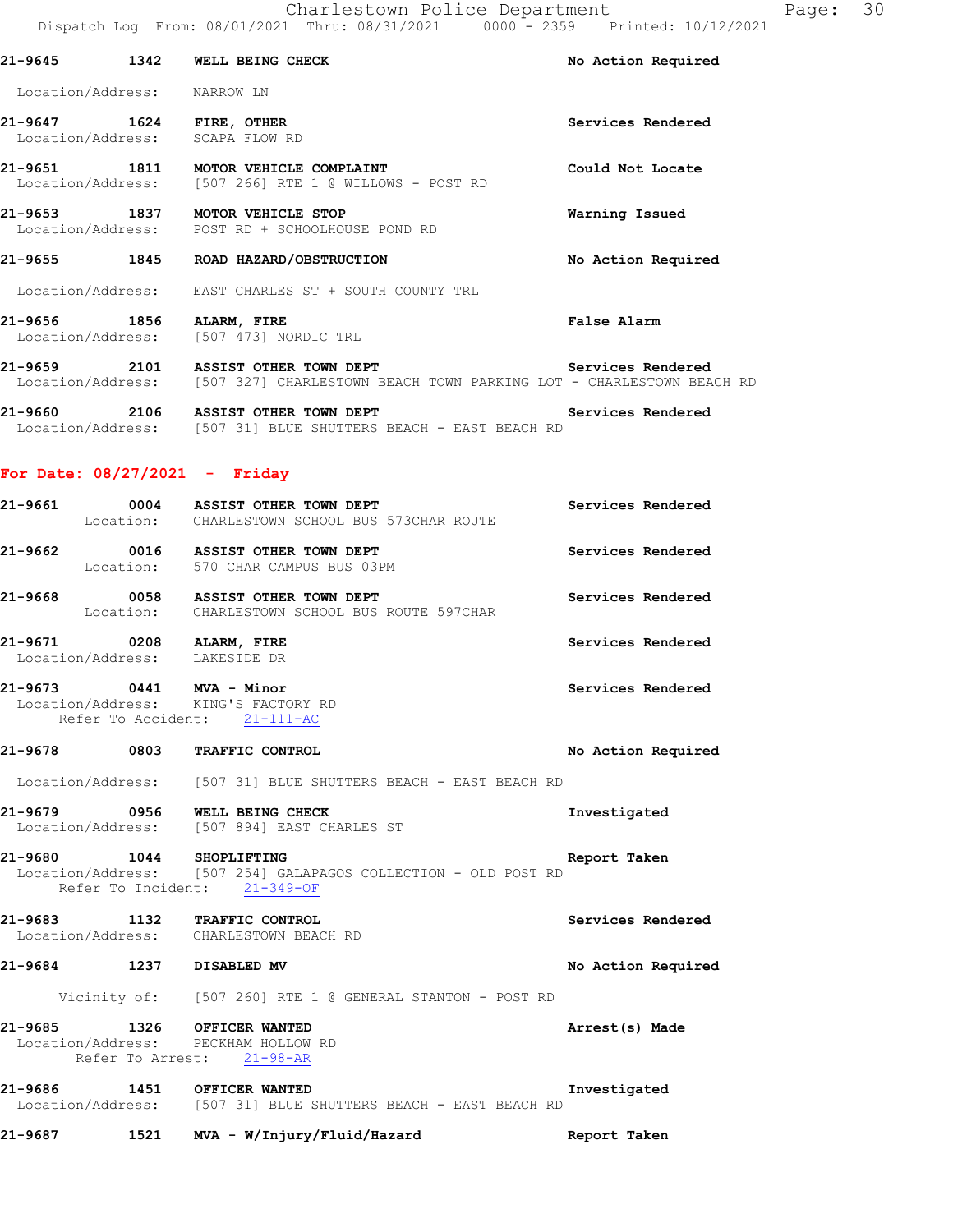|                             | 21-9645 1342 WELL BEING CHECK                                                                 | No Action Required |
|-----------------------------|-----------------------------------------------------------------------------------------------|--------------------|
| Location/Address: NARROW LN |                                                                                               |                    |
| 21-9647 1624 FIRE, OTHER    | Location/Address: SCAPA FLOW RD                                                               | Services Rendered  |
|                             | 21-9651 1811 MOTOR VEHICLE COMPLAINT<br>Location/Address: [507 266] RTE 1 @ WILLOWS - POST RD | Could Not Locate   |
|                             | 21-9653 1837 MOTOR VEHICLE STOP<br>Location/Address: POST RD + SCHOOLHOUSE POND RD            | Warning Issued     |
|                             | 21-9655 1845 ROAD HAZARD/OBSTRUCTION                                                          | No Action Required |
|                             | Location/Address: EAST CHARLES ST + SOUTH COUNTY TRL                                          |                    |
| 21-9656 1856 ALARM, FIRE    | Location/Address: [507 473] NORDIC TRL                                                        | False Alarm        |
|                             | Location/Address: [507 327] CHARLESTOWN BEACH TOWN PARKING LOT - CHARLESTOWN BEACH RD         | Services Rendered  |
| Location/Address:           | 21-9660 2106 ASSIST OTHER TOWN DEPT<br>[507 31] BLUE SHUTTERS BEACH - EAST BEACH RD           | Services Rendered  |

# **For Date: 08/27/2021 - Friday**

|                                                           | 21-9661 0004 ASSIST OTHER TOWN DEPT<br>Location: CHARLESTOWN SCHOOL BUS 573CHAR ROUTE          | Services Rendered  |
|-----------------------------------------------------------|------------------------------------------------------------------------------------------------|--------------------|
|                                                           | 21-9662 0016 ASSIST OTHER TOWN DEPT<br>Location: 570 CHAR CAMPUS BUS 03PM                      | Services Rendered  |
|                                                           | 21-9668 0058 ASSIST OTHER TOWN DEPT<br>Location: CHARLESTOWN SCHOOL BUS ROUTE 597CHAR          | Services Rendered  |
| 21-9671 0208 ALARM, FIRE<br>Location/Address: LAKESIDE DR |                                                                                                | Services Rendered  |
| 21-9673 0441 MVA - Minor                                  | Location/Address: KING'S FACTORY RD<br>Refer To Accident: 21-111-AC                            | Services Rendered  |
| 21-9678 0803 TRAFFIC CONTROL                              |                                                                                                | No Action Required |
|                                                           | Location/Address: [507 31] BLUE SHUTTERS BEACH - EAST BEACH RD                                 |                    |
|                                                           | 21-9679 0956 WELL BEING CHECK<br>Location/Address: [507 894] EAST CHARLES ST                   | Investigated       |
| 21-9680 1044 SHOPLIFTING                                  | Location/Address: [507 254] GALAPAGOS COLLECTION - OLD POST RD<br>Refer To Incident: 21-349-OF | Report Taken       |
| 21-9683 1132 TRAFFIC CONTROL                              | Location/Address: CHARLESTOWN BEACH RD                                                         | Services Rendered  |
| 21-9684 1237 DISABLED MV                                  |                                                                                                | No Action Required |
|                                                           | Vicinity of: [507 260] RTE 1 @ GENERAL STANTON - POST RD                                       |                    |
| 21-9685 1326 OFFICER WANTED                               | Location/Address: PECKHAM HOLLOW RD<br>Refer To Arrest: 21-98-AR                               | Arrest(s) Made     |
|                                                           | 21-9686 1451 OFFICER WANTED<br>Location/Address: [507 31] BLUE SHUTTERS BEACH - EAST BEACH RD  | Investigated       |
|                                                           | 21-9687 1521 MVA - W/Injury/Fluid/Hazard                                                       | Report Taken       |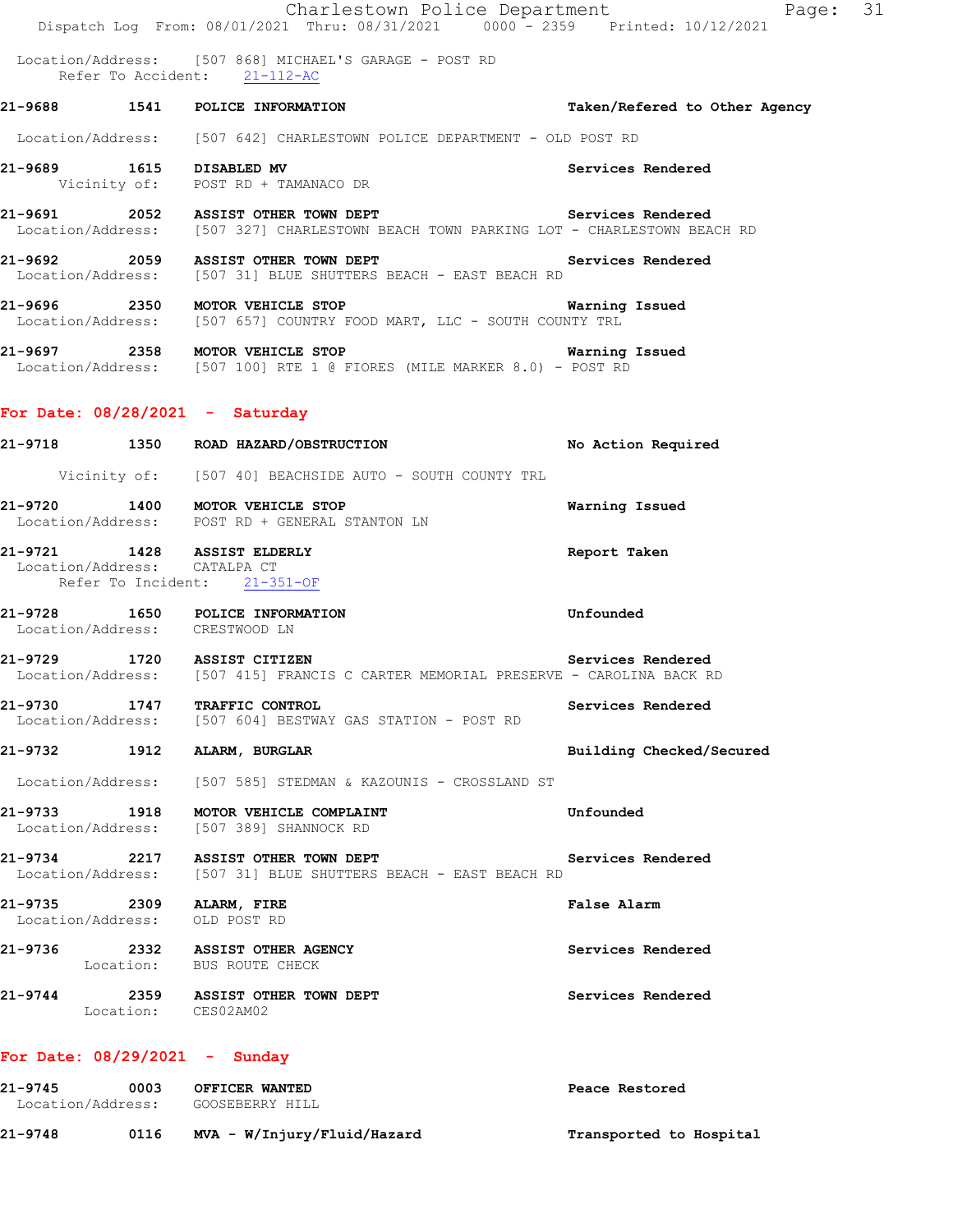Charlestown Police Department Fage: 31 Dispatch Log From: 08/01/2021 Thru: 08/31/2021 0000 - 2359 Printed: 10/12/2021 Location/Address: [507 868] MICHAEL'S GARAGE - POST RD Refer To Accident: 21-112-AC **21-9688 1541 POLICE INFORMATION Taken/Refered to Other Agency** Location/Address: [507 642] CHARLESTOWN POLICE DEPARTMENT - OLD POST RD **21-9689 1615 DISABLED MV Services Rendered**  Vicinity of: POST RD + TAMANACO DR 21-9691 2052 ASSIST OTHER TOWN DEPT **Services Rendered Services Rendered Iodical Location/Address:** [507 327] CHARLESTOWN BEACH TOWN PARKING LOT - CHARLESTOWN BEA [507 327] CHARLESTOWN BEACH TOWN PARKING LOT - CHARLESTOWN BEACH RD **21-9692 2059 ASSIST OTHER TOWN DEPT Services Rendered**  Location/Address: [507 31] BLUE SHUTTERS BEACH - EAST BEACH RD **21-9696 2350 MOTOR VEHICLE STOP Warning Issued**  Location/Address: [507 657] COUNTRY FOOD MART, LLC - SOUTH COUNTY TRL **21-9697 2358 MOTOR VEHICLE STOP Warning Issued**  Location/Address: [507 100] RTE 1 @ FIORES (MILE MARKER 8.0) - POST RD **For Date: 08/28/2021 - Saturday 21-9718 1350 ROAD HAZARD/OBSTRUCTION No Action Required**  Vicinity of: [507 40] BEACHSIDE AUTO - SOUTH COUNTY TRL **21-9720 1400 MOTOR VEHICLE STOP Warning Issued**  Location/Address: POST RD + GENERAL STANTON LN **21-9721 1428 ASSIST ELDERLY Report Taken**  Location/Address: CATALPA CT Refer To Incident: 21-351-OF **21-9728 1650 POLICE INFORMATION Unfounded**  Location/Address: CRESTWOOD LN **21-9729 1720 ASSIST CITIZEN Services Rendered**  Location/Address: [507 415] FRANCIS C CARTER MEMORIAL PRESERVE - CAROLINA BACK RD **21-9730 1747 TRAFFIC CONTROL Example 1747 Example 21-9730 Services Rendered Integral Services Rendered Example 2019 Integral Services Rendered** [507 604] BESTWAY GAS STATION - POST RD **21-9732 1912 ALARM, BURGLAR Building Checked/Secured**  Location/Address: [507 585] STEDMAN & KAZOUNIS - CROSSLAND ST **21-9733 1918 MOTOR VEHICLE COMPLAINT Unfounded**  Location/Address: [507 389] SHANNOCK RD **21-9734 2217 ASSIST OTHER TOWN DEPT Services Rendered**  Location/Address: [507 31] BLUE SHUTTERS BEACH - EAST BEACH RD **21-9735 2309 ALARM, FIRE False Alarm**  Location/Address: OLD POST RD **21-9736 2332 ASSIST OTHER AGENCY Services Rendered**  Location: BUS ROUTE CHECK 21-9744 2359 ASSIST OTHER TOWN DEPT **1988 Services Rendered**  Location: CES02AM02 **For Date: 08/29/2021 - Sunday**

**21-9745 0003 OFFICER WANTED Peace Restored**  Location/Address: GOOSEBERRY HILL **21-9748 0116 MVA - W/Injury/Fluid/Hazard Transported to Hospital**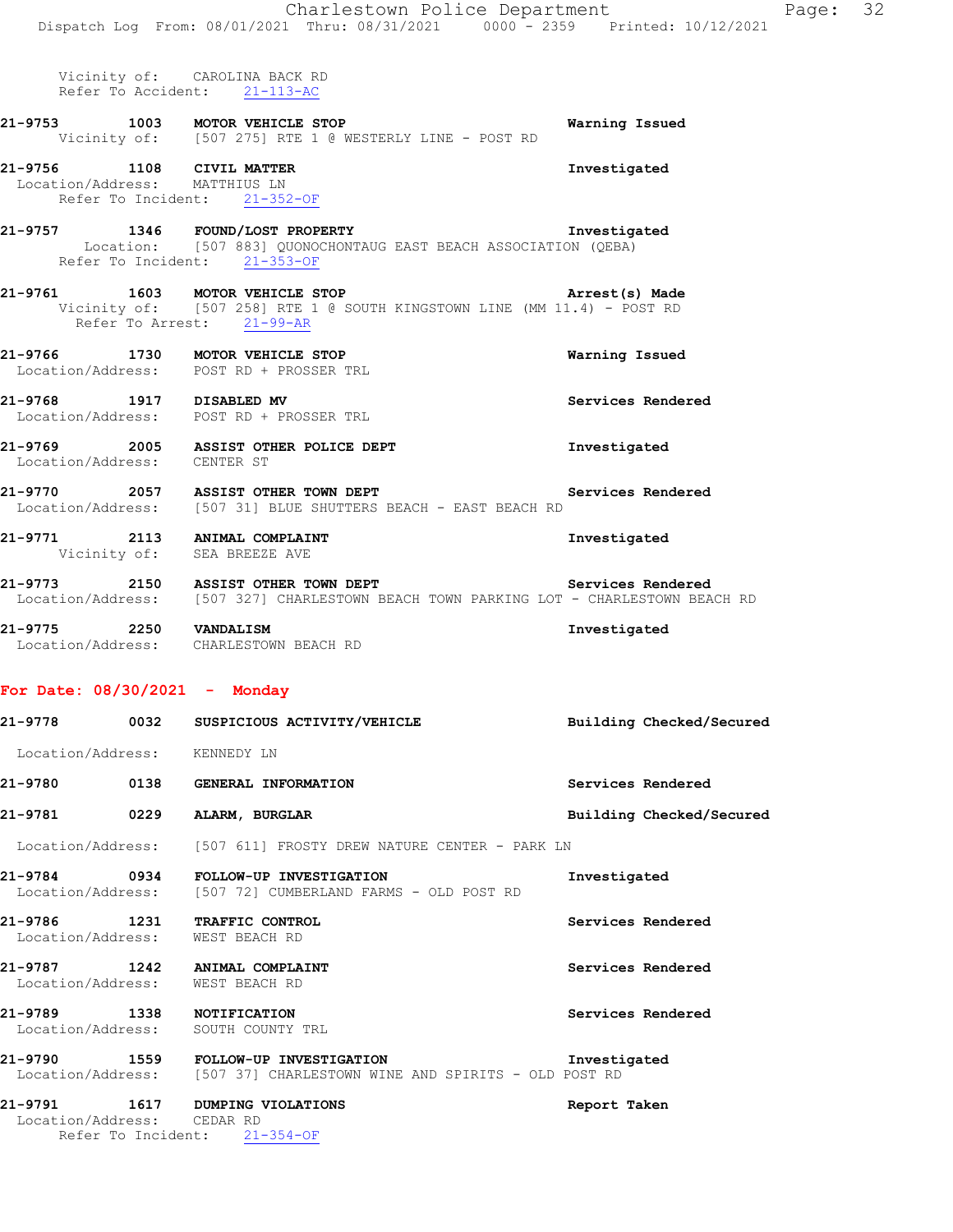Charlestown Police Department Fage: 32 Dispatch Log From: 08/01/2021 Thru: 08/31/2021 0000 - 2359 Printed: 10/12/2021 Vicinity of: CAROLINA BACK RD Refer To Accident: 21-113-AC **21-9753 1003 MOTOR VEHICLE STOP Warning Issued**  Vicinity of: [507 275] RTE 1 @ WESTERLY LINE - POST RD **21-9756 1108 CIVIL MATTER Investigated**  Location/Address: MATTHIUS LN Refer To Incident: 21-352-OF **21-9757 1346 FOUND/LOST PROPERTY Investigated**  Location: [507 883] QUONOCHONTAUG EAST BEACH ASSOCIATION (QEBA) Refer To Incident: 21-353-OF **21-9761 1603 MOTOR VEHICLE STOP Arrest(s) Made**  Vicinity of: [507 258] RTE 1 @ SOUTH KINGSTOWN LINE (MM 11.4) - POST RD Refer To Arrest: 21-99-AR **21-9766 1730 MOTOR VEHICLE STOP Warning Issued**  Location/Address: POST RD + PROSSER TRL **21-9768 1917 DISABLED MV Services Rendered**  Location/Address: POST RD + PROSSER TRL **21-9769 2005 ASSIST OTHER POLICE DEPT Investigated**  Location/Address: CENTER ST **21-9770 2057 ASSIST OTHER TOWN DEPT Services Rendered**  Location/Address: [507 31] BLUE SHUTTERS BEACH - EAST BEACH RD **21-9771 2113 ANIMAL COMPLAINT Investigated**  Vicinity of: SEA BREEZE AVE 21-9773 2150 ASSIST OTHER TOWN DEPT **1989 Services Rendered**  Location/Address: [507 327] CHARLESTOWN BEACH TOWN PARKING LOT - CHARLESTOWN BEACH RD **21-9775 2250 VANDALISM Investigated**  Location/Address: CHARLESTOWN BEACH RD **For Date: 08/30/2021 - Monday 21-9778 0032 SUSPICIOUS ACTIVITY/VEHICLE Building Checked/Secured**  Location/Address: KENNEDY LN **21-9780 0138 GENERAL INFORMATION Services Rendered 21-9781 0229 ALARM, BURGLAR Building Checked/Secured**  Location/Address: [507 611] FROSTY DREW NATURE CENTER - PARK LN **21-9784 0934 FOLLOW-UP INVESTIGATION Investigated**  Location/Address: [507 72] CUMBERLAND FARMS - OLD POST RD **21-9786 1231 TRAFFIC CONTROL Services Rendered**  Location/Address: WEST BEACH RD **21-9787 1242 ANIMAL COMPLAINT Services Rendered**  Location/Address: WEST BEACH RD **21-9789 1338 NOTIFICATION Services Rendered**  Location/Address: SOUTH COUNTY TRL **21-9790 1559 FOLLOW-UP INVESTIGATION Investigated**  Location/Address: [507 37] CHARLESTOWN WINE AND SPIRITS - OLD POST RD **21-9791 1617 DUMPING VIOLATIONS Report Taken**  Location/Address: CEDAR RD

Refer To Incident: 21-354-OF